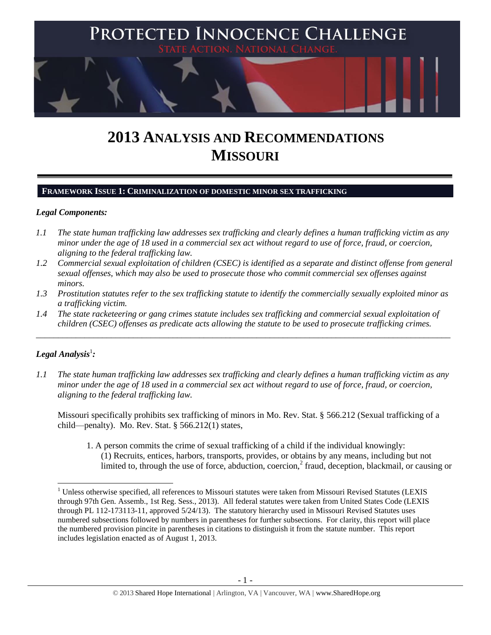

# **2013 ANALYSIS AND RECOMMENDATIONS MISSOURI**

#### **FRAMEWORK ISSUE 1: CRIMINALIZATION OF DOMESTIC MINOR SEX TRAFFICKING**

#### *Legal Components:*

- *1.1 The state human trafficking law addresses sex trafficking and clearly defines a human trafficking victim as any minor under the age of 18 used in a commercial sex act without regard to use of force, fraud, or coercion, aligning to the federal trafficking law.*
- *1.2 Commercial sexual exploitation of children (CSEC) is identified as a separate and distinct offense from general sexual offenses, which may also be used to prosecute those who commit commercial sex offenses against minors.*
- *1.3 Prostitution statutes refer to the sex trafficking statute to identify the commercially sexually exploited minor as a trafficking victim.*

\_\_\_\_\_\_\_\_\_\_\_\_\_\_\_\_\_\_\_\_\_\_\_\_\_\_\_\_\_\_\_\_\_\_\_\_\_\_\_\_\_\_\_\_\_\_\_\_\_\_\_\_\_\_\_\_\_\_\_\_\_\_\_\_\_\_\_\_\_\_\_\_\_\_\_\_\_\_\_\_\_\_\_\_\_\_\_\_\_\_\_\_\_\_

*1.4 The state racketeering or gang crimes statute includes sex trafficking and commercial sexual exploitation of children (CSEC) offenses as predicate acts allowing the statute to be used to prosecute trafficking crimes.* 

# $\bm{L}$ egal Analysis $^1$ :

*1.1 The state human trafficking law addresses sex trafficking and clearly defines a human trafficking victim as any minor under the age of 18 used in a commercial sex act without regard to use of force, fraud, or coercion, aligning to the federal trafficking law.*

Missouri specifically prohibits sex trafficking of minors in Mo. Rev. Stat. § 566.212 (Sexual trafficking of a child—penalty). Mo. Rev. Stat. § 566.212(1) states,

1. A person commits the crime of sexual trafficking of a child if the individual knowingly: (1) Recruits, entices, harbors, transports, provides, or obtains by any means, including but not limited to, through the use of force, abduction, coercion,<sup>2</sup> fraud, deception, blackmail, or causing or

 $\overline{\phantom{a}}$ <sup>1</sup> Unless otherwise specified, all references to Missouri statutes were taken from Missouri Revised Statutes (LEXIS through 97th Gen. Assemb., 1st Reg. Sess., 2013). All federal statutes were taken from United States Code (LEXIS through PL 112-173113-11, approved 5/24/13). The statutory hierarchy used in Missouri Revised Statutes uses numbered subsections followed by numbers in parentheses for further subsections. For clarity, this report will place the numbered provision pincite in parentheses in citations to distinguish it from the statute number. This report includes legislation enacted as of August 1, 2013.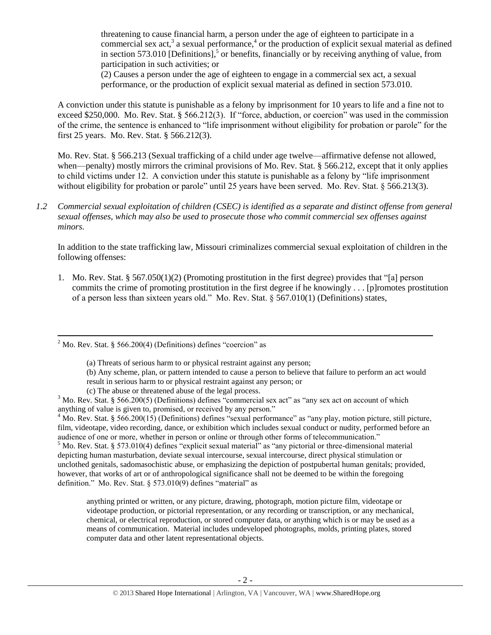<span id="page-1-1"></span><span id="page-1-0"></span>threatening to cause financial harm, a person under the age of eighteen to participate in a commercial sex act,<sup>3</sup> a sexual performance,<sup>4</sup> or the production of explicit sexual material as defined in section 573.010 [Definitions],<sup>5</sup> or benefits, financially or by receiving anything of value, from participation in such activities; or

(2) Causes a person under the age of eighteen to engage in a commercial sex act, a sexual performance, or the production of explicit sexual material as defined in section 573.010.

A conviction under this statute is punishable as a felony by imprisonment for 10 years to life and a fine not to exceed \$250,000. Mo. Rev. Stat. § 566.212(3). If "force, abduction, or coercion" was used in the commission of the crime, the sentence is enhanced to "life imprisonment without eligibility for probation or parole" for the first 25 years. Mo. Rev. Stat. § 566.212(3).

Mo. Rev. Stat. § 566.213 (Sexual trafficking of a child under age twelve—affirmative defense not allowed, when—penalty) mostly mirrors the criminal provisions of Mo. Rev. Stat. § 566.212, except that it only applies to child victims under 12. A conviction under this statute is punishable as a felony by "life imprisonment without eligibility for probation or parole" until 25 years have been served. Mo. Rev. Stat. § 566.213(3).

*1.2 Commercial sexual exploitation of children (CSEC) is identified as a separate and distinct offense from general sexual offenses, which may also be used to prosecute those who commit commercial sex offenses against minors.*

In addition to the state trafficking law, Missouri criminalizes commercial sexual exploitation of children in the following offenses:

1. Mo. Rev. Stat. § 567.050(1)(2) (Promoting prostitution in the first degree) provides that "[a] person commits the crime of promoting prostitution in the first degree if he knowingly . . . [p]romotes prostitution of a person less than sixteen years old." Mo. Rev. Stat. § 567.010(1) (Definitions) states,

 $\overline{a}$ 

 $4$  Mo. Rev. Stat. § 566.200(15) (Definitions) defines "sexual performance" as "any play, motion picture, still picture, film, videotape, video recording, dance, or exhibition which includes sexual conduct or nudity, performed before an audience of one or more, whether in person or online or through other forms of telecommunication."

 $<sup>5</sup>$  Mo. Rev. Stat. § 573.010(4) defines "explicit sexual material" as "any pictorial or three-dimensional material</sup> depicting human masturbation, deviate sexual intercourse, sexual intercourse, direct physical stimulation or unclothed genitals, sadomasochistic abuse, or emphasizing the depiction of postpubertal human genitals; provided, however, that works of art or of anthropological significance shall not be deemed to be within the foregoing definition." Mo. Rev. Stat. § 573.010(9) defines "material" as

anything printed or written, or any picture, drawing, photograph, motion picture film, videotape or videotape production, or pictorial representation, or any recording or transcription, or any mechanical, chemical, or electrical reproduction, or stored computer data, or anything which is or may be used as a means of communication. Material includes undeveloped photographs, molds, printing plates, stored computer data and other latent representational objects.

 $2^2$  Mo. Rev. Stat. § 566.200(4) (Definitions) defines "coercion" as

<sup>(</sup>a) Threats of serious harm to or physical restraint against any person;

<sup>(</sup>b) Any scheme, plan, or pattern intended to cause a person to believe that failure to perform an act would

result in serious harm to or physical restraint against any person; or

<sup>(</sup>c) The abuse or threatened abuse of the legal process.

<sup>&</sup>lt;sup>3</sup> Mo. Rev. Stat. § 566.200(5) (Definitions) defines "commercial sex act" as "any sex act on account of which anything of value is given to, promised, or received by any person."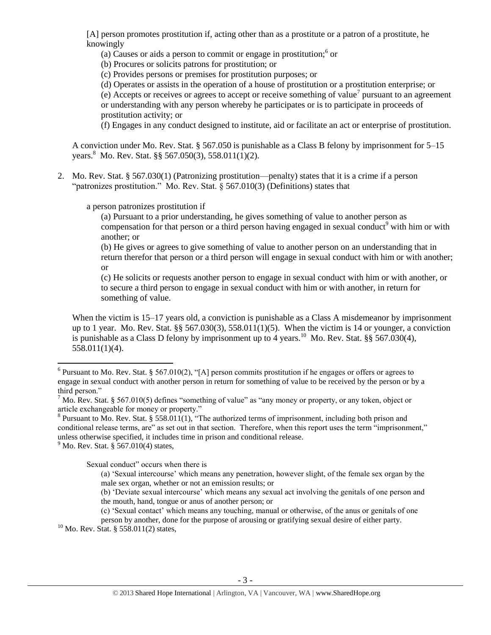[A] person promotes prostitution if, acting other than as a prostitute or a patron of a prostitute, he knowingly

<span id="page-2-2"></span>(a) Causes or aids a person to commit or engage in prostitution; $6$  or

(b) Procures or solicits patrons for prostitution; or

(c) Provides persons or premises for prostitution purposes; or

(d) Operates or assists in the operation of a house of prostitution or a prostitution enterprise; or

(e) Accepts or receives or agrees to accept or receive something of value<sup>7</sup> pursuant to an agreement or understanding with any person whereby he participates or is to participate in proceeds of prostitution activity; or

(f) Engages in any conduct designed to institute, aid or facilitate an act or enterprise of prostitution.

A conviction under Mo. Rev. Stat. § 567.050 is punishable as a Class B felony by imprisonment for 5–15 years.<sup>8</sup> Mo. Rev. Stat. §§ 567.050(3), 558.011(1)(2).

2. Mo. Rev. Stat. § 567.030(1) (Patronizing prostitution—penalty) states that it is a crime if a person "patronizes prostitution." Mo. Rev. Stat.  $\hat{\delta}$  567.010(3) (Definitions) states that

a person patronizes prostitution if

<span id="page-2-1"></span>(a) Pursuant to a prior understanding, he gives something of value to another person as compensation for that person or a third person having engaged in sexual conduct<sup>9</sup> with him or with another; or

(b) He gives or agrees to give something of value to another person on an understanding that in return therefor that person or a third person will engage in sexual conduct with him or with another; or

<span id="page-2-0"></span>(c) He solicits or requests another person to engage in sexual conduct with him or with another, or to secure a third person to engage in sexual conduct with him or with another, in return for something of value.

When the victim is 15–17 years old, a conviction is punishable as a Class A misdemeanor by imprisonment up to 1 year. Mo. Rev. Stat. §§ 567.030(3), 558.011(1)(5). When the victim is 14 or younger, a conviction is punishable as a Class D felony by imprisonment up to 4 years.<sup>10</sup> Mo. Rev. Stat. §§ 567.030(4), 558.011(1)(4).

 $<sup>9</sup>$  Mo. Rev. Stat. § 567.010(4) states,</sup>

Sexual conduct" occurs when there is

- (b) 'Deviate sexual intercourse' which means any sexual act involving the genitals of one person and the mouth, hand, tongue or anus of another person; or
- (c) 'Sexual contact' which means any touching, manual or otherwise, of the anus or genitals of one

person by another, done for the purpose of arousing or gratifying sexual desire of either party.

 $\overline{\phantom{a}}$  $6$  Pursuant to Mo. Rev. Stat. § 567.010(2), "[A] person commits prostitution if he engages or offers or agrees to engage in sexual conduct with another person in return for something of value to be received by the person or by a third person."

 $<sup>7</sup>$  Mo. Rev. Stat. § 567.010(5) defines "something of value" as "any money or property, or any token, object or</sup> article exchangeable for money or property."

<sup>&</sup>lt;sup>8</sup> Pursuant to Mo. Rev. Stat. § 558.011(1), "The authorized terms of imprisonment, including both prison and conditional release terms, are" as set out in that section. Therefore, when this report uses the term "imprisonment," unless otherwise specified, it includes time in prison and conditional release.

<sup>(</sup>a) 'Sexual intercourse' which means any penetration, however slight, of the female sex organ by the male sex organ, whether or not an emission results; or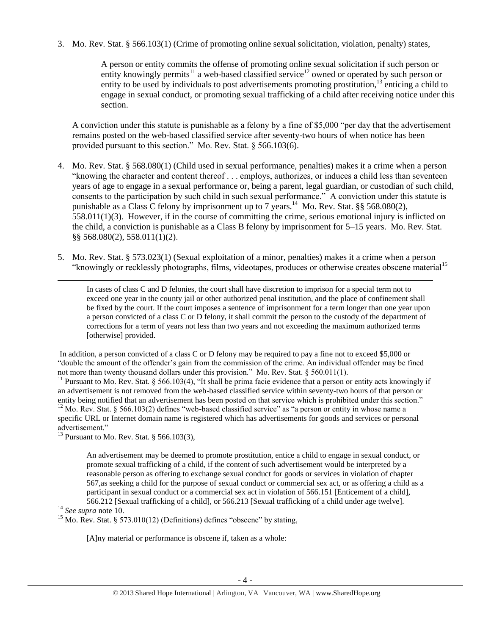3. Mo. Rev. Stat. § 566.103(1) (Crime of promoting online sexual solicitation, violation, penalty) states,

A person or entity commits the offense of promoting online sexual solicitation if such person or entity knowingly permits<sup>11</sup> a web-based classified service<sup>12</sup> owned or operated by such person or entity to be used by individuals to post advertisements promoting prostitution,<sup>13</sup> enticing a child to engage in sexual conduct, or promoting sexual trafficking of a child after receiving notice under this section.

A conviction under this statute is punishable as a felony by a fine of \$5,000 "per day that the advertisement remains posted on the web-based classified service after seventy-two hours of when notice has been provided pursuant to this section." Mo. Rev. Stat. § 566.103(6).

- 4. Mo. Rev. Stat. § 568.080(1) (Child used in sexual performance, penalties) makes it a crime when a person "knowing the character and content thereof . . . employs, authorizes, or induces a child less than seventeen years of age to engage in a sexual performance or, being a parent, legal guardian, or custodian of such child, consents to the participation by such child in such sexual performance." A conviction under this statute is punishable as a Class C felony by imprisonment up to 7 years.<sup>14</sup> Mo. Rev. Stat. §§ 568.080(2),  $558.011(1)(3)$ . However, if in the course of committing the crime, serious emotional injury is inflicted on the child, a conviction is punishable as a Class B felony by imprisonment for 5–15 years. Mo. Rev. Stat. §§ 568.080(2), 558.011(1)(2).
- 5. Mo. Rev. Stat. § 573.023(1) (Sexual exploitation of a minor, penalties) makes it a crime when a person "knowingly or recklessly photographs, films, videotapes, produces or otherwise creates obscene material<sup>15</sup>

<span id="page-3-0"></span>In cases of class C and D felonies, the court shall have discretion to imprison for a special term not to exceed one year in the county jail or other authorized penal institution, and the place of confinement shall be fixed by the court. If the court imposes a sentence of imprisonment for a term longer than one year upon a person convicted of a class C or D felony, it shall commit the person to the custody of the department of corrections for a term of years not less than two years and not exceeding the maximum authorized terms [otherwise] provided.

In addition, a person convicted of a class C or D felony may be required to pay a fine not to exceed \$5,000 or "double the amount of the offender's gain from the commission of the crime. An individual offender may be fined not more than twenty thousand dollars under this provision." Mo. Rev. Stat. § 560.011(1).

<sup>11</sup> Pursuant to Mo. Rev. Stat. § 566.103(4), "It shall be prima facie evidence that a person or entity acts knowingly if an advertisement is not removed from the web-based classified service within seventy-two hours of that person or entity being notified that an advertisement has been posted on that service which is prohibited under this section."  $12$  Mo. Rev. Stat. § 566.103(2) defines "web-based classified service" as "a person or entity in whose name a specific URL or Internet domain name is registered which has advertisements for goods and services or personal advertisement."

<sup>13</sup> Pursuant to Mo. Rev. Stat. § 566.103(3),

An advertisement may be deemed to promote prostitution, entice a child to engage in sexual conduct, or promote sexual trafficking of a child, if the content of such advertisement would be interpreted by a reasonable person as offering to exchange sexual conduct for goods or services in violation of chapter 567,as seeking a child for the purpose of sexual conduct or commercial sex act, or as offering a child as a participant in sexual conduct or a commercial sex act in violation of 566.151 [Enticement of a child], 566.212 [Sexual trafficking of a child], or 566.213 [Sexual trafficking of a child under age twelve].

<sup>14</sup> *See supra* note [10.](#page-2-0)

 $\overline{a}$ 

<sup>15</sup> Mo. Rev. Stat. § 573.010(12) (Definitions) defines "obscene" by stating,

[A]ny material or performance is obscene if, taken as a whole: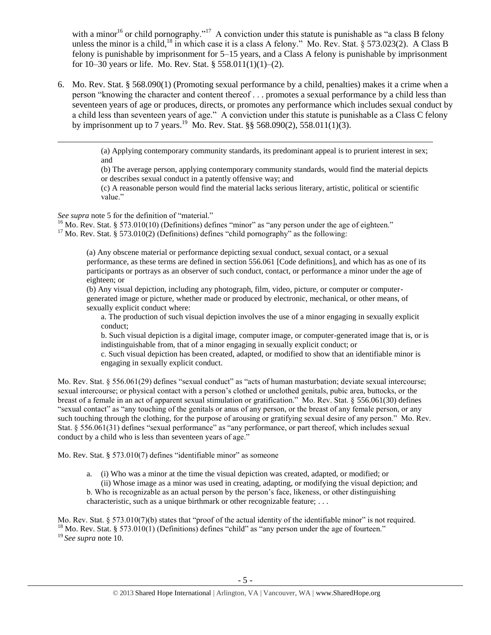<span id="page-4-1"></span><span id="page-4-0"></span>with a minor<sup>16</sup> or child pornography."<sup>17</sup> A conviction under this statute is punishable as "a class B felony unless the minor is a child,<sup>18</sup> in which case it is a class A felony." Mo. Rev. Stat. § 573.023(2). A Class B felony is punishable by imprisonment for 5–15 years, and a Class A felony is punishable by imprisonment for 10–30 years or life. Mo. Rev. Stat. § 558.011(1)(1)–(2).

6. Mo. Rev. Stat. § 568.090(1) (Promoting sexual performance by a child, penalties) makes it a crime when a person "knowing the character and content thereof . . . promotes a sexual performance by a child less than seventeen years of age or produces, directs, or promotes any performance which includes sexual conduct by a child less than seventeen years of age." A conviction under this statute is punishable as a Class C felony by imprisonment up to 7 years.<sup>19</sup> Mo. Rev. Stat. §§ 568.090(2), 558.011(1)(3).

> (a) Applying contemporary community standards, its predominant appeal is to prurient interest in sex; and

> (b) The average person, applying contemporary community standards, would find the material depicts or describes sexual conduct in a patently offensive way; and

(c) A reasonable person would find the material lacks serious literary, artistic, political or scientific value."

*See supra* note [5](#page-1-0) for the definition of "material."

 $\overline{\phantom{a}}$ 

 $16$  Mo. Rev. Stat. § 573.010(10) (Definitions) defines "minor" as "any person under the age of eighteen."  $17$  Mo. Rev. Stat. § 573.010(2) (Definitions) defines "child pornography" as the following:

(a) Any obscene material or performance depicting sexual conduct, sexual contact, or a sexual performance, as these terms are defined in section 556.061 [Code definitions], and which has as one of its participants or portrays as an observer of such conduct, contact, or performance a minor under the age of eighteen; or

(b) Any visual depiction, including any photograph, film, video, picture, or computer or computergenerated image or picture, whether made or produced by electronic, mechanical, or other means, of sexually explicit conduct where:

a. The production of such visual depiction involves the use of a minor engaging in sexually explicit conduct;

b. Such visual depiction is a digital image, computer image, or computer-generated image that is, or is indistinguishable from, that of a minor engaging in sexually explicit conduct; or

c. Such visual depiction has been created, adapted, or modified to show that an identifiable minor is engaging in sexually explicit conduct.

Mo. Rev. Stat. § 556.061(29) defines "sexual conduct" as "acts of human masturbation; deviate sexual intercourse; sexual intercourse; or physical contact with a person's clothed or unclothed genitals, pubic area, buttocks, or the breast of a female in an act of apparent sexual stimulation or gratification." Mo. Rev. Stat. § 556.061(30) defines "sexual contact" as "any touching of the genitals or anus of any person, or the breast of any female person, or any such touching through the clothing, for the purpose of arousing or gratifying sexual desire of any person." Mo. Rev. Stat. § 556.061(31) defines "sexual performance" as "any performance, or part thereof, which includes sexual conduct by a child who is less than seventeen years of age."

Mo. Rev. Stat. § 573.010(7) defines "identifiable minor" as someone

a. (i) Who was a minor at the time the visual depiction was created, adapted, or modified; or

(ii) Whose image as a minor was used in creating, adapting, or modifying the visual depiction; and b. Who is recognizable as an actual person by the person's face, likeness, or other distinguishing

characteristic, such as a unique birthmark or other recognizable feature; . . .

Mo. Rev. Stat. § 573.010(7)(b) states that "proof of the actual identity of the identifiable minor" is not required. <sup>18</sup> Mo. Rev. Stat. § 573.010(1) (Definitions) defines "child" as "any person under the age of fourteen." <sup>19</sup> *See supra* not[e 10.](#page-2-0)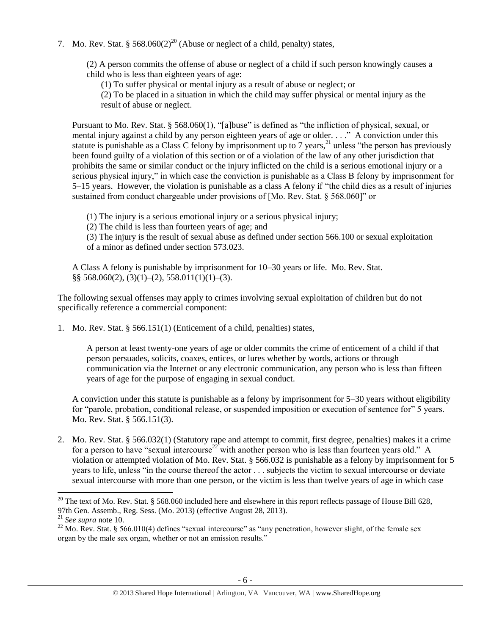7. Mo. Rev. Stat. §  $568.060(2)^{20}$  (Abuse or neglect of a child, penalty) states,

(2) A person commits the offense of abuse or neglect of a child if such person knowingly causes a child who is less than eighteen years of age:

<span id="page-5-1"></span>(1) To suffer physical or mental injury as a result of abuse or neglect; or

(2) To be placed in a situation in which the child may suffer physical or mental injury as the result of abuse or neglect.

Pursuant to Mo. Rev. Stat. § 568.060(1), "[a]buse" is defined as "the infliction of physical, sexual, or mental injury against a child by any person eighteen years of age or older. . . ." A conviction under this statute is punishable as a Class C felony by imprisonment up to 7 years,  $^{21}$  unless "the person has previously been found guilty of a violation of this section or of a violation of the law of any other jurisdiction that prohibits the same or similar conduct or the injury inflicted on the child is a serious emotional injury or a serious physical injury," in which case the conviction is punishable as a Class B felony by imprisonment for 5–15 years. However, the violation is punishable as a class A felony if "the child dies as a result of injuries sustained from conduct chargeable under provisions of [Mo. Rev. Stat. § 568.060]" or

(1) The injury is a serious emotional injury or a serious physical injury;

(2) The child is less than fourteen years of age; and

(3) The injury is the result of sexual abuse as defined under section 566.100 or sexual exploitation of a minor as defined under section 573.023.

A Class A felony is punishable by imprisonment for 10–30 years or life. Mo. Rev. Stat.  $\S$ § 568.060(2), (3)(1)–(2), 558.011(1)(1)–(3).

The following sexual offenses may apply to crimes involving sexual exploitation of children but do not specifically reference a commercial component:

1. Mo. Rev. Stat. § 566.151(1) (Enticement of a child, penalties) states,

A person at least twenty-one years of age or older commits the crime of enticement of a child if that person persuades, solicits, coaxes, entices, or lures whether by words, actions or through communication via the Internet or any electronic communication, any person who is less than fifteen years of age for the purpose of engaging in sexual conduct.

<span id="page-5-0"></span>A conviction under this statute is punishable as a felony by imprisonment for 5–30 years without eligibility for "parole, probation, conditional release, or suspended imposition or execution of sentence for" 5 years. Mo. Rev. Stat. § 566.151(3).

2. Mo. Rev. Stat. § 566.032(1) (Statutory rape and attempt to commit, first degree, penalties) makes it a crime for a person to have "sexual intercourse<sup>22</sup> with another person who is less than fourteen years old." A violation or attempted violation of Mo. Rev. Stat. § 566.032 is punishable as a felony by imprisonment for 5 years to life, unless "in the course thereof the actor . . . subjects the victim to sexual intercourse or deviate sexual intercourse with more than one person, or the victim is less than twelve years of age in which case

 $\overline{\phantom{a}}$ <sup>20</sup> The text of Mo. Rev. Stat. § 568.060 included here and elsewhere in this report reflects passage of House Bill 628, 97th Gen. Assemb., Reg. Sess. (Mo. 2013) (effective August 28, 2013).

<sup>21</sup> *See supra* note [10.](#page-2-0)

<sup>&</sup>lt;sup>22</sup> Mo. Rev. Stat. § 566.010(4) defines "sexual intercourse" as "any penetration, however slight, of the female sex organ by the male sex organ, whether or not an emission results."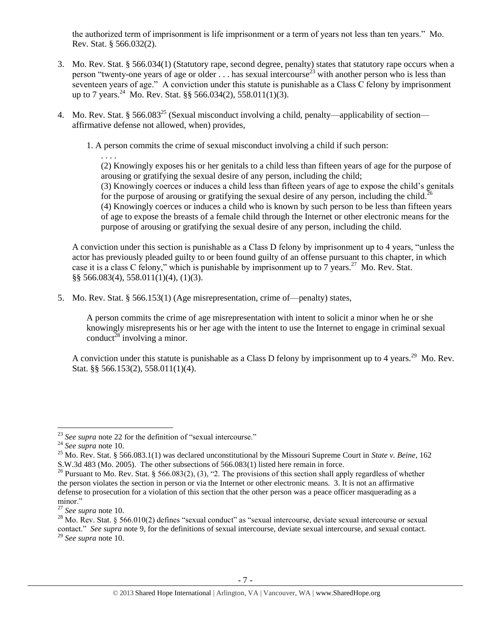the authorized term of imprisonment is life imprisonment or a term of years not less than ten years." Mo. Rev. Stat. § 566.032(2).

- 3. Mo. Rev. Stat. § 566.034(1) (Statutory rape, second degree, penalty) states that statutory rape occurs when a person "twenty-one years of age or older  $\ldots$  has sexual intercourse<sup>23</sup> with another person who is less than seventeen years of age." A conviction under this statute is punishable as a Class C felony by imprisonment up to 7 years.<sup>24</sup> Mo. Rev. Stat. §§ 566.034(2), 558.011(1)(3).
- 4. Mo. Rev. Stat. § 566.083<sup>25</sup> (Sexual misconduct involving a child, penalty—applicability of section affirmative defense not allowed, when) provides,

1. A person commits the crime of sexual misconduct involving a child if such person:

(2) Knowingly exposes his or her genitals to a child less than fifteen years of age for the purpose of arousing or gratifying the sexual desire of any person, including the child; (3) Knowingly coerces or induces a child less than fifteen years of age to expose the child's genitals for the purpose of arousing or gratifying the sexual desire of any person, including the child.<sup>26</sup> (4) Knowingly coerces or induces a child who is known by such person to be less than fifteen years of age to expose the breasts of a female child through the Internet or other electronic means for the purpose of arousing or gratifying the sexual desire of any person, including the child.

A conviction under this section is punishable as a Class D felony by imprisonment up to 4 years, "unless the actor has previously pleaded guilty to or been found guilty of an offense pursuant to this chapter, in which case it is a class C felony," which is punishable by imprisonment up to  $7$  years.<sup>27</sup> Mo. Rev. Stat. §§ 566.083(4), 558.011(1)(4), (1)(3).

5. Mo. Rev. Stat. § 566.153(1) (Age misrepresentation, crime of—penalty) states,

<span id="page-6-1"></span>A person commits the crime of age misrepresentation with intent to solicit a minor when he or she knowingly misrepresents his or her age with the intent to use the Internet to engage in criminal sexual conduct<sup>28</sup> involving a minor.

A conviction under this statute is punishable as a Class D felony by imprisonment up to 4 years.<sup>29</sup> Mo. Rev. Stat. §§ 566.153(2), 558.011(1)(4).

 $\overline{\phantom{a}}$ 

<span id="page-6-0"></span>. . . .

<sup>&</sup>lt;sup>23</sup> See supra note [22](#page-5-0) for the definition of "sexual intercourse."

<sup>24</sup> *See supra* note [10.](#page-2-0)

<sup>25</sup> Mo. Rev. Stat. § 566.083.1(1) was declared unconstitutional by the Missouri Supreme Court in *State v. Beine*, 162 S.W.3d 483 (Mo. 2005). The other subsections of 566.083(1) listed here remain in force.

<sup>&</sup>lt;sup>26</sup> Pursuant to Mo. Rev. Stat. § 566.083(2), (3), "2. The provisions of this section shall apply regardless of whether the person violates the section in person or via the Internet or other electronic means. 3. It is not an affirmative defense to prosecution for a violation of this section that the other person was a peace officer masquerading as a minor."

<sup>27</sup> *See supra* note [10.](#page-2-0)

 $^{28}$  Mo. Rev. Stat. § 566.010(2) defines "sexual conduct" as "sexual intercourse, deviate sexual intercourse or sexual contact." *See supra* note [9,](#page-2-1) for the definitions of sexual intercourse, deviate sexual intercourse, and sexual contact. <sup>29</sup> *See supra* note [10.](#page-2-0)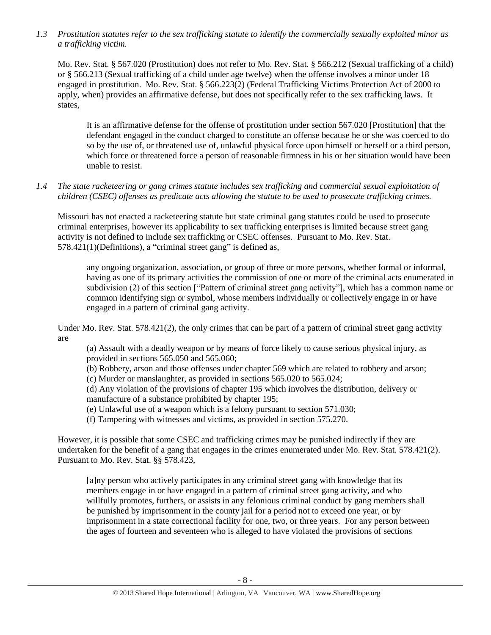*1.3 Prostitution statutes refer to the sex trafficking statute to identify the commercially sexually exploited minor as a trafficking victim.* 

Mo. Rev. Stat. § 567.020 (Prostitution) does not refer to Mo. Rev. Stat. § 566.212 (Sexual trafficking of a child) or § 566.213 (Sexual trafficking of a child under age twelve) when the offense involves a minor under 18 engaged in prostitution. Mo. Rev. Stat. § 566.223(2) (Federal Trafficking Victims Protection Act of 2000 to apply, when) provides an affirmative defense, but does not specifically refer to the sex trafficking laws. It states,

It is an affirmative defense for the offense of prostitution under section 567.020 [Prostitution] that the defendant engaged in the conduct charged to constitute an offense because he or she was coerced to do so by the use of, or threatened use of, unlawful physical force upon himself or herself or a third person, which force or threatened force a person of reasonable firmness in his or her situation would have been unable to resist.

# *1.4 The state racketeering or gang crimes statute includes sex trafficking and commercial sexual exploitation of children (CSEC) offenses as predicate acts allowing the statute to be used to prosecute trafficking crimes.*

Missouri has not enacted a racketeering statute but state criminal gang statutes could be used to prosecute criminal enterprises, however its applicability to sex trafficking enterprises is limited because street gang activity is not defined to include sex trafficking or CSEC offenses. Pursuant to Mo. Rev. Stat. 578.421(1)(Definitions), a "criminal street gang" is defined as,

any ongoing organization, association, or group of three or more persons, whether formal or informal, having as one of its primary activities the commission of one or more of the criminal acts enumerated in subdivision (2) of this section ["Pattern of criminal street gang activity"], which has a common name or common identifying sign or symbol, whose members individually or collectively engage in or have engaged in a pattern of criminal gang activity.

Under Mo. Rev. Stat. 578.421(2), the only crimes that can be part of a pattern of criminal street gang activity are

(a) Assault with a deadly weapon or by means of force likely to cause serious physical injury, as provided in sections 565.050 and 565.060;

(b) Robbery, arson and those offenses under chapter 569 which are related to robbery and arson;

(c) Murder or manslaughter, as provided in sections 565.020 to 565.024;

(d) Any violation of the provisions of chapter 195 which involves the distribution, delivery or manufacture of a substance prohibited by chapter 195;

(e) Unlawful use of a weapon which is a felony pursuant to section 571.030;

(f) Tampering with witnesses and victims, as provided in section 575.270.

However, it is possible that some CSEC and trafficking crimes may be punished indirectly if they are undertaken for the benefit of a gang that engages in the crimes enumerated under Mo. Rev. Stat. 578.421(2). Pursuant to Mo. Rev. Stat. §§ 578.423,

[a]ny person who actively participates in any criminal street gang with knowledge that its members engage in or have engaged in a pattern of criminal street gang activity, and who willfully promotes, furthers, or assists in any felonious criminal conduct by gang members shall be punished by imprisonment in the county jail for a period not to exceed one year, or by imprisonment in a state correctional facility for one, two, or three years. For any person between the ages of fourteen and seventeen who is alleged to have violated the provisions of sections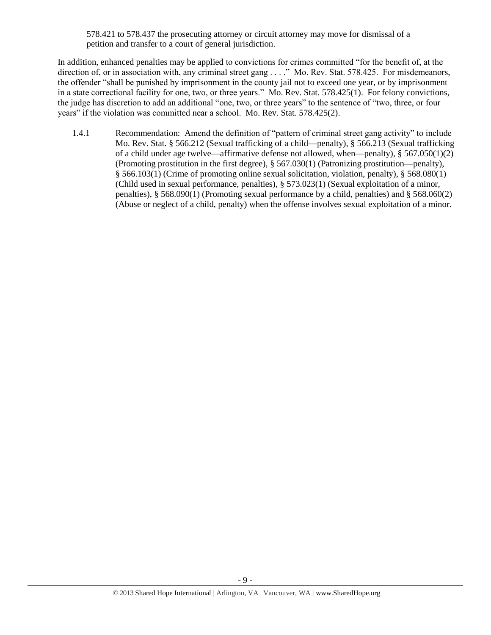578.421 to 578.437 the prosecuting attorney or circuit attorney may move for dismissal of a petition and transfer to a court of general jurisdiction.

In addition, enhanced penalties may be applied to convictions for crimes committed "for the benefit of, at the direction of, or in association with, any criminal street gang . . . ." Mo. Rev. Stat. 578.425. For misdemeanors, the offender "shall be punished by imprisonment in the county jail not to exceed one year, or by imprisonment in a state correctional facility for one, two, or three years." Mo. Rev. Stat. 578.425(1). For felony convictions, the judge has discretion to add an additional "one, two, or three years" to the sentence of "two, three, or four years" if the violation was committed near a school. Mo. Rev. Stat. 578.425(2).

1.4.1 Recommendation: Amend the definition of "pattern of criminal street gang activity" to include Mo. Rev. Stat. § 566.212 (Sexual trafficking of a child—penalty), § 566.213 (Sexual trafficking of a child under age twelve—affirmative defense not allowed, when—penalty), § 567.050(1)(2) (Promoting prostitution in the first degree), § 567.030(1) (Patronizing prostitution—penalty), § 566.103(1) (Crime of promoting online sexual solicitation, violation, penalty), § 568.080(1) (Child used in sexual performance, penalties), § 573.023(1) (Sexual exploitation of a minor, penalties), § 568.090(1) (Promoting sexual performance by a child, penalties) and § 568.060(2) (Abuse or neglect of a child, penalty) when the offense involves sexual exploitation of a minor.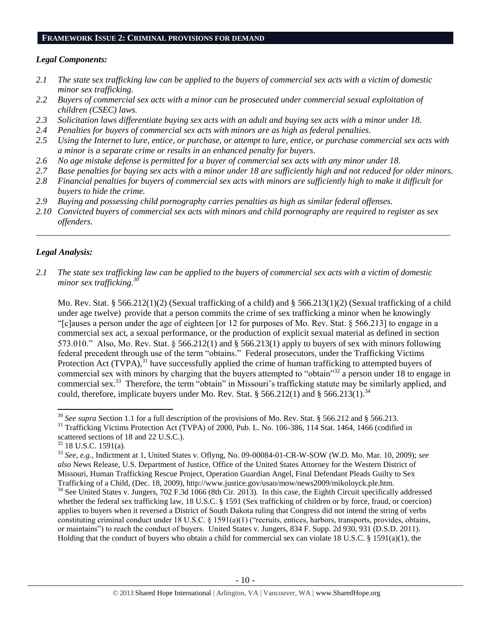#### **FRAMEWORK ISSUE 2: CRIMINAL PROVISIONS FOR DEMAND**

#### *Legal Components:*

- *2.1 The state sex trafficking law can be applied to the buyers of commercial sex acts with a victim of domestic minor sex trafficking.*
- *2.2 Buyers of commercial sex acts with a minor can be prosecuted under commercial sexual exploitation of children (CSEC) laws.*
- *2.3 Solicitation laws differentiate buying sex acts with an adult and buying sex acts with a minor under 18.*
- *2.4 Penalties for buyers of commercial sex acts with minors are as high as federal penalties.*
- *2.5 Using the Internet to lure, entice, or purchase, or attempt to lure, entice, or purchase commercial sex acts with a minor is a separate crime or results in an enhanced penalty for buyers.*
- *2.6 No age mistake defense is permitted for a buyer of commercial sex acts with any minor under 18.*
- *2.7 Base penalties for buying sex acts with a minor under 18 are sufficiently high and not reduced for older minors.*
- *2.8 Financial penalties for buyers of commercial sex acts with minors are sufficiently high to make it difficult for buyers to hide the crime.*
- *2.9 Buying and possessing child pornography carries penalties as high as similar federal offenses.*
- *2.10 Convicted buyers of commercial sex acts with minors and child pornography are required to register as sex offenders.*

\_\_\_\_\_\_\_\_\_\_\_\_\_\_\_\_\_\_\_\_\_\_\_\_\_\_\_\_\_\_\_\_\_\_\_\_\_\_\_\_\_\_\_\_\_\_\_\_\_\_\_\_\_\_\_\_\_\_\_\_\_\_\_\_\_\_\_\_\_\_\_\_\_\_\_\_\_\_\_\_\_\_\_\_\_\_\_\_\_\_\_\_\_\_

## *Legal Analysis:*

<span id="page-9-0"></span> $\overline{a}$ 

*2.1 The state sex trafficking law can be applied to the buyers of commercial sex acts with a victim of domestic minor sex trafficking.<sup>30</sup>*

Mo. Rev. Stat. § 566.212(1)(2) (Sexual trafficking of a child) and § 566.213(1)(2) (Sexual trafficking of a child under age twelve) provide that a person commits the crime of sex trafficking a minor when he knowingly "[c]auses a person under the age of eighteen [or 12 for purposes of Mo. Rev. Stat. § 566.213] to engage in a commercial sex act, a sexual performance, or the production of explicit sexual material as defined in section 573.010." Also, Mo. Rev. Stat. § 566.212(1) and § 566.213(1) apply to buyers of sex with minors following federal precedent through use of the term "obtains." Federal prosecutors, under the Trafficking Victims Protection Act (TVPA),<sup>31</sup> have successfully applied the crime of human trafficking to attempted buyers of commercial sex with minors by charging that the buyers attempted to "obtain"<sup>32</sup> a person under 18 to engage in commercial sex.<sup>33</sup> Therefore, the term "obtain" in Missouri's trafficking statute may be similarly applied, and could, therefore, implicate buyers under Mo. Rev. Stat. § 566.212(1) and § 566.213(1).<sup>34</sup>

<sup>&</sup>lt;sup>30</sup> *See supra* Section 1.1 for a full description of the provisions of Mo. Rev. Stat. § 566.212 and § 566.213.

<sup>&</sup>lt;sup>31</sup> Trafficking Victims Protection Act (TVPA) of 2000, Pub. L. No. 106-386, 114 Stat. 1464, 1466 (codified in scattered sections of 18 and 22 U.S.C.).

 $32$  18 U.S.C. 1591(a).

<sup>33</sup> *See, e.g*., Indictment at 1, United States v. Oflyng, No. 09-00084-01-CR-W-SOW (W.D. Mo. Mar. 10, 2009); *see also* News Release, U.S. Department of Justice, Office of the United States Attorney for the Western District of Missouri, Human Trafficking Rescue Project, Operation Guardian Angel, Final Defendant Pleads Guilty to Sex Trafficking of a Child, (Dec. 18, 2009), http://www.justice.gov/usao/mow/news2009/mikoloyck.ple.htm.  $34$  See United States v. Jungers, 702 F.3d 1066 (8th Cir. 2013). In this case, the Eighth Circuit specifically addressed whether the federal sex trafficking law, 18 U.S.C. § 1591 (Sex trafficking of children or by force, fraud, or coercion) applies to buyers when it reversed a District of South Dakota ruling that Congress did not intend the string of verbs constituting criminal conduct under 18 U.S.C. § 1591(a)(1) ("recruits, entices, harbors, transports, provides, obtains,

or maintains") to reach the conduct of buyers. United States v. Jungers, 834 F. Supp. 2d 930, 931 (D.S.D. 2011). Holding that the conduct of buyers who obtain a child for commercial sex can violate 18 U.S.C. § 1591(a)(1), the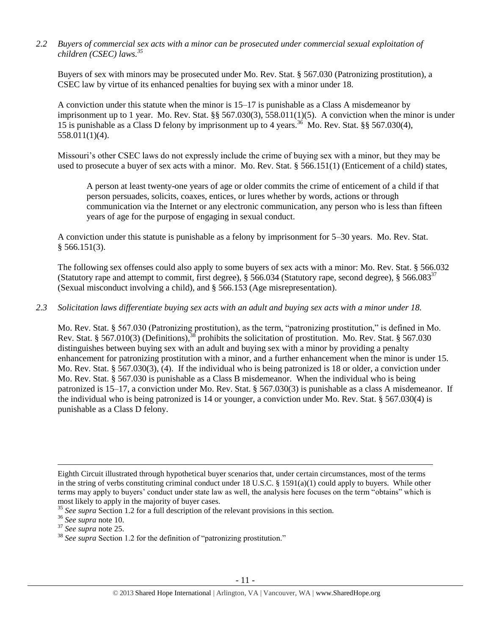*2.2 Buyers of commercial sex acts with a minor can be prosecuted under commercial sexual exploitation of children (CSEC) laws. 35* 

Buyers of sex with minors may be prosecuted under Mo. Rev. Stat. § 567.030 (Patronizing prostitution), a CSEC law by virtue of its enhanced penalties for buying sex with a minor under 18.

A conviction under this statute when the minor is 15–17 is punishable as a Class A misdemeanor by imprisonment up to 1 year. Mo. Rev. Stat. §§ 567.030(3), 558.011(1)(5). A conviction when the minor is under 15 is punishable as a Class D felony by imprisonment up to 4 years.<sup>36</sup> Mo. Rev. Stat. §§ 567.030(4), 558.011(1)(4).

Missouri's other CSEC laws do not expressly include the crime of buying sex with a minor, but they may be used to prosecute a buyer of sex acts with a minor. Mo. Rev. Stat. § 566.151(1) (Enticement of a child) states,

A person at least twenty-one years of age or older commits the crime of enticement of a child if that person persuades, solicits, coaxes, entices, or lures whether by words, actions or through communication via the Internet or any electronic communication, any person who is less than fifteen years of age for the purpose of engaging in sexual conduct.

A conviction under this statute is punishable as a felony by imprisonment for 5–30 years. Mo. Rev. Stat.  $§$  566.151(3).

The following sex offenses could also apply to some buyers of sex acts with a minor: Mo. Rev. Stat. § 566.032 (Statutory rape and attempt to commit, first degree),  $\S 566.034$  (Statutory rape, second degree),  $\S 566.083^{37}$ (Sexual misconduct involving a child), and § 566.153 (Age misrepresentation).

#### *2.3 Solicitation laws differentiate buying sex acts with an adult and buying sex acts with a minor under 18.*

Mo. Rev. Stat. § 567.030 (Patronizing prostitution), as the term, "patronizing prostitution," is defined in Mo. Rev. Stat. § 567.010(3) (Definitions),  $38$  prohibits the solicitation of prostitution. Mo. Rev. Stat. § 567.030 distinguishes between buying sex with an adult and buying sex with a minor by providing a penalty enhancement for patronizing prostitution with a minor, and a further enhancement when the minor is under 15. Mo. Rev. Stat. § 567.030(3), (4). If the individual who is being patronized is 18 or older, a conviction under Mo. Rev. Stat. § 567.030 is punishable as a Class B misdemeanor. When the individual who is being patronized is 15–17, a conviction under Mo. Rev. Stat. § 567.030(3) is punishable as a class A misdemeanor. If the individual who is being patronized is 14 or younger, a conviction under Mo. Rev. Stat. § 567.030(4) is punishable as a Class D felony.

 $\overline{a}$ 

Eighth Circuit illustrated through hypothetical buyer scenarios that, under certain circumstances, most of the terms in the string of verbs constituting criminal conduct under 18 U.S.C. § 1591(a)(1) could apply to buyers. While other terms may apply to buyers' conduct under state law as well, the analysis here focuses on the term "obtains" which is most likely to apply in the majority of buyer cases.

<sup>&</sup>lt;sup>35</sup> See supra Section 1.2 for a full description of the relevant provisions in this section.

<sup>36</sup> *See supra* note [10.](#page-2-0)

<sup>37</sup> *See supra* note [25.](#page-6-0) 

<sup>&</sup>lt;sup>38</sup> See supra Section 1.2 for the definition of "patronizing prostitution."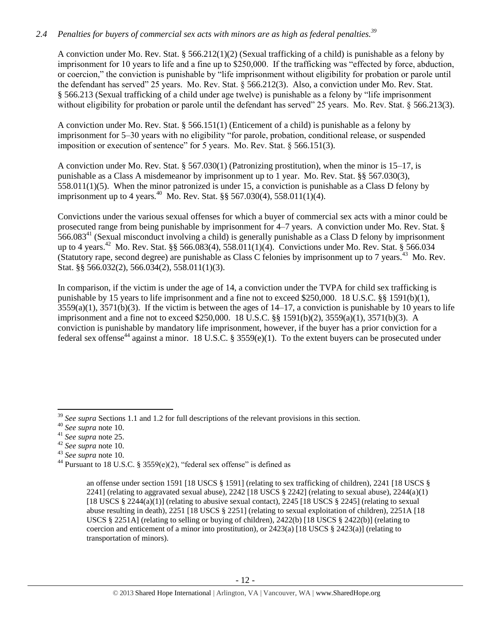# *2.4 Penalties for buyers of commercial sex acts with minors are as high as federal penalties.<sup>39</sup>*

A conviction under Mo. Rev. Stat. § 566.212(1)(2) (Sexual trafficking of a child) is punishable as a felony by imprisonment for 10 years to life and a fine up to \$250,000. If the trafficking was "effected by force, abduction, or coercion," the conviction is punishable by "life imprisonment without eligibility for probation or parole until the defendant has served" 25 years. Mo. Rev. Stat. § 566.212(3). Also, a conviction under Mo. Rev. Stat. § 566.213 (Sexual trafficking of a child under age twelve) is punishable as a felony by "life imprisonment without eligibility for probation or parole until the defendant has served" 25 years. Mo. Rev. Stat. § 566.213(3).

A conviction under Mo. Rev. Stat. § 566.151(1) (Enticement of a child) is punishable as a felony by imprisonment for 5–30 years with no eligibility "for parole, probation, conditional release, or suspended imposition or execution of sentence" for 5 years. Mo. Rev. Stat. § 566.151(3).

A conviction under Mo. Rev. Stat. § 567.030(1) (Patronizing prostitution), when the minor is 15–17, is punishable as a Class A misdemeanor by imprisonment up to 1 year. Mo. Rev. Stat. §§ 567.030(3), 558.011(1)(5). When the minor patronized is under 15, a conviction is punishable as a Class D felony by imprisonment up to 4 years.<sup>40</sup> Mo. Rev. Stat. §§ 567.030(4), 558.011(1)(4).

Convictions under the various sexual offenses for which a buyer of commercial sex acts with a minor could be prosecuted range from being punishable by imprisonment for 4–7 years. A conviction under Mo. Rev. Stat. §  $566.083<sup>41</sup>$  (Sexual misconduct involving a child) is generally punishable as a Class D felony by imprisonment up to 4 years.<sup>42</sup> Mo. Rev. Stat. §§ 566.083(4), 558.011(1)(4). Convictions under Mo. Rev. Stat. § 566.034 (Statutory rape, second degree) are punishable as Class C felonies by imprisonment up to 7 years.<sup>43</sup> Mo. Rev. Stat. §§ 566.032(2), 566.034(2), 558.011(1)(3).

<span id="page-11-0"></span>In comparison, if the victim is under the age of 14, a conviction under the TVPA for child sex trafficking is punishable by 15 years to life imprisonment and a fine not to exceed \$250,000. 18 U.S.C. §§ 1591(b)(1),  $3559(a)(1)$ ,  $3571(b)(3)$ . If the victim is between the ages of  $14-17$ , a conviction is punishable by 10 years to life imprisonment and a fine not to exceed \$250,000. 18 U.S.C. §§ 1591(b)(2), 3559(a)(1), 3571(b)(3). A conviction is punishable by mandatory life imprisonment, however, if the buyer has a prior conviction for a federal sex offense<sup>44</sup> against a minor. 18 U.S.C. § 3559(e)(1). To the extent buyers can be prosecuted under

 $\overline{a}$ <sup>39</sup> See supra Sections 1.1 and 1.2 for full descriptions of the relevant provisions in this section.

<sup>40</sup> *See supra* note [10.](#page-2-0)

<sup>41</sup> *See supra* note [25.](#page-6-0) 

<sup>42</sup> *See supra* note [10.](#page-2-0)

<sup>43</sup> *See supra* note [10.](#page-2-0)

<sup>&</sup>lt;sup>44</sup> Pursuant to 18 U.S.C. § 3559(e)(2), "federal sex offense" is defined as

an offense under section 1591 [18 USCS § 1591] (relating to sex trafficking of children), 2241 [18 USCS § 2241] (relating to aggravated sexual abuse),  $2242$  [18 USCS § 2242] (relating to sexual abuse),  $2244(a)(1)$ [18 USCS § 2244(a)(1)] (relating to abusive sexual contact), 2245 [18 USCS § 2245] (relating to sexual abuse resulting in death), 2251 [18 USCS § 2251] (relating to sexual exploitation of children), 2251A [18 USCS § 2251A] (relating to selling or buying of children), 2422(b) [18 USCS § 2422(b)] (relating to coercion and enticement of a minor into prostitution), or  $2423(a)$  [18 USCS §  $2423(a)$ ] (relating to transportation of minors).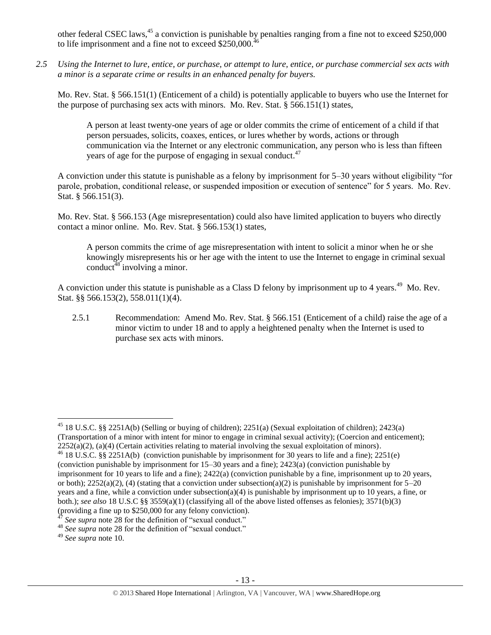other federal CSEC laws,<sup>45</sup> a conviction is punishable by penalties ranging from a fine not to exceed \$250,000 to life imprisonment and a fine not to exceed  $$250,000$ .

*2.5 Using the Internet to lure, entice, or purchase, or attempt to lure, entice, or purchase commercial sex acts with a minor is a separate crime or results in an enhanced penalty for buyers.*

Mo. Rev. Stat. § 566.151(1) (Enticement of a child) is potentially applicable to buyers who use the Internet for the purpose of purchasing sex acts with minors. Mo. Rev. Stat. § 566.151(1) states,

A person at least twenty-one years of age or older commits the crime of enticement of a child if that person persuades, solicits, coaxes, entices, or lures whether by words, actions or through communication via the Internet or any electronic communication, any person who is less than fifteen years of age for the purpose of engaging in sexual conduct.<sup>47</sup>

A conviction under this statute is punishable as a felony by imprisonment for 5–30 years without eligibility "for parole, probation, conditional release, or suspended imposition or execution of sentence" for 5 years. Mo. Rev. Stat. § 566.151(3).

Mo. Rev. Stat. § 566.153 (Age misrepresentation) could also have limited application to buyers who directly contact a minor online. Mo. Rev. Stat. § 566.153(1) states,

A person commits the crime of age misrepresentation with intent to solicit a minor when he or she knowingly misrepresents his or her age with the intent to use the Internet to engage in criminal sexual conduct<sup>48</sup> involving a minor.

A conviction under this statute is punishable as a Class D felony by imprisonment up to 4 years.<sup>49</sup> Mo. Rev. Stat. §§ 566.153(2), 558.011(1)(4).

2.5.1 Recommendation: Amend Mo. Rev. Stat. § 566.151 (Enticement of a child) raise the age of a minor victim to under 18 and to apply a heightened penalty when the Internet is used to purchase sex acts with minors.

 $\overline{\phantom{a}}$ <sup>45</sup> 18 U.S.C. §§ 2251A(b) (Selling or buying of children); 2251(a) (Sexual exploitation of children); 2423(a) (Transportation of a minor with intent for minor to engage in criminal sexual activity); (Coercion and enticement);  $2252(a)(2)$ ,  $(a)(4)$  (Certain activities relating to material involving the sexual exploitation of minors).

 $^{46}$  18 U.S.C. §§ 2251A(b) (conviction punishable by imprisonment for 30 years to life and a fine); 2251(e) (conviction punishable by imprisonment for 15–30 years and a fine); 2423(a) (conviction punishable by imprisonment for 10 years to life and a fine); 2422(a) (conviction punishable by a fine, imprisonment up to 20 years, or both);  $2252(a)(2)$ , (4) (stating that a conviction under subsection(a)(2) is punishable by imprisonment for  $5-20$ years and a fine, while a conviction under subsection(a)(4) is punishable by imprisonment up to 10 years, a fine, or both.); *see also* 18 U.S.C §§ 3559(a)(1) (classifying all of the above listed offenses as felonies); 3571(b)(3) (providing a fine up to \$250,000 for any felony conviction).

See supra note [28](#page-6-1) for the definition of "sexual conduct."

<sup>&</sup>lt;sup>48</sup> *See supra* note [28](#page-6-1) for the definition of "sexual conduct."

<sup>49</sup> *See supra* note [10.](#page-2-0)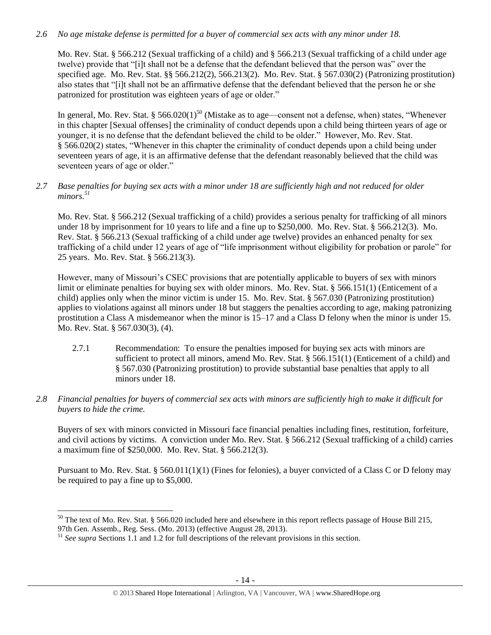## *2.6 No age mistake defense is permitted for a buyer of commercial sex acts with any minor under 18.*

Mo. Rev. Stat. § 566.212 (Sexual trafficking of a child) and § 566.213 (Sexual trafficking of a child under age twelve) provide that "[i]t shall not be a defense that the defendant believed that the person was" over the specified age. Mo. Rev. Stat. §§ 566.212(2), 566.213(2). Mo. Rev. Stat. § 567.030(2) (Patronizing prostitution) also states that "[i]t shall not be an affirmative defense that the defendant believed that the person he or she patronized for prostitution was eighteen years of age or older."

<span id="page-13-0"></span>In general, Mo. Rev. Stat. § 566.020 $(1)^{50}$  (Mistake as to age—consent not a defense, when) states, "Whenever in this chapter [Sexual offenses] the criminality of conduct depends upon a child being thirteen years of age or younger, it is no defense that the defendant believed the child to be older." However, Mo. Rev. Stat. § 566.020(2) states, "Whenever in this chapter the criminality of conduct depends upon a child being under seventeen years of age, it is an affirmative defense that the defendant reasonably believed that the child was seventeen years of age or older."

#### *2.7 Base penalties for buying sex acts with a minor under 18 are sufficiently high and not reduced for older minors. 51*

Mo. Rev. Stat. § 566.212 (Sexual trafficking of a child) provides a serious penalty for trafficking of all minors under 18 by imprisonment for 10 years to life and a fine up to \$250,000. Mo. Rev. Stat. § 566.212(3). Mo. Rev. Stat. § 566.213 (Sexual trafficking of a child under age twelve) provides an enhanced penalty for sex trafficking of a child under 12 years of age of "life imprisonment without eligibility for probation or parole" for 25 years. Mo. Rev. Stat. § 566.213(3).

However, many of Missouri's CSEC provisions that are potentially applicable to buyers of sex with minors limit or eliminate penalties for buying sex with older minors. Mo. Rev. Stat. § 566.151(1) (Enticement of a child) applies only when the minor victim is under 15. Mo. Rev. Stat. § 567.030 (Patronizing prostitution) applies to violations against all minors under 18 but staggers the penalties according to age, making patronizing prostitution a Class A misdemeanor when the minor is 15–17 and a Class D felony when the minor is under 15. Mo. Rev. Stat. § 567.030(3), (4).

- 2.7.1 Recommendation: To ensure the penalties imposed for buying sex acts with minors are sufficient to protect all minors, amend Mo. Rev. Stat. § 566.151(1) (Enticement of a child) and § 567.030 (Patronizing prostitution) to provide substantial base penalties that apply to all minors under 18.
- *2.8 Financial penalties for buyers of commercial sex acts with minors are sufficiently high to make it difficult for buyers to hide the crime.*

Buyers of sex with minors convicted in Missouri face financial penalties including fines, restitution, forfeiture, and civil actions by victims. A conviction under Mo. Rev. Stat. § 566.212 (Sexual trafficking of a child) carries a maximum fine of \$250,000. Mo. Rev. Stat. § 566.212(3).

Pursuant to Mo. Rev. Stat. § 560.011(1)(1) (Fines for felonies), a buyer convicted of a Class C or D felony may be required to pay a fine up to \$5,000.

 $50$  The text of Mo. Rev. Stat. § 566.020 included here and elsewhere in this report reflects passage of House Bill 215,

<sup>97</sup>th Gen. Assemb., Reg. Sess. (Mo. 2013) (effective August 28, 2013).

<sup>&</sup>lt;sup>51</sup> See supra Sections 1.1 and 1.2 for full descriptions of the relevant provisions in this section.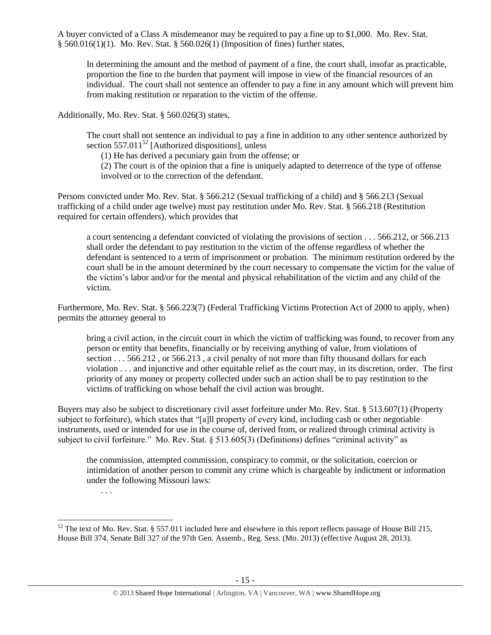A buyer convicted of a Class A misdemeanor may be required to pay a fine up to \$1,000. Mo. Rev. Stat. § 560.016(1)(1). Mo. Rev. Stat. § 560.026(1) (Imposition of fines) further states,

In determining the amount and the method of payment of a fine, the court shall, insofar as practicable, proportion the fine to the burden that payment will impose in view of the financial resources of an individual. The court shall not sentence an offender to pay a fine in any amount which will prevent him from making restitution or reparation to the victim of the offense.

Additionally, Mo. Rev. Stat. § 560.026(3) states,

The court shall not sentence an individual to pay a fine in addition to any other sentence authorized by section 557.011 $^{52}$  [Authorized dispositions], unless

<span id="page-14-0"></span>(1) He has derived a pecuniary gain from the offense; or

(2) The court is of the opinion that a fine is uniquely adapted to deterrence of the type of offense involved or to the correction of the defendant.

Persons convicted under Mo. Rev. Stat. § 566.212 (Sexual trafficking of a child) and § 566.213 (Sexual trafficking of a child under age twelve) must pay restitution under Mo. Rev. Stat. § 566.218 (Restitution required for certain offenders), which provides that

a court sentencing a defendant convicted of violating the provisions of section . . . 566.212, or 566.213 shall order the defendant to pay restitution to the victim of the offense regardless of whether the defendant is sentenced to a term of imprisonment or probation. The minimum restitution ordered by the court shall be in the amount determined by the court necessary to compensate the victim for the value of the victim's labor and/or for the mental and physical rehabilitation of the victim and any child of the victim.

Furthermore, Mo. Rev. Stat. § 566.223(7) (Federal Trafficking Victims Protection Act of 2000 to apply, when) permits the attorney general to

bring a civil action, in the circuit court in which the victim of trafficking was found, to recover from any person or entity that benefits, financially or by receiving anything of value, from violations of section . . . 566.212 , or 566.213 , a civil penalty of not more than fifty thousand dollars for each violation . . . and injunctive and other equitable relief as the court may, in its discretion, order. The first priority of any money or property collected under such an action shall be to pay restitution to the victims of trafficking on whose behalf the civil action was brought.

Buyers may also be subject to discretionary civil asset forfeiture under Mo. Rev. Stat. § 513.607(1) (Property subject to forfeiture), which states that "[a]ll property of every kind, including cash or other negotiable instruments, used or intended for use in the course of, derived from, or realized through criminal activity is subject to civil forfeiture." Mo. Rev. Stat. § 513.605(3) (Definitions) defines "criminal activity" as

the commission, attempted commission, conspiracy to commit, or the solicitation, coercion or intimidation of another person to commit any crime which is chargeable by indictment or information under the following Missouri laws:

. . .

l

 $52$  The text of Mo. Rev. Stat. § 557.011 included here and elsewhere in this report reflects passage of House Bill 215, House Bill 374, Senate Bill 327 of the 97th Gen. Assemb., Reg. Sess. (Mo. 2013) (effective August 28, 2013).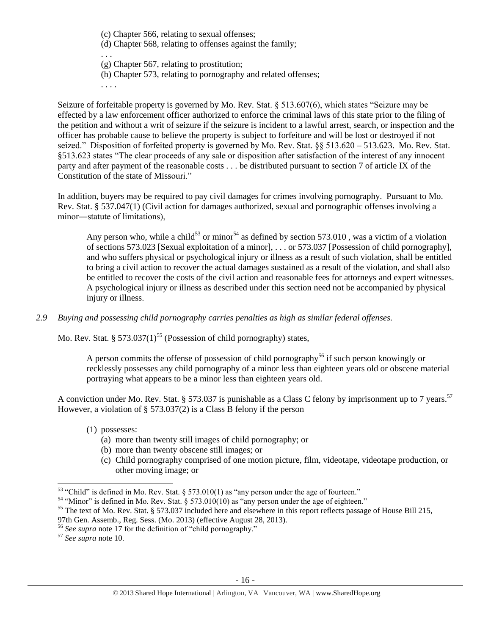(c) Chapter 566, relating to sexual offenses;

(d) Chapter 568, relating to offenses against the family;

. . . (g) Chapter 567, relating to prostitution;

(h) Chapter 573, relating to pornography and related offenses;

. . . .

Seizure of forfeitable property is governed by Mo. Rev. Stat. § 513.607(6), which states "Seizure may be effected by a law enforcement officer authorized to enforce the criminal laws of this state prior to the filing of the petition and without a writ of seizure if the seizure is incident to a lawful arrest, search, or inspection and the officer has probable cause to believe the property is subject to forfeiture and will be lost or destroyed if not seized." Disposition of forfeited property is governed by Mo. Rev. Stat. §§ 513.620 – 513.623. Mo. Rev. Stat. §513.623 states "The clear proceeds of any sale or disposition after satisfaction of the interest of any innocent party and after payment of the reasonable costs . . . be distributed pursuant to section 7 of article IX of the Constitution of the state of Missouri."

In addition, buyers may be required to pay civil damages for crimes involving pornography. Pursuant to Mo. Rev. Stat. § 537.047(1) (Civil action for damages authorized, sexual and pornographic offenses involving a minor―statute of limitations),

Any person who, while a child<sup>53</sup> or minor<sup>54</sup> as defined by section 573.010, was a victim of a violation of sections 573.023 [Sexual exploitation of a minor], . . . or 573.037 [Possession of child pornography], and who suffers physical or psychological injury or illness as a result of such violation, shall be entitled to bring a civil action to recover the actual damages sustained as a result of the violation, and shall also be entitled to recover the costs of the civil action and reasonable fees for attorneys and expert witnesses. A psychological injury or illness as described under this section need not be accompanied by physical injury or illness.

*2.9 Buying and possessing child pornography carries penalties as high as similar federal offenses.*

Mo. Rev. Stat. § 573.037(1)<sup>55</sup> (Possession of child pornography) states,

A person commits the offense of possession of child pornography<sup>56</sup> if such person knowingly or recklessly possesses any child pornography of a minor less than eighteen years old or obscene material portraying what appears to be a minor less than eighteen years old.

A conviction under Mo. Rev. Stat. § 573.037 is punishable as a Class C felony by imprisonment up to 7 years.<sup>57</sup> However, a violation of § 573.037(2) is a Class B felony if the person

- (1) possesses:
	- (a) more than twenty still images of child pornography; or
	- (b) more than twenty obscene still images; or
	- (c) Child pornography comprised of one motion picture, film, videotape, videotape production, or other moving image; or

 $53$  "Child" is defined in Mo. Rev. Stat. § 573.010(1) as "any person under the age of fourteen."

 $54$  "Minor" is defined in Mo. Rev. Stat. § 573.010(10) as "any person under the age of eighteen."

<sup>&</sup>lt;sup>55</sup> The text of Mo. Rev. Stat. § 573.037 included here and elsewhere in this report reflects passage of House Bill 215,

<sup>97</sup>th Gen. Assemb., Reg. Sess. (Mo. 2013) (effective August 28, 2013).

<sup>56</sup> *See supra* note [17](#page-4-0) for the definition of "child pornography."

<sup>57</sup> *See supra* note [10.](#page-2-0)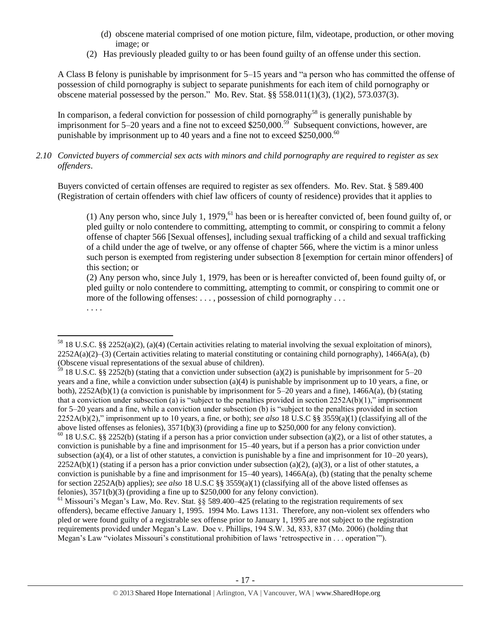- (d) obscene material comprised of one motion picture, film, videotape, production, or other moving image; or
- (2) Has previously pleaded guilty to or has been found guilty of an offense under this section.

A Class B felony is punishable by imprisonment for 5–15 years and "a person who has committed the offense of possession of child pornography is subject to separate punishments for each item of child pornography or obscene material possessed by the person." Mo. Rev. Stat. §§ 558.011(1)(3), (1)(2), 573.037(3).

In comparison, a federal conviction for possession of child pornography<sup>58</sup> is generally punishable by imprisonment for 5–20 years and a fine not to exceed \$250,000.<sup>59</sup> Subsequent convictions, however, are punishable by imprisonment up to 40 years and a fine not to exceed \$250,000.<sup>60</sup>

*2.10 Convicted buyers of commercial sex acts with minors and child pornography are required to register as sex offenders*.

Buyers convicted of certain offenses are required to register as sex offenders. Mo. Rev. Stat. § 589.400 (Registration of certain offenders with chief law officers of county of residence) provides that it applies to

<span id="page-16-0"></span>(1) Any person who, since July 1, 1979,  $61$  has been or is hereafter convicted of, been found guilty of, or pled guilty or nolo contendere to committing, attempting to commit, or conspiring to commit a felony offense of chapter 566 [Sexual offenses], including sexual trafficking of a child and sexual trafficking of a child under the age of twelve, or any offense of chapter 566, where the victim is a minor unless such person is exempted from registering under subsection 8 [exemption for certain minor offenders] of this section; or

(2) Any person who, since July 1, 1979, has been or is hereafter convicted of, been found guilty of, or pled guilty or nolo contendere to committing, attempting to commit, or conspiring to commit one or more of the following offenses: . . . , possession of child pornography . . .

. . . .

 $\overline{a}$ 

 $58$  18 U.S.C. §§ 2252(a)(2), (a)(4) (Certain activities relating to material involving the sexual exploitation of minors),  $2252A(a)(2)$ –(3) (Certain activities relating to material constituting or containing child pornography), 1466A(a), (b) (Obscene visual representations of the sexual abuse of children).

 $\frac{59}{2}$  18 U.S.C. §§ 2252(b) (stating that a conviction under subsection (a)(2) is punishable by imprisonment for 5–20 years and a fine, while a conviction under subsection (a)(4) is punishable by imprisonment up to 10 years, a fine, or both),  $2252A(b)(1)$  (a conviction is punishable by imprisonment for  $5-20$  years and a fine),  $1466A(a)$ , (b) (stating that a conviction under subsection (a) is "subject to the penalties provided in section 2252A(b)(1)," imprisonment for 5–20 years and a fine, while a conviction under subsection (b) is "subject to the penalties provided in section 2252A(b)(2)," imprisonment up to 10 years, a fine, or both); *see also* 18 U.S.C §§ 3559(a)(1) (classifying all of the above listed offenses as felonies), 3571(b)(3) (providing a fine up to \$250,000 for any felony conviction).

 $60$  18 U.S.C. §§ 2252(b) (stating if a person has a prior conviction under subsection (a)(2), or a list of other statutes, a conviction is punishable by a fine and imprisonment for 15–40 years, but if a person has a prior conviction under subsection (a)(4), or a list of other statutes, a conviction is punishable by a fine and imprisonment for  $10-20$  years),  $2252A(b)(1)$  (stating if a person has a prior conviction under subsection (a)(2), (a)(3), or a list of other statutes, a conviction is punishable by a fine and imprisonment for  $15-40$  years),  $1466A(a)$ , (b) (stating that the penalty scheme for section 2252A(b) applies); *see also* 18 U.S.C §§ 3559(a)(1) (classifying all of the above listed offenses as felonies), 3571(b)(3) (providing a fine up to \$250,000 for any felony conviction).

 $<sup>61</sup>$  Missouri's Megan's Law, Mo. Rev. Stat. §§ 589.400–425 (relating to the registration requirements of sex</sup> offenders), became effective January 1, 1995. 1994 Mo. Laws 1131. Therefore, any non-violent sex offenders who pled or were found guilty of a registrable sex offense prior to January 1, 1995 are not subject to the registration requirements provided under Megan's Law. Doe v. Phillips, 194 S.W. 3d, 833, 837 (Mo. 2006) (holding that Megan's Law "violates Missouri's constitutional prohibition of laws 'retrospective in . . . operation'").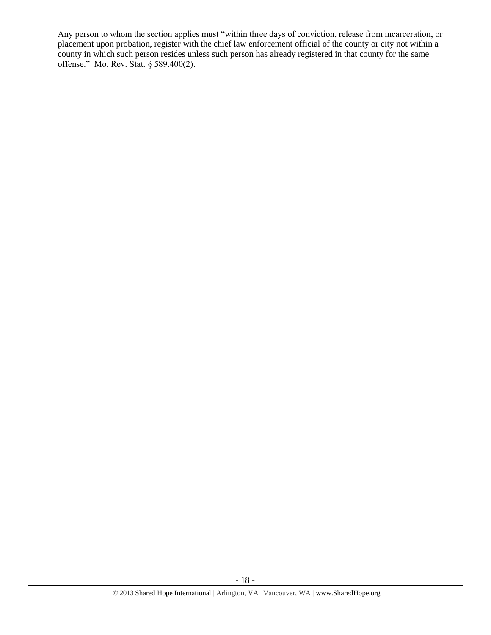Any person to whom the section applies must "within three days of conviction, release from incarceration, or placement upon probation, register with the chief law enforcement official of the county or city not within a county in which such person resides unless such person has already registered in that county for the same offense." Mo. Rev. Stat. § 589.400(2).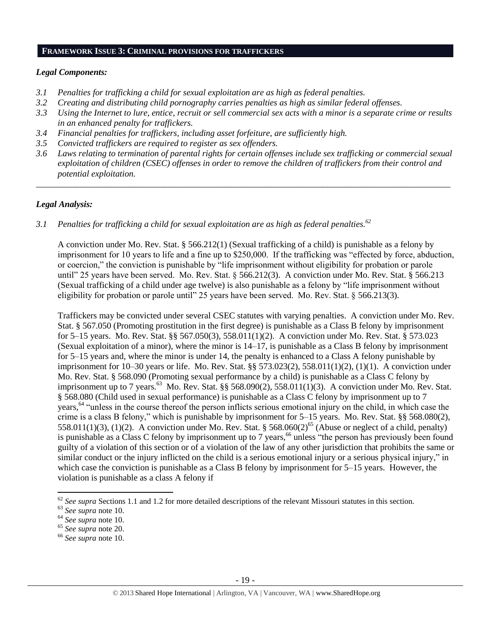#### **FRAMEWORK ISSUE 3: CRIMINAL PROVISIONS FOR TRAFFICKERS**

#### *Legal Components:*

- *3.1 Penalties for trafficking a child for sexual exploitation are as high as federal penalties.*
- *3.2 Creating and distributing child pornography carries penalties as high as similar federal offenses.*
- *3.3 Using the Internet to lure, entice, recruit or sell commercial sex acts with a minor is a separate crime or results in an enhanced penalty for traffickers.*
- *3.4 Financial penalties for traffickers, including asset forfeiture, are sufficiently high.*
- *3.5 Convicted traffickers are required to register as sex offenders.*
- *3.6 Laws relating to termination of parental rights for certain offenses include sex trafficking or commercial sexual exploitation of children (CSEC) offenses in order to remove the children of traffickers from their control and potential exploitation.*

*\_\_\_\_\_\_\_\_\_\_\_\_\_\_\_\_\_\_\_\_\_\_\_\_\_\_\_\_\_\_\_\_\_\_\_\_\_\_\_\_\_\_\_\_\_\_\_\_\_\_\_\_\_\_\_\_\_\_\_\_\_\_\_\_\_\_\_\_\_\_\_\_\_\_\_\_\_\_\_\_\_\_\_\_\_\_\_\_\_\_\_\_\_\_*

#### *Legal Analysis:*

*3.1 Penalties for trafficking a child for sexual exploitation are as high as federal penalties.<sup>62</sup>*

A conviction under Mo. Rev. Stat. § 566.212(1) (Sexual trafficking of a child) is punishable as a felony by imprisonment for 10 years to life and a fine up to \$250,000. If the trafficking was "effected by force, abduction, or coercion," the conviction is punishable by "life imprisonment without eligibility for probation or parole until" 25 years have been served. Mo. Rev. Stat. § 566.212(3). A conviction under Mo. Rev. Stat. § 566.213 (Sexual trafficking of a child under age twelve) is also punishable as a felony by "life imprisonment without eligibility for probation or parole until" 25 years have been served. Mo. Rev. Stat. § 566.213(3).

Traffickers may be convicted under several CSEC statutes with varying penalties. A conviction under Mo. Rev. Stat. § 567.050 (Promoting prostitution in the first degree) is punishable as a Class B felony by imprisonment for 5–15 years. Mo. Rev. Stat. §§ 567.050(3), 558.011(1)(2). A conviction under Mo. Rev. Stat. § 573.023 (Sexual exploitation of a minor), where the minor is 14–17, is punishable as a Class B felony by imprisonment for 5–15 years and, where the minor is under 14, the penalty is enhanced to a Class A felony punishable by imprisonment for 10–30 years or life. Mo. Rev. Stat. §§ 573.023(2), 558.011(1)(2), (1)(1). A conviction under Mo. Rev. Stat. § 568.090 (Promoting sexual performance by a child) is punishable as a Class C felony by imprisonment up to 7 years.<sup>63</sup> Mo. Rev. Stat. §§ 568.090(2), 558.011(1)(3). A conviction under Mo. Rev. Stat. § 568.080 (Child used in sexual performance) is punishable as a Class C felony by imprisonment up to 7 years,<sup>64</sup> "unless in the course thereof the person inflicts serious emotional injury on the child, in which case the crime is a class B felony," which is punishable by imprisonment for 5–15 years. Mo. Rev. Stat. §§ 568.080(2), 558.011(1)(3), (1)(2). A conviction under Mo. Rev. Stat. § 568.060(2)<sup>65</sup> (Abuse or neglect of a child, penalty) is punishable as a Class C felony by imprisonment up to 7 years,<sup>66</sup> unless "the person has previously been found guilty of a violation of this section or of a violation of the law of any other jurisdiction that prohibits the same or similar conduct or the injury inflicted on the child is a serious emotional injury or a serious physical injury," in which case the conviction is punishable as a Class B felony by imprisonment for 5–15 years. However, the violation is punishable as a class A felony if

<sup>&</sup>lt;sup>62</sup> See supra Sections 1.1 and 1.2 for more detailed descriptions of the relevant Missouri statutes in this section.

<sup>63</sup> *See supra* note [10.](#page-2-0)

<sup>64</sup> *See supra* note [10.](#page-2-0)

<sup>65</sup> *See supra* note [20.](#page-5-1)

<sup>66</sup> *See supra* note [10.](#page-2-0)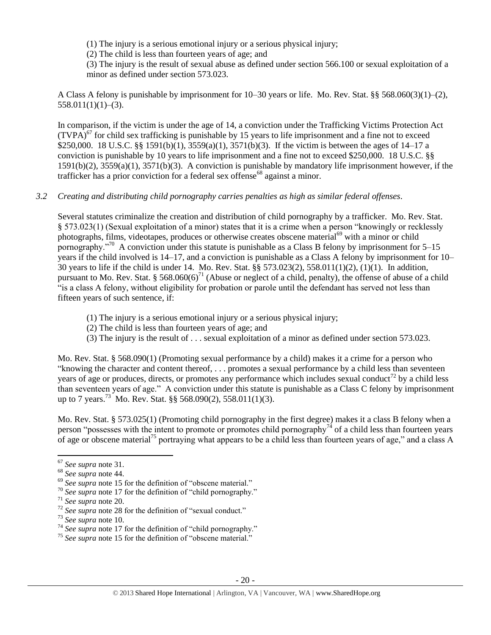(1) The injury is a serious emotional injury or a serious physical injury;

(2) The child is less than fourteen years of age; and

(3) The injury is the result of sexual abuse as defined under section 566.100 or sexual exploitation of a minor as defined under section 573.023.

A Class A felony is punishable by imprisonment for 10–30 years or life. Mo. Rev. Stat. §§ 568.060(3)(1)–(2),  $558.011(1)(1)–(3)$ .

In comparison, if the victim is under the age of 14, a conviction under the Trafficking Victims Protection Act  $(TVPA)<sup>67</sup>$  for child sex trafficking is punishable by 15 years to life imprisonment and a fine not to exceed \$250,000. 18 U.S.C. §§ 1591(b)(1), 3559(a)(1), 3571(b)(3). If the victim is between the ages of 14–17 a conviction is punishable by 10 years to life imprisonment and a fine not to exceed \$250,000. 18 U.S.C. §§ 1591(b)(2), 3559(a)(1), 3571(b)(3). A conviction is punishable by mandatory life imprisonment however, if the trafficker has a prior conviction for a federal sex offense<sup>68</sup> against a minor.

#### *3.2 Creating and distributing child pornography carries penalties as high as similar federal offenses*.

Several statutes criminalize the creation and distribution of child pornography by a trafficker. Mo. Rev. Stat. § 573.023(1) (Sexual exploitation of a minor) states that it is a crime when a person "knowingly or recklessly photographs, films, videotapes, produces or otherwise creates obscene material<sup>69</sup> with a minor or child pornography."<sup>70</sup> A conviction under this statute is punishable as a Class B felony by imprisonment for 5–15 years if the child involved is 14–17, and a conviction is punishable as a Class A felony by imprisonment for 10– 30 years to life if the child is under 14. Mo. Rev. Stat. §§ 573.023(2), 558.011(1)(2), (1)(1). In addition, pursuant to Mo. Rev. Stat. § 568.060(6)<sup>71</sup> (Abuse or neglect of a child, penalty), the offense of abuse of a child "is a class A felony, without eligibility for probation or parole until the defendant has served not less than fifteen years of such sentence, if:

- (1) The injury is a serious emotional injury or a serious physical injury;
- (2) The child is less than fourteen years of age; and
- (3) The injury is the result of . . . sexual exploitation of a minor as defined under section 573.023.

Mo. Rev. Stat. § 568.090(1) (Promoting sexual performance by a child) makes it a crime for a person who "knowing the character and content thereof, . . . promotes a sexual performance by a child less than seventeen years of age or produces, directs, or promotes any performance which includes sexual conduct<sup>72</sup> by a child less than seventeen years of age." A conviction under this statute is punishable as a Class C felony by imprisonment up to 7 years.<sup>73</sup> Mo. Rev. Stat. §§ 568.090(2), 558.011(1)(3).

Mo. Rev. Stat. § 573.025(1) (Promoting child pornography in the first degree) makes it a class B felony when a person "possesses with the intent to promote or promotes child pornography<sup>74</sup> of a child less than fourteen years of age or obscene material<sup>75</sup> portraying what appears to be a child less than fourteen years of age," and a class A

<sup>67</sup> *See supra* note [31.](#page-9-0) 

<sup>68</sup> *See supra* note [44.](#page-11-0)

<sup>&</sup>lt;sup>69</sup> See supra note [15](#page-3-0) for the definition of "obscene material."

<sup>70</sup> *See supra* note [17](#page-4-0) for the definition of "child pornography."

<sup>71</sup> *See supra* note [20.](#page-5-1)

<sup>&</sup>lt;sup>72</sup> See supra note [28](#page-6-1) for the definition of "sexual conduct."

<sup>73</sup> *See supra* note [10.](#page-2-0)

<sup>&</sup>lt;sup>74</sup> See supra note [17](#page-4-0) for the definition of "child pornography."

<sup>&</sup>lt;sup>75</sup> See supra note [15](#page-3-0) for the definition of "obscene material."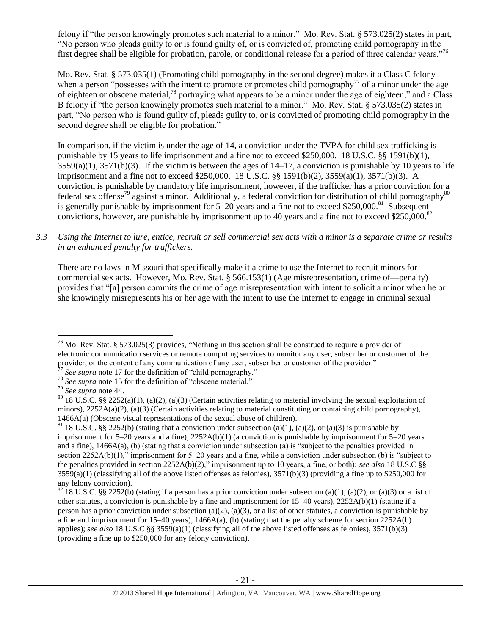<span id="page-20-0"></span>felony if "the person knowingly promotes such material to a minor." Mo. Rev. Stat. § 573.025(2) states in part, "No person who pleads guilty to or is found guilty of, or is convicted of, promoting child pornography in the first degree shall be eligible for probation, parole, or conditional release for a period of three calendar years."<sup>76</sup>

Mo. Rev. Stat. § 573.035(1) (Promoting child pornography in the second degree) makes it a Class C felony when a person "possesses with the intent to promote or promotes child pornography<sup>77</sup> of a minor under the age of eighteen or obscene material,<sup>78</sup> portraying what appears to be a minor under the age of eighteen," and a Class B felony if "the person knowingly promotes such material to a minor." Mo. Rev. Stat. § 573.035(2) states in part, "No person who is found guilty of, pleads guilty to, or is convicted of promoting child pornography in the second degree shall be eligible for probation."

In comparison, if the victim is under the age of 14, a conviction under the TVPA for child sex trafficking is punishable by 15 years to life imprisonment and a fine not to exceed \$250,000. 18 U.S.C. §§ 1591(b)(1),  $3559(a)(1)$ ,  $3571(b)(3)$ . If the victim is between the ages of  $14-17$ , a conviction is punishable by 10 years to life imprisonment and a fine not to exceed \$250,000. 18 U.S.C. §§ 1591(b)(2), 3559(a)(1), 3571(b)(3). A conviction is punishable by mandatory life imprisonment, however, if the trafficker has a prior conviction for a federal sex offense<sup>79</sup> against a minor. Additionally, a federal conviction for distribution of child pornography<sup>80</sup> is generally punishable by imprisonment for  $5-20$  years and a fine not to exceed \$250,000.<sup>81</sup> Subsequent convictions, however, are punishable by imprisonment up to 40 years and a fine not to exceed \$250,000.<sup>82</sup>

*3.3 Using the Internet to lure, entice, recruit or sell commercial sex acts with a minor is a separate crime or results in an enhanced penalty for traffickers.*

There are no laws in Missouri that specifically make it a crime to use the Internet to recruit minors for commercial sex acts. However, Mo. Rev. Stat. § 566.153(1) (Age misrepresentation, crime of—penalty) provides that "[a] person commits the crime of age misrepresentation with intent to solicit a minor when he or she knowingly misrepresents his or her age with the intent to use the Internet to engage in criminal sexual

 $\overline{a}$ 

 $76$  Mo. Rev. Stat. § 573.025(3) provides, "Nothing in this section shall be construed to require a provider of electronic communication services or remote computing services to monitor any user, subscriber or customer of the provider, or the content of any communication of any user, subscriber or customer of the provider."

See supra note [17](#page-4-0) for the definition of "child pornography."

<sup>78</sup> *See supra* note [15](#page-3-0) for the definition of "obscene material."

<sup>79</sup> *See supra* note [44.](#page-11-0)

<sup>&</sup>lt;sup>80</sup> 18 U.S.C. §§ 2252(a)(1), (a)(2), (a)(3) (Certain activities relating to material involving the sexual exploitation of minors),  $2252A(a)(2)$ , (a)(3) (Certain activities relating to material constituting or containing child pornography), 1466A(a) (Obscene visual representations of the sexual abuse of children).

<sup>&</sup>lt;sup>81</sup> 18 U.S.C. §§ 2252(b) (stating that a conviction under subsection (a)(1), (a)(2), or (a)(3) is punishable by imprisonment for 5–20 years and a fine), 2252A(b)(1) (a conviction is punishable by imprisonment for 5–20 years and a fine), 1466A(a), (b) (stating that a conviction under subsection (a) is "subject to the penalties provided in section 2252A(b)(1)," imprisonment for 5–20 years and a fine, while a conviction under subsection (b) is "subject to the penalties provided in section 2252A(b)(2)," imprisonment up to 10 years, a fine, or both); *see also* 18 U.S.C §§  $3559(a)(1)$  (classifying all of the above listed offenses as felonies),  $3571(b)(3)$  (providing a fine up to \$250,000 for any felony conviction).

 $82$  18 U.S.C. §§ 2252(b) (stating if a person has a prior conviction under subsection (a)(1), (a)(2), or (a)(3) or a list of other statutes, a conviction is punishable by a fine and imprisonment for 15–40 years), 2252A(b)(1) (stating if a person has a prior conviction under subsection (a)(2), (a)(3), or a list of other statutes, a conviction is punishable by a fine and imprisonment for  $15-40$  years),  $1466A(a)$ , (b) (stating that the penalty scheme for section  $2252A(b)$ applies); *see also* 18 U.S.C §§ 3559(a)(1) (classifying all of the above listed offenses as felonies), 3571(b)(3) (providing a fine up to \$250,000 for any felony conviction).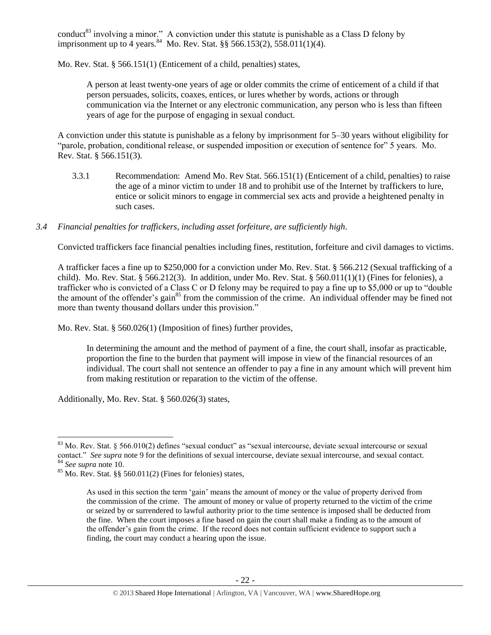conduct<sup>83</sup> involving a minor." A conviction under this statute is punishable as a Class D felony by imprisonment up to 4 years.  $84$  Mo. Rev. Stat. §§ 566.153(2), 558.011(1)(4).

Mo. Rev. Stat. § 566.151(1) (Enticement of a child, penalties) states,

A person at least twenty-one years of age or older commits the crime of enticement of a child if that person persuades, solicits, coaxes, entices, or lures whether by words, actions or through communication via the Internet or any electronic communication, any person who is less than fifteen years of age for the purpose of engaging in sexual conduct.

A conviction under this statute is punishable as a felony by imprisonment for 5–30 years without eligibility for "parole, probation, conditional release, or suspended imposition or execution of sentence for" 5 years. Mo. Rev. Stat. § 566.151(3).

- 3.3.1 Recommendation: Amend Mo. Rev Stat. 566.151(1) (Enticement of a child, penalties) to raise the age of a minor victim to under 18 and to prohibit use of the Internet by traffickers to lure, entice or solicit minors to engage in commercial sex acts and provide a heightened penalty in such cases.
- *3.4 Financial penalties for traffickers, including asset forfeiture, are sufficiently high*.

Convicted traffickers face financial penalties including fines, restitution, forfeiture and civil damages to victims.

A trafficker faces a fine up to \$250,000 for a conviction under Mo. Rev. Stat. § 566.212 (Sexual trafficking of a child). Mo. Rev. Stat. § 566.212(3). In addition, under Mo. Rev. Stat. § 560.011(1)(1) (Fines for felonies), a trafficker who is convicted of a Class C or D felony may be required to pay a fine up to \$5,000 or up to "double the amount of the offender's gain<sup>85</sup> from the commission of the crime. An individual offender may be fined not more than twenty thousand dollars under this provision."

Mo. Rev. Stat. § 560.026(1) (Imposition of fines) further provides,

<span id="page-21-0"></span>In determining the amount and the method of payment of a fine, the court shall, insofar as practicable, proportion the fine to the burden that payment will impose in view of the financial resources of an individual. The court shall not sentence an offender to pay a fine in any amount which will prevent him from making restitution or reparation to the victim of the offense.

Additionally, Mo. Rev. Stat. § 560.026(3) states,

l  $83$  Mo. Rev. Stat. § 566.010(2) defines "sexual conduct" as "sexual intercourse, deviate sexual intercourse or sexual contact." *See supra* note [9](#page-2-1) for the definitions of sexual intercourse, deviate sexual intercourse, and sexual contact. <sup>84</sup> *See supra* note [10.](#page-2-0)

 $85$  Mo. Rev. Stat. §§ 560.011(2) (Fines for felonies) states,

As used in this section the term 'gain' means the amount of money or the value of property derived from the commission of the crime. The amount of money or value of property returned to the victim of the crime or seized by or surrendered to lawful authority prior to the time sentence is imposed shall be deducted from the fine. When the court imposes a fine based on gain the court shall make a finding as to the amount of the offender's gain from the crime. If the record does not contain sufficient evidence to support such a finding, the court may conduct a hearing upon the issue.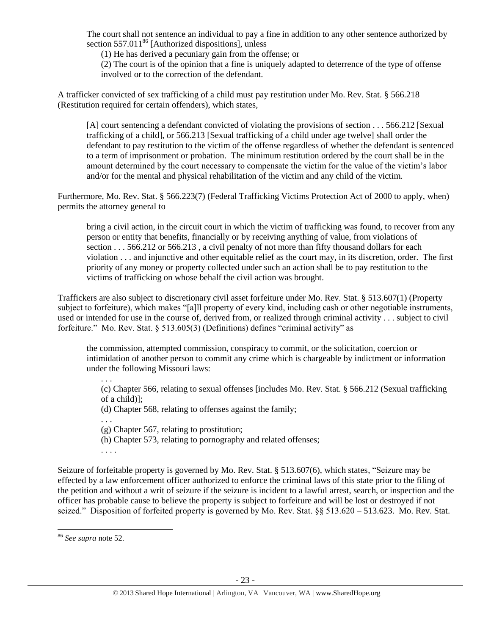The court shall not sentence an individual to pay a fine in addition to any other sentence authorized by section  $557.011^{86}$  [Authorized dispositions], unless

(1) He has derived a pecuniary gain from the offense; or

(2) The court is of the opinion that a fine is uniquely adapted to deterrence of the type of offense involved or to the correction of the defendant.

A trafficker convicted of sex trafficking of a child must pay restitution under Mo. Rev. Stat. § 566.218 (Restitution required for certain offenders), which states,

[A] court sentencing a defendant convicted of violating the provisions of section . . . 566.212 [Sexual trafficking of a child], or 566.213 [Sexual trafficking of a child under age twelve] shall order the defendant to pay restitution to the victim of the offense regardless of whether the defendant is sentenced to a term of imprisonment or probation. The minimum restitution ordered by the court shall be in the amount determined by the court necessary to compensate the victim for the value of the victim's labor and/or for the mental and physical rehabilitation of the victim and any child of the victim.

Furthermore, Mo. Rev. Stat. § 566.223(7) (Federal Trafficking Victims Protection Act of 2000 to apply, when) permits the attorney general to

bring a civil action, in the circuit court in which the victim of trafficking was found, to recover from any person or entity that benefits, financially or by receiving anything of value, from violations of section . . . 566.212 or 566.213, a civil penalty of not more than fifty thousand dollars for each violation . . . and injunctive and other equitable relief as the court may, in its discretion, order. The first priority of any money or property collected under such an action shall be to pay restitution to the victims of trafficking on whose behalf the civil action was brought.

Traffickers are also subject to discretionary civil asset forfeiture under Mo. Rev. Stat. § 513.607(1) (Property subject to forfeiture), which makes "[a]ll property of every kind, including cash or other negotiable instruments, used or intended for use in the course of, derived from, or realized through criminal activity . . . subject to civil forfeiture." Mo. Rev. Stat. § 513.605(3) (Definitions) defines "criminal activity" as

the commission, attempted commission, conspiracy to commit, or the solicitation, coercion or intimidation of another person to commit any crime which is chargeable by indictment or information under the following Missouri laws:

(c) Chapter 566, relating to sexual offenses [includes Mo. Rev. Stat. § 566.212 (Sexual trafficking of a child)];

(d) Chapter 568, relating to offenses against the family;

(g) Chapter 567, relating to prostitution;

(h) Chapter 573, relating to pornography and related offenses;

. . . .

. . .

. . .

Seizure of forfeitable property is governed by Mo. Rev. Stat. § 513.607(6), which states, "Seizure may be effected by a law enforcement officer authorized to enforce the criminal laws of this state prior to the filing of the petition and without a writ of seizure if the seizure is incident to a lawful arrest, search, or inspection and the officer has probable cause to believe the property is subject to forfeiture and will be lost or destroyed if not seized." Disposition of forfeited property is governed by Mo. Rev. Stat. §§ 513.620 – 513.623. Mo. Rev. Stat.

 $\overline{a}$ 

<sup>86</sup> *See supra* note [52.](#page-14-0)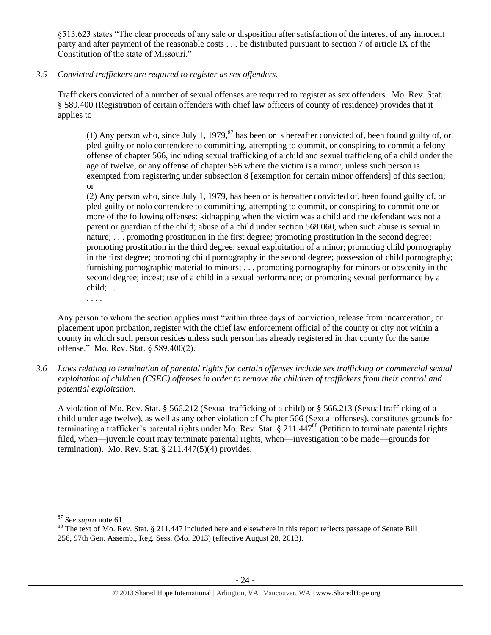§513.623 states "The clear proceeds of any sale or disposition after satisfaction of the interest of any innocent party and after payment of the reasonable costs . . . be distributed pursuant to section 7 of article IX of the Constitution of the state of Missouri."

#### *3.5 Convicted traffickers are required to register as sex offenders.*

Traffickers convicted of a number of sexual offenses are required to register as sex offenders. Mo. Rev. Stat. § 589.400 (Registration of certain offenders with chief law officers of county of residence) provides that it applies to

(1) Any person who, since July 1, 1979, $^{87}$  has been or is hereafter convicted of, been found guilty of, or pled guilty or nolo contendere to committing, attempting to commit, or conspiring to commit a felony offense of chapter 566, including sexual trafficking of a child and sexual trafficking of a child under the age of twelve, or any offense of chapter 566 where the victim is a minor, unless such person is exempted from registering under subsection 8 [exemption for certain minor offenders] of this section; or

(2) Any person who, since July 1, 1979, has been or is hereafter convicted of, been found guilty of, or pled guilty or nolo contendere to committing, attempting to commit, or conspiring to commit one or more of the following offenses: kidnapping when the victim was a child and the defendant was not a parent or guardian of the child; abuse of a child under section 568.060, when such abuse is sexual in nature; . . . promoting prostitution in the first degree; promoting prostitution in the second degree; promoting prostitution in the third degree; sexual exploitation of a minor; promoting child pornography in the first degree; promoting child pornography in the second degree; possession of child pornography; furnishing pornographic material to minors; . . . promoting pornography for minors or obscenity in the second degree; incest; use of a child in a sexual performance; or promoting sexual performance by a  $child; \ldots$ 

. . . .

Any person to whom the section applies must "within three days of conviction, release from incarceration, or placement upon probation, register with the chief law enforcement official of the county or city not within a county in which such person resides unless such person has already registered in that county for the same offense." Mo. Rev. Stat. § 589.400(2).

*3.6 Laws relating to termination of parental rights for certain offenses include sex trafficking or commercial sexual exploitation of children (CSEC) offenses in order to remove the children of traffickers from their control and potential exploitation.* 

A violation of Mo. Rev. Stat. § 566.212 (Sexual trafficking of a child) or § 566.213 (Sexual trafficking of a child under age twelve), as well as any other violation of Chapter 566 (Sexual offenses), constitutes grounds for terminating a trafficker's parental rights under Mo. Rev. Stat. § 211.447<sup>88</sup> (Petition to terminate parental rights filed, when—juvenile court may terminate parental rights, when—investigation to be made—grounds for termination). Mo. Rev. Stat.  $\S 211.447(5)(4)$  provides,

<sup>87</sup> *See supra* note [61.](#page-16-0) 

<sup>&</sup>lt;sup>88</sup> The text of Mo. Rev. Stat. § 211.447 included here and elsewhere in this report reflects passage of Senate Bill 256, 97th Gen. Assemb., Reg. Sess. (Mo. 2013) (effective August 28, 2013).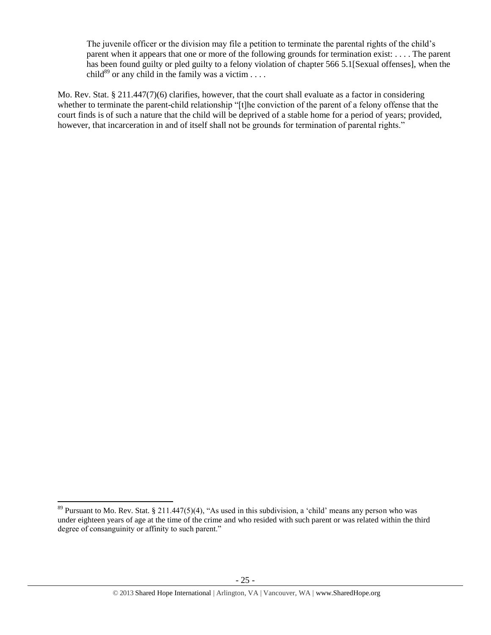The juvenile officer or the division may file a petition to terminate the parental rights of the child's parent when it appears that one or more of the following grounds for termination exist: . . . . The parent has been found guilty or pled guilty to a felony violation of chapter 566 5.1[Sexual offenses], when the child<sup>89</sup> or any child in the family was a victim  $\dots$ .

Mo. Rev. Stat. § 211.447(7)(6) clarifies, however, that the court shall evaluate as a factor in considering whether to terminate the parent-child relationship "[t]he conviction of the parent of a felony offense that the court finds is of such a nature that the child will be deprived of a stable home for a period of years; provided, however, that incarceration in and of itself shall not be grounds for termination of parental rights."

 $\overline{a}$ 

 $89$  Pursuant to Mo. Rev. Stat. § 211.447(5)(4), "As used in this subdivision, a 'child' means any person who was under eighteen years of age at the time of the crime and who resided with such parent or was related within the third degree of consanguinity or affinity to such parent."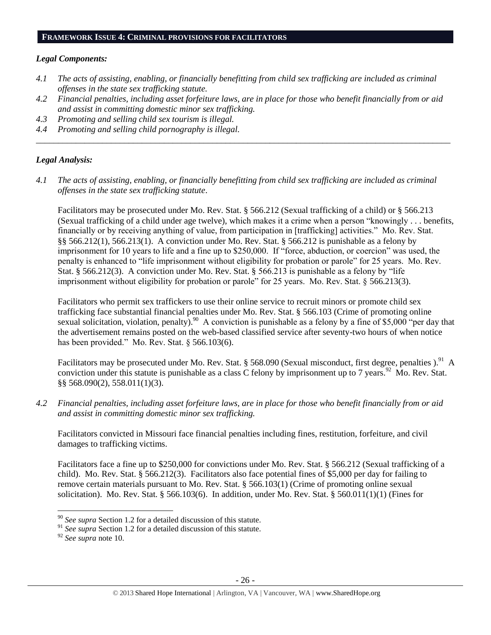#### **FRAMEWORK ISSUE 4: CRIMINAL PROVISIONS FOR FACILITATORS**

#### *Legal Components:*

- *4.1 The acts of assisting, enabling, or financially benefitting from child sex trafficking are included as criminal offenses in the state sex trafficking statute.*
- *4.2 Financial penalties, including asset forfeiture laws, are in place for those who benefit financially from or aid and assist in committing domestic minor sex trafficking.*

*\_\_\_\_\_\_\_\_\_\_\_\_\_\_\_\_\_\_\_\_\_\_\_\_\_\_\_\_\_\_\_\_\_\_\_\_\_\_\_\_\_\_\_\_\_\_\_\_\_\_\_\_\_\_\_\_\_\_\_\_\_\_\_\_\_\_\_\_\_\_\_\_\_\_\_\_\_\_\_\_\_\_\_\_\_\_\_\_\_\_\_\_\_\_*

- *4.3 Promoting and selling child sex tourism is illegal.*
- *4.4 Promoting and selling child pornography is illegal.*

#### *Legal Analysis:*

*4.1 The acts of assisting, enabling, or financially benefitting from child sex trafficking are included as criminal offenses in the state sex trafficking statute*.

Facilitators may be prosecuted under Mo. Rev. Stat. § 566.212 (Sexual trafficking of a child) or § 566.213 (Sexual trafficking of a child under age twelve), which makes it a crime when a person "knowingly . . . benefits, financially or by receiving anything of value, from participation in [trafficking] activities." Mo. Rev. Stat. §§ 566.212(1), 566.213(1). A conviction under Mo. Rev. Stat. § 566.212 is punishable as a felony by imprisonment for 10 years to life and a fine up to \$250,000. If "force, abduction, or coercion" was used, the penalty is enhanced to "life imprisonment without eligibility for probation or parole" for 25 years. Mo. Rev. Stat. § 566.212(3). A conviction under Mo. Rev. Stat. § 566.213 is punishable as a felony by "life imprisonment without eligibility for probation or parole" for 25 years. Mo. Rev. Stat. § 566.213(3).

Facilitators who permit sex traffickers to use their online service to recruit minors or promote child sex trafficking face substantial financial penalties under Mo. Rev. Stat. § 566.103 (Crime of promoting online sexual solicitation, violation, penalty).<sup>90</sup> A conviction is punishable as a felony by a fine of \$5,000 "per day that the advertisement remains posted on the web-based classified service after seventy-two hours of when notice has been provided." Mo. Rev. Stat. § 566.103(6).

Facilitators may be prosecuted under Mo. Rev. Stat. § 568.090 (Sexual misconduct, first degree, penalties ).<sup>91</sup> A conviction under this statute is punishable as a class C felony by imprisonment up to 7 years.<sup>92</sup> Mo. Rev. Stat. §§ 568.090(2), 558.011(1)(3).

*4.2 Financial penalties, including asset forfeiture laws, are in place for those who benefit financially from or aid and assist in committing domestic minor sex trafficking.*

Facilitators convicted in Missouri face financial penalties including fines, restitution, forfeiture, and civil damages to trafficking victims.

Facilitators face a fine up to \$250,000 for convictions under Mo. Rev. Stat. § 566.212 (Sexual trafficking of a child). Mo. Rev. Stat. § 566.212(3). Facilitators also face potential fines of \$5,000 per day for failing to remove certain materials pursuant to Mo. Rev. Stat. § 566.103(1) (Crime of promoting online sexual solicitation). Mo. Rev. Stat. § 566.103(6). In addition, under Mo. Rev. Stat. § 560.011(1)(1) (Fines for

<sup>90</sup> *See supra* Section 1.2 for a detailed discussion of this statute.

<sup>&</sup>lt;sup>91</sup> See supra Section 1.2 for a detailed discussion of this statute.

<sup>92</sup> *See supra* note [10.](#page-2-0)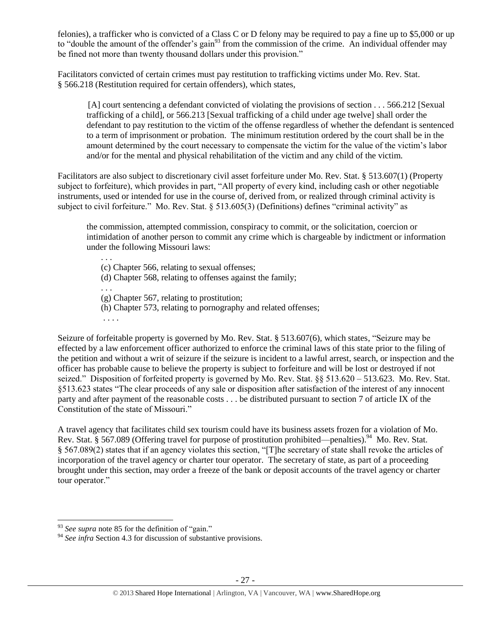felonies), a trafficker who is convicted of a Class C or D felony may be required to pay a fine up to \$5,000 or up to "double the amount of the offender's gain<sup>93</sup> from the commission of the crime. An individual offender may be fined not more than twenty thousand dollars under this provision."

Facilitators convicted of certain crimes must pay restitution to trafficking victims under Mo. Rev. Stat. § 566.218 (Restitution required for certain offenders), which states,

[A] court sentencing a defendant convicted of violating the provisions of section . . . 566.212 [Sexual trafficking of a child], or 566.213 [Sexual trafficking of a child under age twelve] shall order the defendant to pay restitution to the victim of the offense regardless of whether the defendant is sentenced to a term of imprisonment or probation. The minimum restitution ordered by the court shall be in the amount determined by the court necessary to compensate the victim for the value of the victim's labor and/or for the mental and physical rehabilitation of the victim and any child of the victim.

Facilitators are also subject to discretionary civil asset forfeiture under Mo. Rev. Stat. § 513.607(1) (Property subject to forfeiture), which provides in part, "All property of every kind, including cash or other negotiable instruments, used or intended for use in the course of, derived from, or realized through criminal activity is subject to civil forfeiture." Mo. Rev. Stat. § 513.605(3) (Definitions) defines "criminal activity" as

the commission, attempted commission, conspiracy to commit, or the solicitation, coercion or intimidation of another person to commit any crime which is chargeable by indictment or information under the following Missouri laws:

(c) Chapter 566, relating to sexual offenses;

(d) Chapter 568, relating to offenses against the family;

. . .

. . .

(g) Chapter 567, relating to prostitution;

(h) Chapter 573, relating to pornography and related offenses;

. . . .

Seizure of forfeitable property is governed by Mo. Rev. Stat. § 513.607(6), which states, "Seizure may be effected by a law enforcement officer authorized to enforce the criminal laws of this state prior to the filing of the petition and without a writ of seizure if the seizure is incident to a lawful arrest, search, or inspection and the officer has probable cause to believe the property is subject to forfeiture and will be lost or destroyed if not seized." Disposition of forfeited property is governed by Mo. Rev. Stat. §§ 513.620 – 513.623. Mo. Rev. Stat. §513.623 states "The clear proceeds of any sale or disposition after satisfaction of the interest of any innocent party and after payment of the reasonable costs . . . be distributed pursuant to section 7 of article IX of the Constitution of the state of Missouri."

A travel agency that facilitates child sex tourism could have its business assets frozen for a violation of Mo. Rev. Stat. § 567.089 (Offering travel for purpose of prostitution prohibited—penalties).<sup>94</sup> Mo. Rev. Stat. § 567.089(2) states that if an agency violates this section, "[T]he secretary of state shall revoke the articles of incorporation of the travel agency or charter tour operator. The secretary of state, as part of a proceeding brought under this section, may order a freeze of the bank or deposit accounts of the travel agency or charter tour operator."

l

<sup>&</sup>lt;sup>93</sup> See supra note [85](#page-21-0) for the definition of "gain."

<sup>&</sup>lt;sup>94</sup> See infra Section 4.3 for discussion of substantive provisions.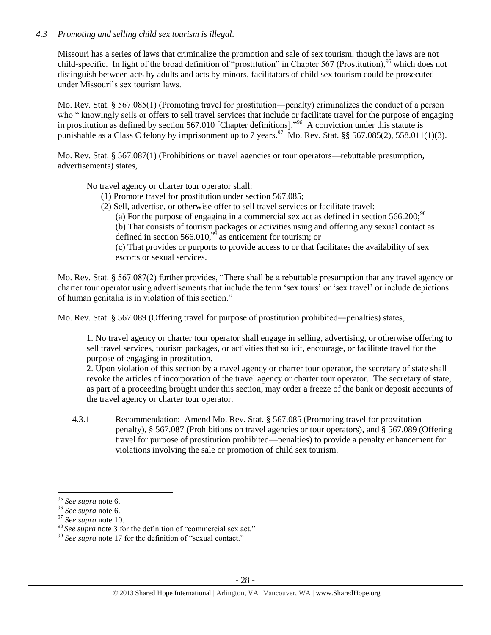### *4.3 Promoting and selling child sex tourism is illegal*.

Missouri has a series of laws that criminalize the promotion and sale of sex tourism, though the laws are not child-specific. In light of the broad definition of "prostitution" in Chapter 567 (Prostitution),  $95$  which does not distinguish between acts by adults and acts by minors, facilitators of child sex tourism could be prosecuted under Missouri's sex tourism laws.

Mo. Rev. Stat. § 567.085(1) (Promoting travel for prostitution—penalty) criminalizes the conduct of a person who " knowingly sells or offers to sell travel services that include or facilitate travel for the purpose of engaging in prostitution as defined by [section 567.010](https://www.lexis.com/research/buttonTFLink?_m=365bbb2c169493723bac928e24ec7929&_xfercite=%3ccite%20cc%3d%22USA%22%3e%3c%21%5bCDATA%5b%a7%20567.085%20R.S.Mo.%5d%5d%3e%3c%2fcite%3e&_butType=4&_butStat=0&_butNum=2&_butInline=1&_butinfo=MOCODE%20567.010&_fmtstr=FULL&docnum=1&_startdoc=1&wchp=dGLzVlz-zSkAW&_md5=d32fdfbb8fc188b2a81f3fd57e337121) [Chapter definitions]."<sup>96</sup> A conviction under this statute is punishable as a Class C felony by imprisonment up to 7 years.<sup>97</sup> Mo. Rev. Stat. §§ 567.085(2), 558.011(1)(3).

Mo. Rev. Stat. § 567.087(1) (Prohibitions on travel agencies or tour operators—rebuttable presumption, advertisements) states,

No travel agency or charter tour operator shall:

- (1) Promote travel for prostitution under [section 567.085;](https://www.lexis.com/research/buttonTFLink?_m=39eacf84f8f4116d465fb0ab2d829210&_xfercite=%3ccite%20cc%3d%22USA%22%3e%3c%21%5bCDATA%5b%a7%20567.087%20R.S.Mo.%5d%5d%3e%3c%2fcite%3e&_butType=4&_butStat=0&_butNum=2&_butInline=1&_butinfo=MOCODE%20567.085&_fmtstr=FULL&docnum=1&_startdoc=1&wchp=dGLbVzb-zSkAl&_md5=3549e1692989f5adfa9211a8b10d75ac)
- (2) Sell, advertise, or otherwise offer to sell travel services or facilitate travel:
	- (a) For the purpose of engaging in a commercial sex act as defined in section  $566.200$ ;<sup>98</sup>

(b) That consists of tourism packages or activities using and offering any sexual contact as defined in section 566.010, $99$  as enticement for tourism; or

(c) That provides or purports to provide access to or that facilitates the availability of sex escorts or sexual services.

Mo. Rev. Stat. § 567.087(2) further provides, "There shall be a rebuttable presumption that any travel agency or charter tour operator using advertisements that include the term 'sex tours' or 'sex travel' or include depictions of human genitalia is in violation of this section."

Mo. Rev. Stat. § 567.089 (Offering travel for purpose of prostitution prohibited―penalties) states,

1. No travel agency or charter tour operator shall engage in selling, advertising, or otherwise offering to sell travel services, tourism packages, or activities that solicit, encourage, or facilitate travel for the purpose of engaging in prostitution.

2. Upon violation of this section by a travel agency or charter tour operator, the secretary of state shall revoke the articles of incorporation of the travel agency or charter tour operator. The secretary of state, as part of a proceeding brought under this section, may order a freeze of the bank or deposit accounts of the travel agency or charter tour operator.

4.3.1 Recommendation: Amend Mo. Rev. Stat. § 567.085 (Promoting travel for prostitution penalty), § 567.087 (Prohibitions on travel agencies or tour operators), and § 567.089 (Offering travel for purpose of prostitution prohibited—penalties) to provide a penalty enhancement for violations involving the sale or promotion of child sex tourism.

 $\overline{\phantom{a}}$ <sup>95</sup> *See supra* note [6.](#page-2-2)

<sup>96</sup> *See supra* note [6.](#page-2-2)

<sup>97</sup> *See supra* note [10.](#page-2-0)

<sup>&</sup>lt;sup>98</sup> See supra not[e 3](#page-1-1) for the definition of "commercial sex act."

<sup>&</sup>lt;sup>99</sup> See supra note [17](#page-4-1) for the definition of "sexual contact."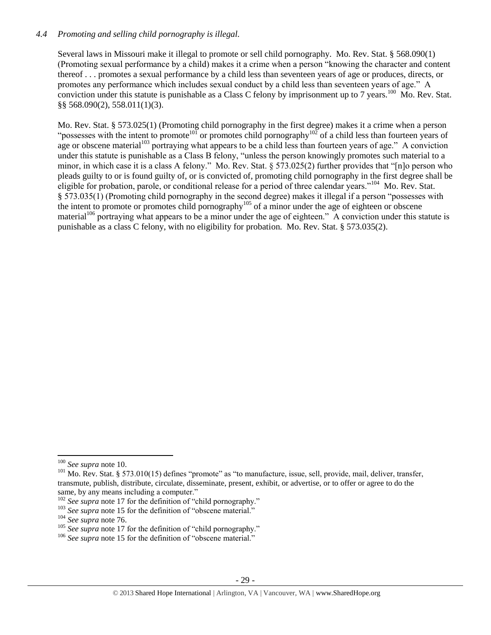#### *4.4 Promoting and selling child pornography is illegal.*

Several laws in Missouri make it illegal to promote or sell child pornography. Mo. Rev. Stat. § 568.090(1) (Promoting sexual performance by a child) makes it a crime when a person "knowing the character and content thereof . . . promotes a sexual performance by a child less than seventeen years of age or produces, directs, or promotes any performance which includes sexual conduct by a child less than seventeen years of age." A conviction under this statute is punishable as a Class C felony by imprisonment up to 7 years.<sup>100</sup> Mo. Rev. Stat. §§ 568.090(2), 558.011(1)(3).

Mo. Rev. Stat. § 573.025(1) (Promoting child pornography in the first degree) makes it a crime when a person "possesses with the intent to promote<sup>101</sup> or promotes child pornography<sup>102</sup> of a child less than fourteen years of age or obscene material<sup>103</sup> portraying what appears to be a child less than fourteen years of age." A conviction under this statute is punishable as a Class B felony, "unless the person knowingly promotes such material to a minor, in which case it is a class A felony." Mo. Rev. Stat. § 573.025(2) further provides that "[n]o person who pleads guilty to or is found guilty of, or is convicted of, promoting child pornography in the first degree shall be eligible for probation, parole, or conditional release for a period of three calendar years."<sup>104</sup> Mo. Rev. Stat. § 573.035(1) (Promoting child pornography in the second degree) makes it illegal if a person "possesses with the intent to promote or promotes child pornography<sup>105</sup> of a minor under the age of eighteen or obscene material<sup>106</sup> portraying what appears to be a minor under the age of eighteen." A conviction under this statute is punishable as a class C felony, with no eligibility for probation. Mo. Rev. Stat. § 573.035(2).

 $\overline{\phantom{a}}$ <sup>100</sup> *See supra* not[e 10.](#page-2-0)

 $101$  Mo. Rev. Stat. § 573.010(15) defines "promote" as "to manufacture, issue, sell, provide, mail, deliver, transfer, transmute, publish, distribute, circulate, disseminate, present, exhibit, or advertise, or to offer or agree to do the same, by any means including a computer."

<sup>&</sup>lt;sup>102</sup> *See supra* not[e 17](#page-4-0) for the definition of "child pornography."

<sup>&</sup>lt;sup>103</sup> *See supra* not[e 15](#page-3-0) for the definition of "obscene material."

<sup>104</sup> *See supra* note [76.](#page-20-0)

<sup>&</sup>lt;sup>105</sup> *See supra* not[e 17](#page-4-0) for the definition of "child pornography."

<sup>&</sup>lt;sup>106</sup> See supra not[e 15](#page-3-0) for the definition of "obscene material."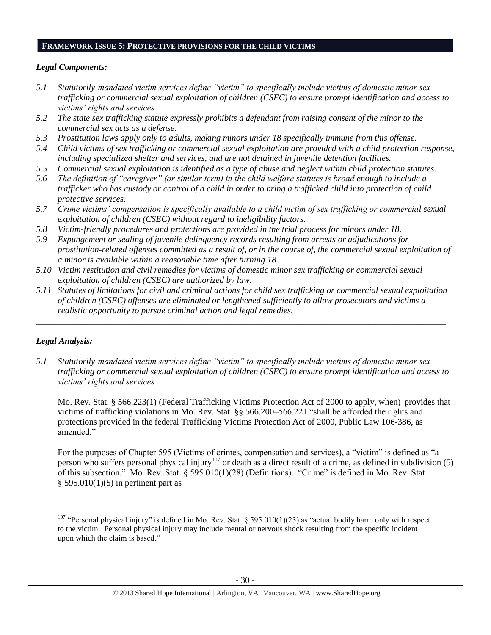#### **FRAMEWORK ISSUE 5: PROTECTIVE PROVISIONS FOR THE CHILD VICTIMS**

#### *Legal Components:*

- *5.1 Statutorily-mandated victim services define "victim" to specifically include victims of domestic minor sex trafficking or commercial sexual exploitation of children (CSEC) to ensure prompt identification and access to victims' rights and services.*
- *5.2 The state sex trafficking statute expressly prohibits a defendant from raising consent of the minor to the commercial sex acts as a defense.*
- *5.3 Prostitution laws apply only to adults, making minors under 18 specifically immune from this offense.*
- *5.4 Child victims of sex trafficking or commercial sexual exploitation are provided with a child protection response, including specialized shelter and services, and are not detained in juvenile detention facilities.*
- *5.5 Commercial sexual exploitation is identified as a type of abuse and neglect within child protection statutes.*
- *5.6 The definition of "caregiver" (or similar term) in the child welfare statutes is broad enough to include a trafficker who has custody or control of a child in order to bring a trafficked child into protection of child protective services.*
- *5.7 Crime victims' compensation is specifically available to a child victim of sex trafficking or commercial sexual exploitation of children (CSEC) without regard to ineligibility factors.*
- *5.8 Victim-friendly procedures and protections are provided in the trial process for minors under 18.*
- *5.9 Expungement or sealing of juvenile delinquency records resulting from arrests or adjudications for prostitution-related offenses committed as a result of, or in the course of, the commercial sexual exploitation of a minor is available within a reasonable time after turning 18.*
- *5.10 Victim restitution and civil remedies for victims of domestic minor sex trafficking or commercial sexual exploitation of children (CSEC) are authorized by law.*
- *5.11 Statutes of limitations for civil and criminal actions for child sex trafficking or commercial sexual exploitation of children (CSEC) offenses are eliminated or lengthened sufficiently to allow prosecutors and victims a realistic opportunity to pursue criminal action and legal remedies.*

*\_\_\_\_\_\_\_\_\_\_\_\_\_\_\_\_\_\_\_\_\_\_\_\_\_\_\_\_\_\_\_\_\_\_\_\_\_\_\_\_\_\_\_\_\_\_\_\_\_\_\_\_\_\_\_\_\_\_\_\_\_\_\_\_\_\_\_\_\_\_\_\_\_\_\_\_\_\_\_\_\_\_\_\_\_\_\_\_\_\_\_\_\_*

#### *Legal Analysis:*

 $\overline{\phantom{a}}$ 

*5.1 Statutorily-mandated victim services define "victim" to specifically include victims of domestic minor sex trafficking or commercial sexual exploitation of children (CSEC) to ensure prompt identification and access to victims' rights and services.* 

Mo. Rev. Stat. § 566.223(1) (Federal Trafficking Victims Protection Act of 2000 to apply, when) provides that victims of trafficking violations in Mo. Rev. Stat. §§ 566.200–566.221 "shall be afforded the rights and protections provided in the federal Trafficking Victims Protection Act of 2000, Public Law 106-386, as amended."

For the purposes of Chapter 595 (Victims of crimes, compensation and services), a "victim" is defined as "a person who suffers personal physical injury<sup>107</sup> or death as a direct result of a crime, as defined in subdivision (5) of this subsection." Mo. Rev. Stat. § 595.010(1)(28) (Definitions). "Crime" is defined in Mo. Rev. Stat.  $§$  595.010(1)(5) in pertinent part as

<sup>&</sup>lt;sup>107</sup> "Personal physical injury" is defined in Mo. Rev. Stat. § 595.010(1)(23) as "actual bodily harm only with respect to the victim. Personal physical injury may include mental or nervous shock resulting from the specific incident upon which the claim is based."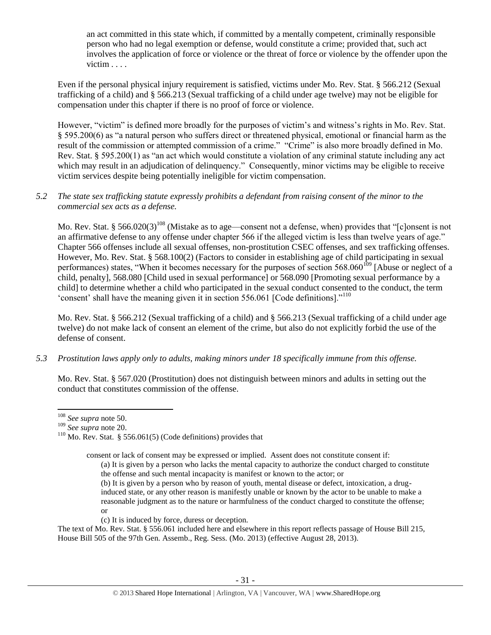an act committed in this state which, if committed by a mentally competent, criminally responsible person who had no legal exemption or defense, would constitute a crime; provided that, such act involves the application of force or violence or the threat of force or violence by the offender upon the victim . . . .

Even if the personal physical injury requirement is satisfied, victims under Mo. Rev. Stat. § 566.212 (Sexual trafficking of a child) and § 566.213 (Sexual trafficking of a child under age twelve) may not be eligible for compensation under this chapter if there is no proof of force or violence.

However, "victim" is defined more broadly for the purposes of victim's and witness's rights in Mo. Rev. Stat. § 595.200(6) as "a natural person who suffers direct or threatened physical, emotional or financial harm as the result of the commission or attempted commission of a crime." "Crime" is also more broadly defined in Mo. Rev. Stat. § 595.200(1) as "an act which would constitute a violation of any criminal statute including any act which may result in an adjudication of delinquency." Consequently, minor victims may be eligible to receive victim services despite being potentially ineligible for victim compensation.

#### *5.2 The state sex trafficking statute expressly prohibits a defendant from raising consent of the minor to the commercial sex acts as a defense.*

Mo. Rev. Stat. § 566.020(3)<sup>108</sup> (Mistake as to age—consent not a defense, when) provides that "[c]onsent is not an affirmative defense to any offense under chapter 566 if the alleged victim is less than twelve years of age." Chapter 566 offenses include all sexual offenses, non-prostitution CSEC offenses, and sex trafficking offenses. However, Mo. Rev. Stat. § 568.100(2) (Factors to consider in establishing age of child participating in sexual performances) states, "When it becomes necessary for the purposes of section 568.060<sup>109</sup> [Abuse or neglect of a child, penalty], 568.080 [Child used in sexual performance] or 568.090 [Promoting sexual performance by a child] to determine whether a child who participated in the sexual conduct consented to the conduct, the term 'consent' shall have the meaning given it in section 556.061 [Code definitions]."<sup>110</sup>

<span id="page-30-0"></span>Mo. Rev. Stat. § 566.212 (Sexual trafficking of a child) and § 566.213 (Sexual trafficking of a child under age twelve) do not make lack of consent an element of the crime, but also do not explicitly forbid the use of the defense of consent.

*5.3 Prostitution laws apply only to adults, making minors under 18 specifically immune from this offense.*

Mo. Rev. Stat. § 567.020 (Prostitution) does not distinguish between minors and adults in setting out the conduct that constitutes commission of the offense.

consent or lack of consent may be expressed or implied. Assent does not constitute consent if:

- (a) It is given by a person who lacks the mental capacity to authorize the conduct charged to constitute the offense and such mental incapacity is manifest or known to the actor; or
- (b) It is given by a person who by reason of youth, mental disease or defect, intoxication, a druginduced state, or any other reason is manifestly unable or known by the actor to be unable to make a reasonable judgment as to the nature or harmfulness of the conduct charged to constitute the offense; or
- (c) It is induced by force, duress or deception.

The text of Mo. Rev. Stat. § 556.061 included here and elsewhere in this report reflects passage of House Bill 215, House Bill 505 of the 97th Gen. Assemb., Reg. Sess. (Mo. 2013) (effective August 28, 2013).

 $\overline{a}$ <sup>108</sup> *See supra* not[e 50.](#page-13-0)

<sup>109</sup> *See supra* not[e 20.](#page-5-1)

 $110$  Mo. Rev. Stat. § 556.061(5) (Code definitions) provides that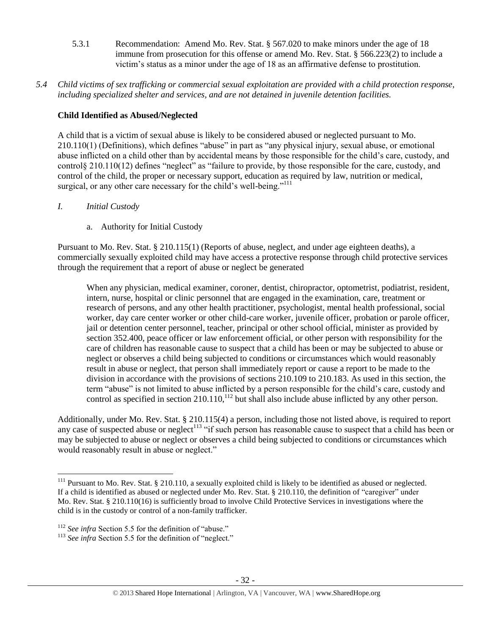- 5.3.1 Recommendation: Amend Mo. Rev. Stat. § 567.020 to make minors under the age of 18 immune from prosecution for this offense or amend Mo. Rev. Stat. § 566.223(2) to include a victim's status as a minor under the age of 18 as an affirmative defense to prostitution.
- *5.4 Child victims of sex trafficking or commercial sexual exploitation are provided with a child protection response, including specialized shelter and services, and are not detained in juvenile detention facilities.*

# **Child Identified as Abused/Neglected**

A child that is a victim of sexual abuse is likely to be considered abused or neglected pursuant to Mo. 210.110(1) (Definitions), which defines "abuse" in part as "any physical injury, sexual abuse, or emotional abuse inflicted on a child other than by accidental means by those responsible for the child's care, custody, and control§ 210.110(12) defines "neglect" as "failure to provide, by those responsible for the care, custody, and control of the child, the proper or necessary support, education as required by law, nutrition or medical, surgical, or any other care necessary for the child's well-being."<sup>111</sup>

*I. Initial Custody*

 $\overline{\phantom{a}}$ 

a. Authority for Initial Custody

Pursuant to Mo. Rev. Stat. § 210.115(1) (Reports of abuse, neglect, and under age eighteen deaths), a commercially sexually exploited child may have access a protective response through child protective services through the requirement that a report of abuse or neglect be generated

When any physician, medical examiner, coroner, dentist, chiropractor, optometrist, podiatrist, resident, intern, nurse, hospital or clinic personnel that are engaged in the examination, care, treatment or research of persons, and any other health practitioner, psychologist, mental health professional, social worker, day care center worker or other child-care worker, juvenile officer, probation or parole officer, jail or detention center personnel, teacher, principal or other school official, minister as provided by section 352.400, peace officer or law enforcement official, or other person with responsibility for the care of children has reasonable cause to suspect that a child has been or may be subjected to abuse or neglect or observes a child being subjected to conditions or circumstances which would reasonably result in abuse or neglect, that person shall immediately report or cause a report to be made to the division in accordance with the provisions of sections 210.109 to 210.183. As used in this section, the term "abuse" is not limited to abuse inflicted by a person responsible for the child's care, custody and control as specified in section 210.110,<sup>112</sup> but shall also include abuse inflicted by any other person.

Additionally, under Mo. Rev. Stat. § 210.115(4) a person, including those not listed above, is required to report any case of suspected abuse or neglect<sup>113</sup> "if such person has reasonable cause to suspect that a child has been or may be subjected to abuse or neglect or observes a child being subjected to conditions or circumstances which would reasonably result in abuse or neglect."

 $111$  Pursuant to Mo. Rev. Stat. § 210.110, a sexually exploited child is likely to be identified as abused or neglected. If a child is identified as abused or neglected under Mo. Rev. Stat. § 210.110, the definition of "caregiver" under Mo. Rev. Stat. § 210.110(16) is sufficiently broad to involve Child Protective Services in investigations where the child is in the custody or control of a non-family trafficker.

<sup>&</sup>lt;sup>112</sup> *See infra* Section 5.5 for the definition of "abuse."

<sup>&</sup>lt;sup>113</sup> See infra Section 5.5 for the definition of "neglect."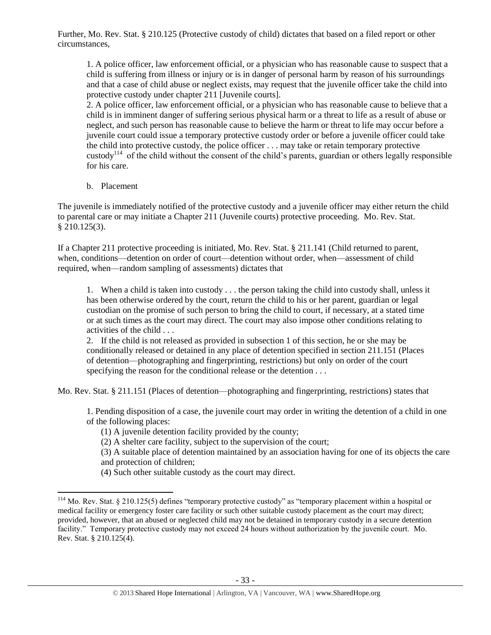Further, Mo. Rev. Stat. § 210.125 (Protective custody of child) dictates that based on a filed report or other circumstances,

1. A police officer, law enforcement official, or a physician who has reasonable cause to suspect that a child is suffering from illness or injury or is in danger of personal harm by reason of his surroundings and that a case of child abuse or neglect exists, may request that the juvenile officer take the child into protective custody under chapter 211 [Juvenile courts].

2. A police officer, law enforcement official, or a physician who has reasonable cause to believe that a child is in imminent danger of suffering serious physical harm or a threat to life as a result of abuse or neglect, and such person has reasonable cause to believe the harm or threat to life may occur before a juvenile court could issue a temporary protective custody order or before a juvenile officer could take the child into protective custody, the police officer . . . may take or retain temporary protective custody<sup>114</sup> of the child without the consent of the child's parents, guardian or others legally responsible for his care.

b. Placement

 $\overline{\phantom{a}}$ 

The juvenile is immediately notified of the protective custody and a juvenile officer may either return the child to parental care or may initiate a Chapter 211 (Juvenile courts) protective proceeding. Mo. Rev. Stat. § 210.125(3).

If a Chapter 211 protective proceeding is initiated, Mo. Rev. Stat. § 211.141 (Child returned to parent, when, conditions—detention on order of court—detention without order, when—assessment of child required, when—random sampling of assessments) dictates that

1. When a child is taken into custody . . . the person taking the child into custody shall, unless it has been otherwise ordered by the court, return the child to his or her parent, guardian or legal custodian on the promise of such person to bring the child to court, if necessary, at a stated time or at such times as the court may direct. The court may also impose other conditions relating to activities of the child . . .

2. If the child is not released as provided in subsection 1 of this section, he or she may be conditionally released or detained in any place of detention specified in section 211.151 (Places of detention—photographing and fingerprinting, restrictions) but only on order of the court specifying the reason for the conditional release or the detention . . .

Mo. Rev. Stat. § 211.151 (Places of detention—photographing and fingerprinting, restrictions) states that

1. Pending disposition of a case, the juvenile court may order in writing the detention of a child in one of the following places:

(1) A juvenile detention facility provided by the county;

(2) A shelter care facility, subject to the supervision of the court;

(3) A suitable place of detention maintained by an association having for one of its objects the care and protection of children;

(4) Such other suitable custody as the court may direct.

 $114$  Mo. Rev. Stat. § 210.125(5) defines "temporary protective custody" as "temporary placement within a hospital or medical facility or emergency foster care facility or such other suitable custody placement as the court may direct; provided, however, that an abused or neglected child may not be detained in temporary custody in a secure detention facility." Temporary protective custody may not exceed 24 hours without authorization by the juvenile court. Mo. Rev. Stat. § 210.125(4).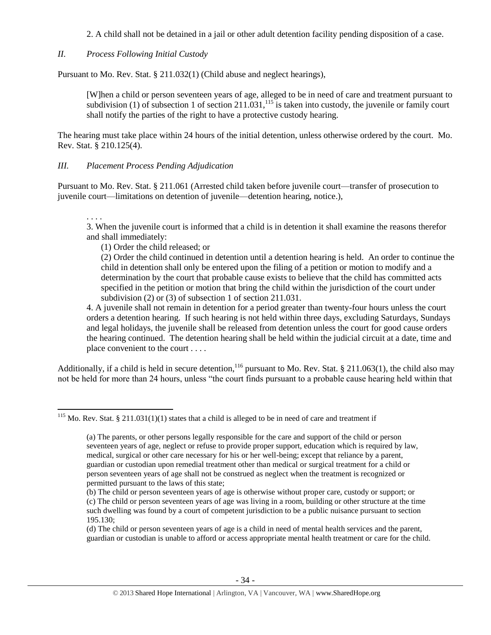2. A child shall not be detained in a jail or other adult detention facility pending disposition of a case.

*II. Process Following Initial Custody*

Pursuant to Mo. Rev. Stat. § 211.032(1) (Child abuse and neglect hearings),

<span id="page-33-1"></span>[W]hen a child or person seventeen years of age, alleged to be in need of care and treatment pursuant to subdivision (1) of subsection 1 of section  $211.031$ ,<sup>115</sup> is taken into custody, the juvenile or family court shall notify the parties of the right to have a protective custody hearing.

The hearing must take place within 24 hours of the initial detention, unless otherwise ordered by the court. Mo. Rev. Stat. § 210.125(4).

#### *III. Placement Process Pending Adjudication*

Pursuant to Mo. Rev. Stat. § 211.061 (Arrested child taken before juvenile court—transfer of prosecution to juvenile court—limitations on detention of juvenile—detention hearing, notice.),

. . . . 3. When the juvenile court is informed that a child is in detention it shall examine the reasons therefor and shall immediately:

(1) Order the child released; or

(2) Order the child continued in detention until a detention hearing is held. An order to continue the child in detention shall only be entered upon the filing of a petition or motion to modify and a determination by the court that probable cause exists to believe that the child has committed acts specified in the petition or motion that bring the child within the jurisdiction of the court under subdivision (2) or (3) of subsection 1 of section 211.031.

<span id="page-33-0"></span>4. A juvenile shall not remain in detention for a period greater than twenty-four hours unless the court orders a detention hearing. If such hearing is not held within three days, excluding Saturdays, Sundays and legal holidays, the juvenile shall be released from detention unless the court for good cause orders the hearing continued. The detention hearing shall be held within the judicial circuit at a date, time and place convenient to the court . . . .

Additionally, if a child is held in secure detention,  $^{116}$  pursuant to Mo. Rev. Stat. § 211.063(1), the child also may not be held for more than 24 hours, unless "the court finds pursuant to a probable cause hearing held within that

 $\overline{a}$ <sup>115</sup> Mo. Rev. Stat. § 211.031(1)(1) states that a child is alleged to be in need of care and treatment if

<sup>(</sup>a) The parents, or other persons legally responsible for the care and support of the child or person seventeen years of age, neglect or refuse to provide proper support, education which is required by law, medical, surgical or other care necessary for his or her well-being; except that reliance by a parent, guardian or custodian upon remedial treatment other than medical or surgical treatment for a child or person seventeen years of age shall not be construed as neglect when the treatment is recognized or permitted pursuant to the laws of this state;

<sup>(</sup>b) The child or person seventeen years of age is otherwise without proper care, custody or support; or (c) The child or person seventeen years of age was living in a room, building or other structure at the time such dwelling was found by a court of competent jurisdiction to be a public nuisance pursuant to section 195.130;

<sup>(</sup>d) The child or person seventeen years of age is a child in need of mental health services and the parent, guardian or custodian is unable to afford or access appropriate mental health treatment or care for the child.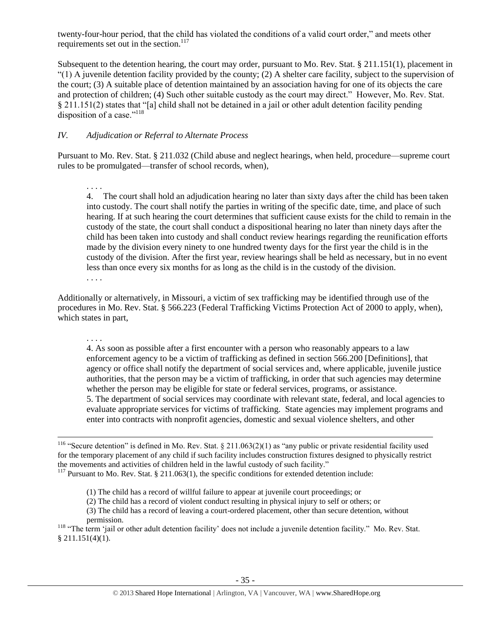twenty-four-hour period, that the child has violated the conditions of a valid court order," and meets other requirements set out in the section.<sup>117</sup>

Subsequent to the detention hearing, the court may order, pursuant to Mo. Rev. Stat. § 211.151(1), placement in  $(1)$  A juvenile detention facility provided by the county; (2) A shelter care facility, subject to the supervision of the court; (3) A suitable place of detention maintained by an association having for one of its objects the care and protection of children; (4) Such other suitable custody as the court may direct." However, Mo. Rev. Stat. § 211.151(2) states that "[a] child shall not be detained in a jail or other adult detention facility pending disposition of a case."<sup>118</sup>

#### <span id="page-34-0"></span>*IV. Adjudication or Referral to Alternate Process*

Pursuant to Mo. Rev. Stat. § 211.032 (Child abuse and neglect hearings, when held, procedure—supreme court rules to be promulgated—transfer of school records, when),

. . . . 4. The court shall hold an adjudication hearing no later than sixty days after the child has been taken into custody. The court shall notify the parties in writing of the specific date, time, and place of such hearing. If at such hearing the court determines that sufficient cause exists for the child to remain in the custody of the state, the court shall conduct a dispositional hearing no later than ninety days after the child has been taken into custody and shall conduct review hearings regarding the reunification efforts made by the division every ninety to one hundred twenty days for the first year the child is in the custody of the division. After the first year, review hearings shall be held as necessary, but in no event less than once every six months for as long as the child is in the custody of the division.

. . . .

Additionally or alternatively, in Missouri, a victim of sex trafficking may be identified through use of the procedures in Mo. Rev. Stat. § 566.223 (Federal Trafficking Victims Protection Act of 2000 to apply, when), which states in part,

. . . .

l

4. As soon as possible after a first encounter with a person who reasonably appears to a law enforcement agency to be a victim of trafficking as defined in section 566.200 [Definitions], that agency or office shall notify the department of social services and, where applicable, juvenile justice authorities, that the person may be a victim of trafficking, in order that such agencies may determine whether the person may be eligible for state or federal services, programs, or assistance. 5. The department of social services may coordinate with relevant state, federal, and local agencies to evaluate appropriate services for victims of trafficking. State agencies may implement programs and enter into contracts with nonprofit agencies, domestic and sexual violence shelters, and other

<sup>118</sup> "The term 'jail or other adult detention facility' does not include a juvenile detention facility." Mo. Rev. Stat.  $$211.151(4)(1).$ 

<sup>&</sup>lt;sup>116</sup> "Secure detention" is defined in Mo. Rev. Stat. § 211.063(2)(1) as "any public or private residential facility used for the temporary placement of any child if such facility includes construction fixtures designed to physically restrict the movements and activities of children held in the lawful custody of such facility."

<sup>&</sup>lt;sup>117</sup> Pursuant to Mo. Rev. Stat. § 211.063(1), the specific conditions for extended detention include:

<sup>(1)</sup> The child has a record of willful failure to appear at juvenile court proceedings; or

<sup>(2)</sup> The child has a record of violent conduct resulting in physical injury to self or others; or

<sup>(3)</sup> The child has a record of leaving a court-ordered placement, other than secure detention, without permission.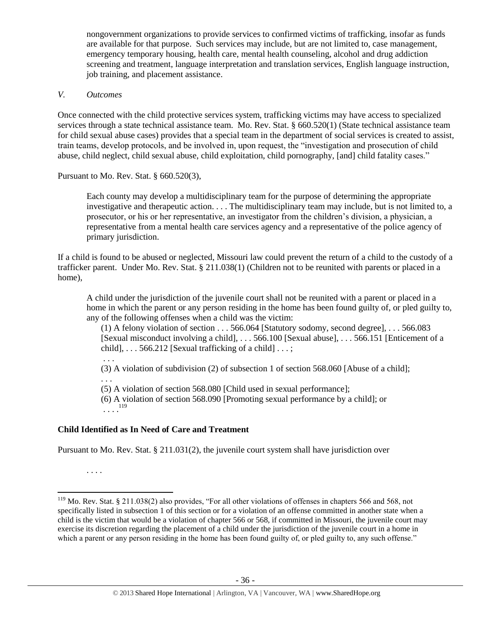nongovernment organizations to provide services to confirmed victims of trafficking, insofar as funds are available for that purpose. Such services may include, but are not limited to, case management, emergency temporary housing, health care, mental health counseling, alcohol and drug addiction screening and treatment, language interpretation and translation services, English language instruction, job training, and placement assistance.

#### *V. Outcomes*

Once connected with the child protective services system, trafficking victims may have access to specialized services through a state technical assistance team. Mo. Rev. Stat. § 660.520(1) (State technical assistance team for child sexual abuse cases) provides that a special team in the department of social services is created to assist, train teams, develop protocols, and be involved in, upon request, the "investigation and prosecution of child abuse, child neglect, child sexual abuse, child exploitation, child pornography, [and] child fatality cases."

Pursuant to Mo. Rev. Stat. § 660.520(3),

Each county may develop a multidisciplinary team for the purpose of determining the appropriate investigative and therapeutic action. . . . The multidisciplinary team may include, but is not limited to, a prosecutor, or his or her representative, an investigator from the children's division, a physician, a representative from a mental health care services agency and a representative of the police agency of primary jurisdiction.

If a child is found to be abused or neglected, Missouri law could prevent the return of a child to the custody of a trafficker parent. Under Mo. Rev. Stat. § 211.038(1) (Children not to be reunited with parents or placed in a home),

A child under the jurisdiction of the juvenile court shall not be reunited with a parent or placed in a home in which the parent or any person residing in the home has been found guilty of, or pled guilty to, any of the following offenses when a child was the victim:

(1) A felony violation of section . . . 566.064 [Statutory sodomy, second degree], . . . 566.083 [Sexual misconduct involving a child], . . . 566.100 [Sexual abuse], . . . 566.151 [Enticement of a child],  $\ldots$  566.212 [Sexual trafficking of a child]  $\ldots$ ;

. . .

(3) A violation of subdivision (2) of subsection 1 of section 568.060 [Abuse of a child];

. . .

(5) A violation of section 568.080 [Child used in sexual performance];

(6) A violation of section 568.090 [Promoting sexual performance by a child]; or  $\ldots$ <sup>119</sup>

## **Child Identified as In Need of Care and Treatment**

Pursuant to Mo. Rev. Stat. § 211.031(2), the juvenile court system shall have jurisdiction over

. . . .

 $119$  Mo. Rev. Stat. § 211.038(2) also provides, "For all other violations of offenses in chapters 566 and 568, not specifically listed in subsection 1 of this section or for a violation of an offense committed in another state when a child is the victim that would be a violation of chapter 566 or 568, if committed in Missouri, the juvenile court may exercise its discretion regarding the placement of a child under the jurisdiction of the juvenile court in a home in which a parent or any person residing in the home has been found guilty of, or pled guilty to, any such offense."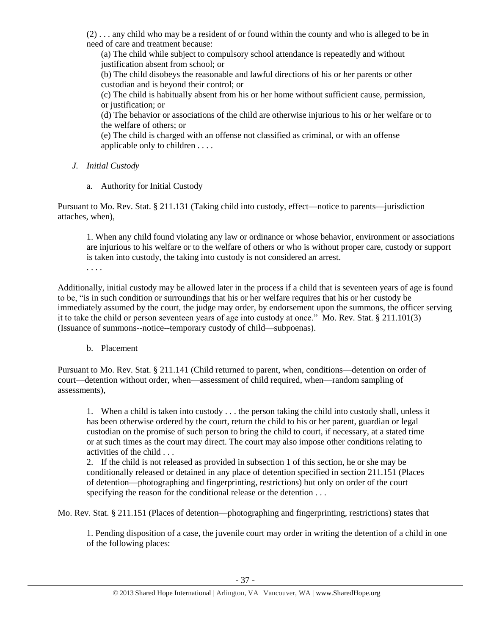(2) . . . any child who may be a resident of or found within the county and who is alleged to be in need of care and treatment because:

(a) The child while subject to compulsory school attendance is repeatedly and without justification absent from school; or

(b) The child disobeys the reasonable and lawful directions of his or her parents or other custodian and is beyond their control; or

(c) The child is habitually absent from his or her home without sufficient cause, permission, or justification; or

(d) The behavior or associations of the child are otherwise injurious to his or her welfare or to the welfare of others; or

(e) The child is charged with an offense not classified as criminal, or with an offense applicable only to children . . . .

- *J. Initial Custody*
	- a. Authority for Initial Custody

Pursuant to Mo. Rev. Stat. § 211.131 (Taking child into custody, effect—notice to parents—jurisdiction attaches, when),

1. When any child found violating any law or ordinance or whose behavior, environment or associations are injurious to his welfare or to the welfare of others or who is without proper care, custody or support is taken into custody, the taking into custody is not considered an arrest.

. . . .

Additionally, initial custody may be allowed later in the process if a child that is seventeen years of age is found to be, "is in such condition or surroundings that his or her welfare requires that his or her custody be immediately assumed by the court, the judge may order, by endorsement upon the summons, the officer serving it to take the child or person seventeen years of age into custody at once." Mo. Rev. Stat. § 211.101(3) (Issuance of summons--notice--temporary custody of child—subpoenas).

b. Placement

Pursuant to Mo. Rev. Stat. § 211.141 (Child returned to parent, when, conditions—detention on order of court—detention without order, when—assessment of child required, when—random sampling of assessments),

1. When a child is taken into custody . . . the person taking the child into custody shall, unless it has been otherwise ordered by the court, return the child to his or her parent, guardian or legal custodian on the promise of such person to bring the child to court, if necessary, at a stated time or at such times as the court may direct. The court may also impose other conditions relating to activities of the child . . .

2. If the child is not released as provided in subsection 1 of this section, he or she may be conditionally released or detained in any place of detention specified in section 211.151 (Places of detention—photographing and fingerprinting, restrictions) but only on order of the court specifying the reason for the conditional release or the detention . . .

Mo. Rev. Stat. § 211.151 (Places of detention—photographing and fingerprinting, restrictions) states that

1. Pending disposition of a case, the juvenile court may order in writing the detention of a child in one of the following places: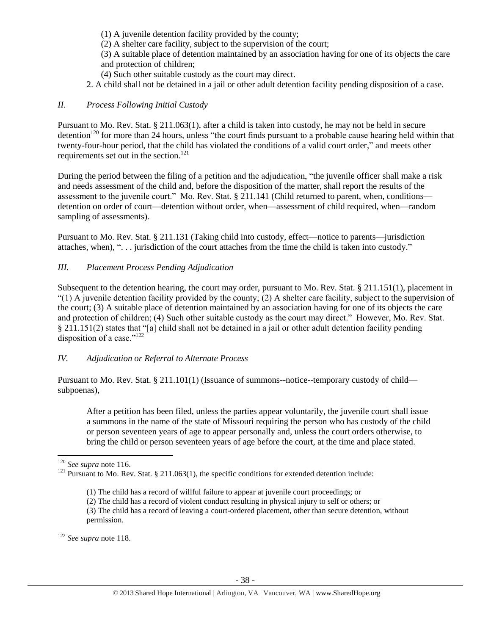- (1) A juvenile detention facility provided by the county;
- (2) A shelter care facility, subject to the supervision of the court;

(3) A suitable place of detention maintained by an association having for one of its objects the care and protection of children;

- (4) Such other suitable custody as the court may direct.
- 2. A child shall not be detained in a jail or other adult detention facility pending disposition of a case.

#### *II. Process Following Initial Custody*

Pursuant to Mo. Rev. Stat. § 211.063(1), after a child is taken into custody, he may not be held in secure detention<sup>120</sup> for more than 24 hours, unless "the court finds pursuant to a probable cause hearing held within that twenty-four-hour period, that the child has violated the conditions of a valid court order," and meets other requirements set out in the section.<sup>121</sup>

During the period between the filing of a petition and the adjudication, "the juvenile officer shall make a risk and needs assessment of the child and, before the disposition of the matter, shall report the results of the assessment to the juvenile court." Mo. Rev. Stat. § 211.141 (Child returned to parent, when, conditions detention on order of court—detention without order, when—assessment of child required, when—random sampling of assessments).

Pursuant to Mo. Rev. Stat. § 211.131 (Taking child into custody, effect—notice to parents—jurisdiction attaches, when), ". . . jurisdiction of the court attaches from the time the child is taken into custody."

#### *III. Placement Process Pending Adjudication*

Subsequent to the detention hearing, the court may order, pursuant to Mo. Rev. Stat. § 211.151(1), placement in  $(1)$  A juvenile detention facility provided by the county; (2) A shelter care facility, subject to the supervision of the court; (3) A suitable place of detention maintained by an association having for one of its objects the care and protection of children; (4) Such other suitable custody as the court may direct." However, Mo. Rev. Stat. § 211.151(2) states that "[a] child shall not be detained in a jail or other adult detention facility pending disposition of a case." $122$ 

### *IV. Adjudication or Referral to Alternate Process*

Pursuant to Mo. Rev. Stat. § 211.101(1) (Issuance of summons--notice--temporary custody of child subpoenas),

After a petition has been filed, unless the parties appear voluntarily, the juvenile court shall issue a summons in the name of the state of Missouri requiring the person who has custody of the child or person seventeen years of age to appear personally and, unless the court orders otherwise, to bring the child or person seventeen years of age before the court, at the time and place stated.

<sup>122</sup> *See supra* not[e 118.](#page-34-0)

 $\overline{\phantom{a}}$ <sup>120</sup> *See supra* not[e 116.](#page-33-0)

<sup>&</sup>lt;sup>121</sup> Pursuant to Mo. Rev. Stat. § 211.063(1), the specific conditions for extended detention include:

<sup>(1)</sup> The child has a record of willful failure to appear at juvenile court proceedings; or

<sup>(2)</sup> The child has a record of violent conduct resulting in physical injury to self or others; or

<sup>(3)</sup> The child has a record of leaving a court-ordered placement, other than secure detention, without permission.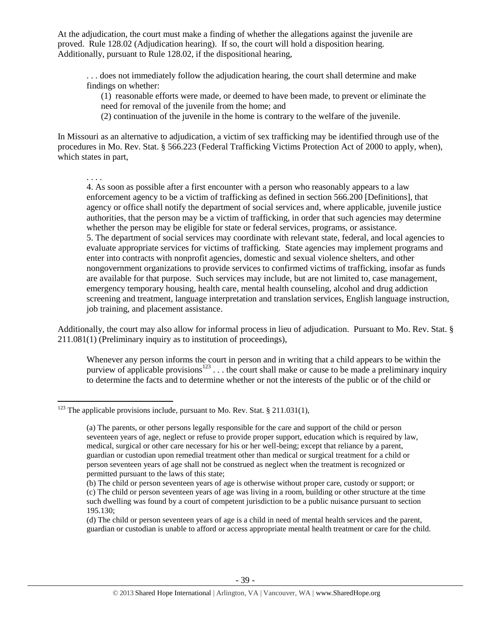At the adjudication, the court must make a finding of whether the allegations against the juvenile are proved. Rule 128.02 (Adjudication hearing). If so, the court will hold a disposition hearing. Additionally, pursuant to Rule 128.02, if the dispositional hearing,

. . . does not immediately follow the adjudication hearing, the court shall determine and make findings on whether:

(1) reasonable efforts were made, or deemed to have been made, to prevent or eliminate the need for removal of the juvenile from the home; and

(2) continuation of the juvenile in the home is contrary to the welfare of the juvenile.

In Missouri as an alternative to adjudication, a victim of sex trafficking may be identified through use of the procedures in Mo. Rev. Stat. § 566.223 (Federal Trafficking Victims Protection Act of 2000 to apply, when), which states in part,

. . . .

 $\overline{\phantom{a}}$ 

4. As soon as possible after a first encounter with a person who reasonably appears to a law enforcement agency to be a victim of trafficking as defined in section 566.200 [Definitions], that agency or office shall notify the department of social services and, where applicable, juvenile justice authorities, that the person may be a victim of trafficking, in order that such agencies may determine whether the person may be eligible for state or federal services, programs, or assistance. 5. The department of social services may coordinate with relevant state, federal, and local agencies to evaluate appropriate services for victims of trafficking. State agencies may implement programs and enter into contracts with nonprofit agencies, domestic and sexual violence shelters, and other nongovernment organizations to provide services to confirmed victims of trafficking, insofar as funds are available for that purpose. Such services may include, but are not limited to, case management, emergency temporary housing, health care, mental health counseling, alcohol and drug addiction screening and treatment, language interpretation and translation services, English language instruction, job training, and placement assistance.

Additionally, the court may also allow for informal process in lieu of adjudication. Pursuant to Mo. Rev. Stat. § 211.081(1) (Preliminary inquiry as to institution of proceedings),

Whenever any person informs the court in person and in writing that a child appears to be within the purview of applicable provisions<sup>123</sup> . . . the court shall make or cause to be made a preliminary inquiry to determine the facts and to determine whether or not the interests of the public or of the child or

<sup>&</sup>lt;sup>123</sup> The applicable provisions include, pursuant to Mo. Rev. Stat. § 211.031(1),

<sup>(</sup>a) The parents, or other persons legally responsible for the care and support of the child or person seventeen years of age, neglect or refuse to provide proper support, education which is required by law, medical, surgical or other care necessary for his or her well-being; except that reliance by a parent, guardian or custodian upon remedial treatment other than medical or surgical treatment for a child or person seventeen years of age shall not be construed as neglect when the treatment is recognized or permitted pursuant to the laws of this state;

<sup>(</sup>b) The child or person seventeen years of age is otherwise without proper care, custody or support; or (c) The child or person seventeen years of age was living in a room, building or other structure at the time such dwelling was found by a court of competent jurisdiction to be a public nuisance pursuant to section 195.130;

<sup>(</sup>d) The child or person seventeen years of age is a child in need of mental health services and the parent, guardian or custodian is unable to afford or access appropriate mental health treatment or care for the child.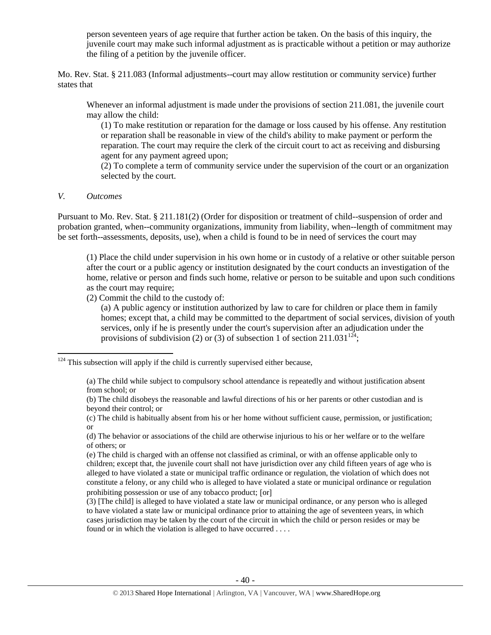person seventeen years of age require that further action be taken. On the basis of this inquiry, the juvenile court may make such informal adjustment as is practicable without a petition or may authorize the filing of a petition by the juvenile officer.

Mo. Rev. Stat. § 211.083 (Informal adjustments--court may allow restitution or community service) further states that

Whenever an informal adjustment is made under the provisions of section 211.081, the juvenile court may allow the child:

(1) To make restitution or reparation for the damage or loss caused by his offense. Any restitution or reparation shall be reasonable in view of the child's ability to make payment or perform the reparation. The court may require the clerk of the circuit court to act as receiving and disbursing agent for any payment agreed upon;

(2) To complete a term of community service under the supervision of the court or an organization selected by the court.

#### *V. Outcomes*

l

Pursuant to Mo. Rev. Stat. § 211.181(2) (Order for disposition or treatment of child--suspension of order and probation granted, when--community organizations, immunity from liability, when--length of commitment may be set forth--assessments, deposits, use), when a child is found to be in need of services the court may

(1) Place the child under supervision in his own home or in custody of a relative or other suitable person after the court or a public agency or institution designated by the court conducts an investigation of the home, relative or person and finds such home, relative or person to be suitable and upon such conditions as the court may require;

(2) Commit the child to the custody of:

(a) A public agency or institution authorized by law to care for children or place them in family homes; except that, a child may be committed to the department of social services, division of youth services, only if he is presently under the court's supervision after an adjudication under the provisions of subdivision (2) or (3) of subsection 1 of section 211.031<sup>124</sup>;

 $124$  This subsection will apply if the child is currently supervised either because,

<sup>(</sup>a) The child while subject to compulsory school attendance is repeatedly and without justification absent from school; or

<sup>(</sup>b) The child disobeys the reasonable and lawful directions of his or her parents or other custodian and is beyond their control; or

<sup>(</sup>c) The child is habitually absent from his or her home without sufficient cause, permission, or justification; or

<sup>(</sup>d) The behavior or associations of the child are otherwise injurious to his or her welfare or to the welfare of others; or

<sup>(</sup>e) The child is charged with an offense not classified as criminal, or with an offense applicable only to children; except that, the juvenile court shall not have jurisdiction over any child fifteen years of age who is alleged to have violated a state or municipal traffic ordinance or regulation, the violation of which does not constitute a felony, or any child who is alleged to have violated a state or municipal ordinance or regulation prohibiting possession or use of any tobacco product; [or]

<sup>(3) [</sup>The child] is alleged to have violated a state law or municipal ordinance, or any person who is alleged to have violated a state law or municipal ordinance prior to attaining the age of seventeen years, in which cases jurisdiction may be taken by the court of the circuit in which the child or person resides or may be found or in which the violation is alleged to have occurred . . . .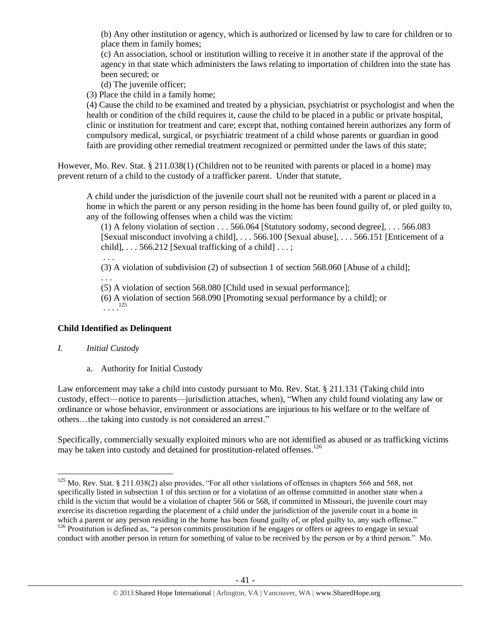(b) Any other institution or agency, which is authorized or licensed by law to care for children or to place them in family homes;

(c) An association, school or institution willing to receive it in another state if the approval of the agency in that state which administers the laws relating to importation of children into the state has been secured; or

(d) The juvenile officer;

(3) Place the child in a family home;

(4) Cause the child to be examined and treated by a physician, psychiatrist or psychologist and when the health or condition of the child requires it, cause the child to be placed in a public or private hospital, clinic or institution for treatment and care; except that, nothing contained herein authorizes any form of compulsory medical, surgical, or psychiatric treatment of a child whose parents or guardian in good faith are providing other remedial treatment recognized or permitted under the laws of this state;

However, Mo. Rev. Stat. § 211.038(1) (Children not to be reunited with parents or placed in a home) may prevent return of a child to the custody of a trafficker parent. Under that statute,

A child under the jurisdiction of the juvenile court shall not be reunited with a parent or placed in a home in which the parent or any person residing in the home has been found guilty of, or pled guilty to, any of the following offenses when a child was the victim:

(1) A felony violation of section . . . 566.064 [Statutory sodomy, second degree], . . . 566.083 [Sexual misconduct involving a child], . . . 566.100 [Sexual abuse], . . . 566.151 [Enticement of a child],  $\ldots$  566.212 [Sexual trafficking of a child]  $\ldots$ ;

. . .

. . .

(3) A violation of subdivision (2) of subsection 1 of section 568.060 [Abuse of a child];

(5) A violation of section 568.080 [Child used in sexual performance];

(6) A violation of section 568.090 [Promoting sexual performance by a child]; or  $\cdots$ <sup>125</sup>

## **Child Identified as Delinquent**

## *I. Initial Custody*

a. Authority for Initial Custody

Law enforcement may take a child into custody pursuant to Mo. Rev. Stat. § 211.131 (Taking child into custody, effect—notice to parents—jurisdiction attaches, when), "When any child found violating any law or ordinance or whose behavior, environment or associations are injurious to his welfare or to the welfare of others…the taking into custody is not considered an arrest."

Specifically, commercially sexually exploited minors who are not identified as abused or as trafficking victims may be taken into custody and detained for prostitution-related offenses.<sup>126</sup>

 $\overline{\phantom{a}}$  $125$  Mo. Rev. Stat. § 211.038(2) also provides, "For all other violations of offenses in chapters 566 and 568, not specifically listed in subsection 1 of this section or for a violation of an offense committed in another state when a child is the victim that would be a violation of chapter 566 or 568, if committed in Missouri, the juvenile court may exercise its discretion regarding the placement of a child under the jurisdiction of the juvenile court in a home in which a parent or any person residing in the home has been found guilty of, or pled guilty to, any such offense." <sup>126</sup> Prostitution is defined as, "a person commits prostitution if he engages or offers or agrees to engage in sexual

conduct with another person in return for something of value to be received by the person or by a third person." Mo.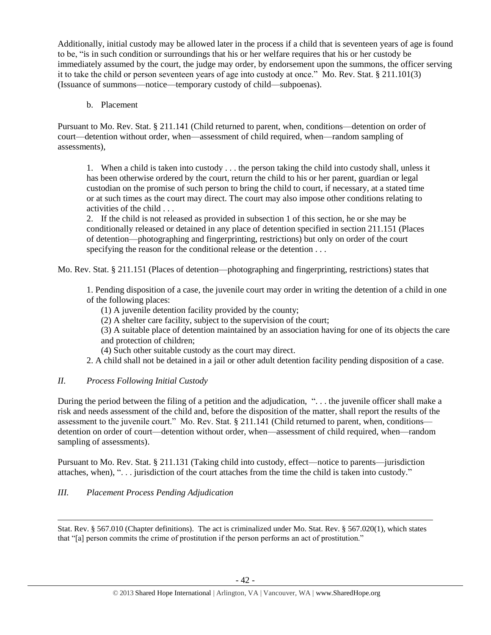Additionally, initial custody may be allowed later in the process if a child that is seventeen years of age is found to be, "is in such condition or surroundings that his or her welfare requires that his or her custody be immediately assumed by the court, the judge may order, by endorsement upon the summons, the officer serving it to take the child or person seventeen years of age into custody at once." Mo. Rev. Stat. § 211.101(3) (Issuance of summons—notice—temporary custody of child—subpoenas).

## b. Placement

Pursuant to Mo. Rev. Stat. § 211.141 (Child returned to parent, when, conditions—detention on order of court—detention without order, when—assessment of child required, when—random sampling of assessments),

1. When a child is taken into custody . . . the person taking the child into custody shall, unless it has been otherwise ordered by the court, return the child to his or her parent, guardian or legal custodian on the promise of such person to bring the child to court, if necessary, at a stated time or at such times as the court may direct. The court may also impose other conditions relating to activities of the child . . .

2. If the child is not released as provided in subsection 1 of this section, he or she may be conditionally released or detained in any place of detention specified in section 211.151 (Places of detention—photographing and fingerprinting, restrictions) but only on order of the court specifying the reason for the conditional release or the detention . . .

Mo. Rev. Stat. § 211.151 (Places of detention—photographing and fingerprinting, restrictions) states that

1. Pending disposition of a case, the juvenile court may order in writing the detention of a child in one of the following places:

- (1) A juvenile detention facility provided by the county;
- (2) A shelter care facility, subject to the supervision of the court;

(3) A suitable place of detention maintained by an association having for one of its objects the care and protection of children;

(4) Such other suitable custody as the court may direct.

2. A child shall not be detained in a jail or other adult detention facility pending disposition of a case.

## *II. Process Following Initial Custody*

During the period between the filing of a petition and the adjudication, ". . . the juvenile officer shall make a risk and needs assessment of the child and, before the disposition of the matter, shall report the results of the assessment to the juvenile court." Mo. Rev. Stat. § 211.141 (Child returned to parent, when, conditions detention on order of court—detention without order, when—assessment of child required, when—random sampling of assessments).

Pursuant to Mo. Rev. Stat. § 211.131 (Taking child into custody, effect—notice to parents—jurisdiction attaches, when), ". . . jurisdiction of the court attaches from the time the child is taken into custody."

## *III. Placement Process Pending Adjudication*

l

Stat. Rev. § 567.010 (Chapter definitions). The act is criminalized under Mo. Stat. Rev. § 567.020(1), which states that "[a] person commits the crime of prostitution if the person performs an act of prostitution."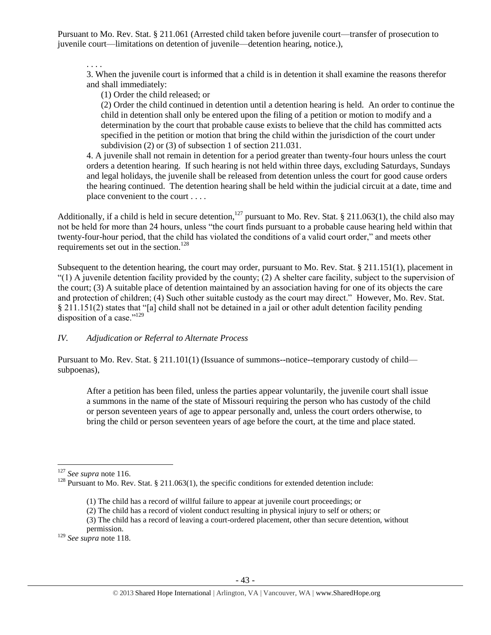Pursuant to Mo. Rev. Stat. § 211.061 (Arrested child taken before juvenile court—transfer of prosecution to juvenile court—limitations on detention of juvenile—detention hearing, notice.),

. . . .

3. When the juvenile court is informed that a child is in detention it shall examine the reasons therefor and shall immediately:

(1) Order the child released; or

(2) Order the child continued in detention until a detention hearing is held. An order to continue the child in detention shall only be entered upon the filing of a petition or motion to modify and a determination by the court that probable cause exists to believe that the child has committed acts specified in the petition or motion that bring the child within the jurisdiction of the court under subdivision (2) or (3) of subsection 1 of section 211.031.

4. A juvenile shall not remain in detention for a period greater than twenty-four hours unless the court orders a detention hearing. If such hearing is not held within three days, excluding Saturdays, Sundays and legal holidays, the juvenile shall be released from detention unless the court for good cause orders the hearing continued. The detention hearing shall be held within the judicial circuit at a date, time and place convenient to the court . . . .

Additionally, if a child is held in secure detention,<sup>127</sup> pursuant to Mo. Rev. Stat. § 211.063(1), the child also may not be held for more than 24 hours, unless "the court finds pursuant to a probable cause hearing held within that twenty-four-hour period, that the child has violated the conditions of a valid court order," and meets other requirements set out in the section.<sup>128</sup>

Subsequent to the detention hearing, the court may order, pursuant to Mo. Rev. Stat. § 211.151(1), placement in  $(1)$  A juvenile detention facility provided by the county; (2) A shelter care facility, subject to the supervision of the court; (3) A suitable place of detention maintained by an association having for one of its objects the care and protection of children; (4) Such other suitable custody as the court may direct." However, Mo. Rev. Stat. § 211.151(2) states that "[a] child shall not be detained in a jail or other adult detention facility pending disposition of a case."129

## *IV. Adjudication or Referral to Alternate Process*

Pursuant to Mo. Rev. Stat. § 211.101(1) (Issuance of summons--notice--temporary custody of child subpoenas),

After a petition has been filed, unless the parties appear voluntarily, the juvenile court shall issue a summons in the name of the state of Missouri requiring the person who has custody of the child or person seventeen years of age to appear personally and, unless the court orders otherwise, to bring the child or person seventeen years of age before the court, at the time and place stated.

<sup>129</sup> *See supra* not[e 118.](#page-34-0)

 $\overline{a}$ <sup>127</sup> *See supra* not[e 116.](#page-33-0)

<sup>&</sup>lt;sup>128</sup> Pursuant to Mo. Rev. Stat. § 211.063(1), the specific conditions for extended detention include:

<sup>(1)</sup> The child has a record of willful failure to appear at juvenile court proceedings; or

<sup>(2)</sup> The child has a record of violent conduct resulting in physical injury to self or others; or

<sup>(3)</sup> The child has a record of leaving a court-ordered placement, other than secure detention, without permission.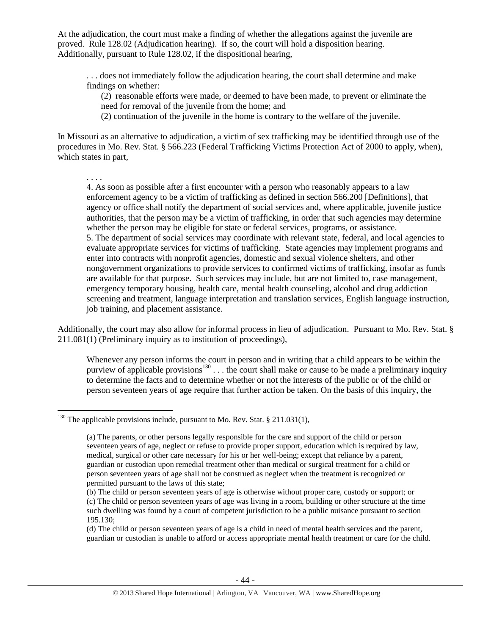At the adjudication, the court must make a finding of whether the allegations against the juvenile are proved. Rule 128.02 (Adjudication hearing). If so, the court will hold a disposition hearing. Additionally, pursuant to Rule 128.02, if the dispositional hearing,

. . . does not immediately follow the adjudication hearing, the court shall determine and make findings on whether:

(2) reasonable efforts were made, or deemed to have been made, to prevent or eliminate the need for removal of the juvenile from the home; and

(2) continuation of the juvenile in the home is contrary to the welfare of the juvenile.

In Missouri as an alternative to adjudication, a victim of sex trafficking may be identified through use of the procedures in Mo. Rev. Stat. § 566.223 (Federal Trafficking Victims Protection Act of 2000 to apply, when), which states in part,

. . . .

l

4. As soon as possible after a first encounter with a person who reasonably appears to a law enforcement agency to be a victim of trafficking as defined in section 566.200 [Definitions], that agency or office shall notify the department of social services and, where applicable, juvenile justice authorities, that the person may be a victim of trafficking, in order that such agencies may determine whether the person may be eligible for state or federal services, programs, or assistance. 5. The department of social services may coordinate with relevant state, federal, and local agencies to evaluate appropriate services for victims of trafficking. State agencies may implement programs and enter into contracts with nonprofit agencies, domestic and sexual violence shelters, and other nongovernment organizations to provide services to confirmed victims of trafficking, insofar as funds are available for that purpose. Such services may include, but are not limited to, case management, emergency temporary housing, health care, mental health counseling, alcohol and drug addiction screening and treatment, language interpretation and translation services, English language instruction, job training, and placement assistance.

Additionally, the court may also allow for informal process in lieu of adjudication. Pursuant to Mo. Rev. Stat. § 211.081(1) (Preliminary inquiry as to institution of proceedings),

Whenever any person informs the court in person and in writing that a child appears to be within the purview of applicable provisions<sup>130</sup>... the court shall make or cause to be made a preliminary inquiry to determine the facts and to determine whether or not the interests of the public or of the child or person seventeen years of age require that further action be taken. On the basis of this inquiry, the

<sup>&</sup>lt;sup>130</sup> The applicable provisions include, pursuant to Mo. Rev. Stat. § 211.031(1),

<sup>(</sup>a) The parents, or other persons legally responsible for the care and support of the child or person seventeen years of age, neglect or refuse to provide proper support, education which is required by law, medical, surgical or other care necessary for his or her well-being; except that reliance by a parent, guardian or custodian upon remedial treatment other than medical or surgical treatment for a child or person seventeen years of age shall not be construed as neglect when the treatment is recognized or permitted pursuant to the laws of this state;

<sup>(</sup>b) The child or person seventeen years of age is otherwise without proper care, custody or support; or (c) The child or person seventeen years of age was living in a room, building or other structure at the time such dwelling was found by a court of competent jurisdiction to be a public nuisance pursuant to section 195.130;

<sup>(</sup>d) The child or person seventeen years of age is a child in need of mental health services and the parent, guardian or custodian is unable to afford or access appropriate mental health treatment or care for the child.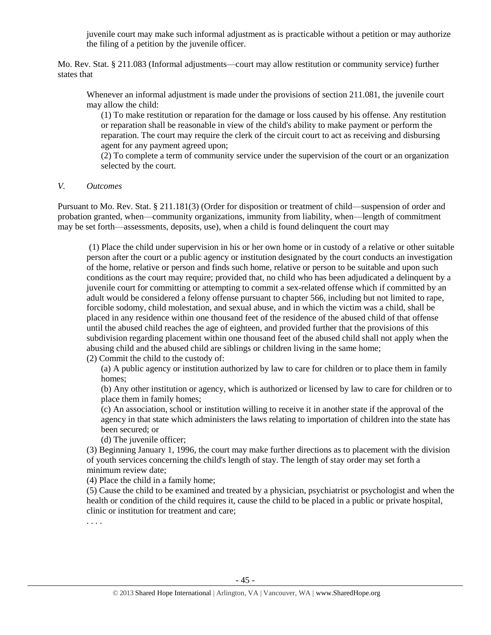juvenile court may make such informal adjustment as is practicable without a petition or may authorize the filing of a petition by the juvenile officer.

Mo. Rev. Stat. § 211.083 (Informal adjustments—court may allow restitution or community service) further states that

Whenever an informal adjustment is made under the provisions of section 211.081, the juvenile court may allow the child:

(1) To make restitution or reparation for the damage or loss caused by his offense. Any restitution or reparation shall be reasonable in view of the child's ability to make payment or perform the reparation. The court may require the clerk of the circuit court to act as receiving and disbursing agent for any payment agreed upon;

(2) To complete a term of community service under the supervision of the court or an organization selected by the court.

*V. Outcomes*

Pursuant to Mo. Rev. Stat. § 211.181(3) (Order for disposition or treatment of child—suspension of order and probation granted, when—community organizations, immunity from liability, when—length of commitment may be set forth—assessments, deposits, use), when a child is found delinquent the court may

(1) Place the child under supervision in his or her own home or in custody of a relative or other suitable person after the court or a public agency or institution designated by the court conducts an investigation of the home, relative or person and finds such home, relative or person to be suitable and upon such conditions as the court may require; provided that, no child who has been adjudicated a delinquent by a juvenile court for committing or attempting to commit a sex-related offense which if committed by an adult would be considered a felony offense pursuant to chapter 566, including but not limited to rape, forcible sodomy, child molestation, and sexual abuse, and in which the victim was a child, shall be placed in any residence within one thousand feet of the residence of the abused child of that offense until the abused child reaches the age of eighteen, and provided further that the provisions of this subdivision regarding placement within one thousand feet of the abused child shall not apply when the abusing child and the abused child are siblings or children living in the same home;

(2) Commit the child to the custody of:

(a) A public agency or institution authorized by law to care for children or to place them in family homes;

(b) Any other institution or agency, which is authorized or licensed by law to care for children or to place them in family homes;

(c) An association, school or institution willing to receive it in another state if the approval of the agency in that state which administers the laws relating to importation of children into the state has been secured; or

(d) The juvenile officer;

(3) Beginning January 1, 1996, the court may make further directions as to placement with the division of youth services concerning the child's length of stay. The length of stay order may set forth a minimum review date;

(4) Place the child in a family home;

(5) Cause the child to be examined and treated by a physician, psychiatrist or psychologist and when the health or condition of the child requires it, cause the child to be placed in a public or private hospital, clinic or institution for treatment and care;

. . . .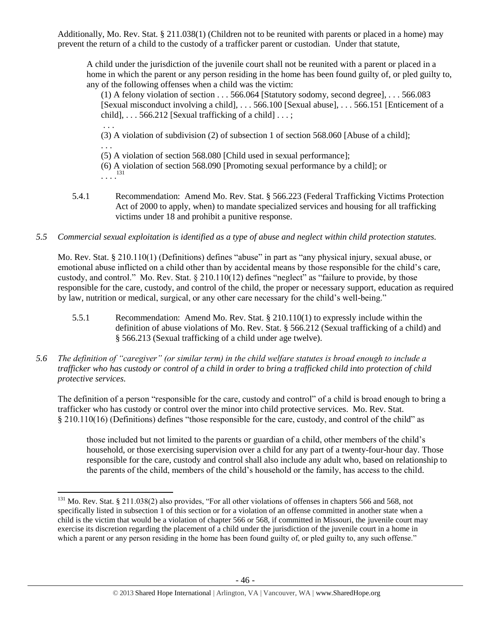Additionally, Mo. Rev. Stat. § 211.038(1) (Children not to be reunited with parents or placed in a home) may prevent the return of a child to the custody of a trafficker parent or custodian. Under that statute,

A child under the jurisdiction of the juvenile court shall not be reunited with a parent or placed in a home in which the parent or any person residing in the home has been found guilty of, or pled guilty to, any of the following offenses when a child was the victim:

(1) A felony violation of section . . . 566.064 [Statutory sodomy, second degree], . . . 566.083 [Sexual misconduct involving a child], . . . 566.100 [Sexual abuse], . . . 566.151 [Enticement of a child],  $\ldots$  566.212 [Sexual trafficking of a child]  $\ldots$ ;

. . . (3) A violation of subdivision (2) of subsection 1 of section 568.060 [Abuse of a child]; . . .

(5) A violation of section 568.080 [Child used in sexual performance];

(6) A violation of section 568.090 [Promoting sexual performance by a child]; or . . . . 131

- 5.4.1 Recommendation: Amend Mo. Rev. Stat. § 566.223 (Federal Trafficking Victims Protection Act of 2000 to apply, when) to mandate specialized services and housing for all trafficking victims under 18 and prohibit a punitive response.
- *5.5 Commercial sexual exploitation is identified as a type of abuse and neglect within child protection statutes.*

Mo. Rev. Stat. § 210.110(1) (Definitions) defines "abuse" in part as "any physical injury, sexual abuse, or emotional abuse inflicted on a child other than by accidental means by those responsible for the child's care, custody, and control." Mo. Rev. Stat. § 210.110(12) defines "neglect" as "failure to provide, by those responsible for the care, custody, and control of the child, the proper or necessary support, education as required by law, nutrition or medical, surgical, or any other care necessary for the child's well-being."

- 5.5.1 Recommendation: Amend Mo. Rev. Stat. § 210.110(1) to expressly include within the definition of abuse violations of Mo. Rev. Stat. § 566.212 (Sexual trafficking of a child) and § 566.213 (Sexual trafficking of a child under age twelve).
- *5.6 The definition of "caregiver" (or similar term) in the child welfare statutes is broad enough to include a trafficker who has custody or control of a child in order to bring a trafficked child into protection of child protective services.*

The definition of a person "responsible for the care, custody and control" of a child is broad enough to bring a trafficker who has custody or control over the minor into child protective services. Mo. Rev. Stat. § 210.110(16) (Definitions) defines "those responsible for the care, custody, and control of the child" as

those included but not limited to the parents or guardian of a child, other members of the child's household, or those exercising supervision over a child for any part of a twenty-four-hour day. Those responsible for the care, custody and control shall also include any adult who, based on relationship to the parents of the child, members of the child's household or the family, has access to the child.

<sup>&</sup>lt;sup>131</sup> Mo. Rev. Stat. § 211.038(2) also provides, "For all other violations of offenses in chapters 566 and 568, not specifically listed in subsection 1 of this section or for a violation of an offense committed in another state when a child is the victim that would be a violation of chapter 566 or 568, if committed in Missouri, the juvenile court may exercise its discretion regarding the placement of a child under the jurisdiction of the juvenile court in a home in which a parent or any person residing in the home has been found guilty of, or pled guilty to, any such offense."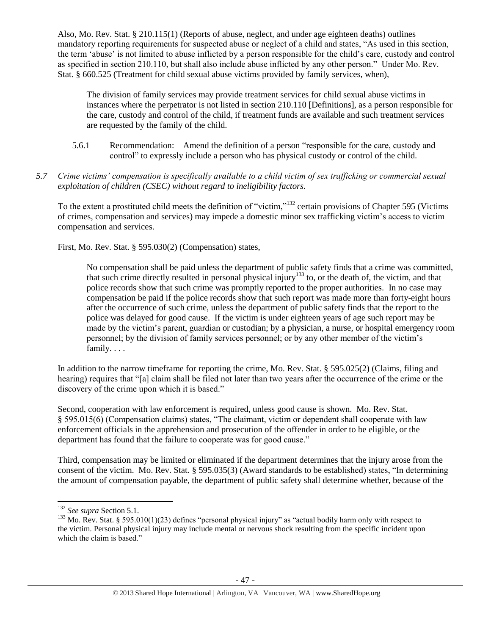Also, Mo. Rev. Stat. § 210.115(1) (Reports of abuse, neglect, and under age eighteen deaths) outlines mandatory reporting requirements for suspected abuse or neglect of a child and states, "As used in this section, the term 'abuse' is not limited to abuse inflicted by a person responsible for the child's care, custody and control as specified in section 210.110, but shall also include abuse inflicted by any other person." Under Mo. Rev. Stat. § 660.525 (Treatment for child sexual abuse victims provided by family services, when),

The division of family services may provide treatment services for child sexual abuse victims in instances where the perpetrator is not listed in section 210.110 [Definitions], as a person responsible for the care, custody and control of the child, if treatment funds are available and such treatment services are requested by the family of the child.

- 5.6.1 Recommendation: Amend the definition of a person "responsible for the care, custody and control" to expressly include a person who has physical custody or control of the child.
- *5.7 Crime victims' compensation is specifically available to a child victim of sex trafficking or commercial sexual exploitation of children (CSEC) without regard to ineligibility factors.*

To the extent a prostituted child meets the definition of "victim,"<sup>132</sup> certain provisions of Chapter 595 (Victims of crimes, compensation and services) may impede a domestic minor sex trafficking victim's access to victim compensation and services.

First, Mo. Rev. Stat. § 595.030(2) (Compensation) states,

No compensation shall be paid unless the department of public safety finds that a crime was committed, that such crime directly resulted in personal physical injury<sup>133</sup> to, or the death of, the victim, and that police records show that such crime was promptly reported to the proper authorities. In no case may compensation be paid if the police records show that such report was made more than forty-eight hours after the occurrence of such crime, unless the department of public safety finds that the report to the police was delayed for good cause. If the victim is under eighteen years of age such report may be made by the victim's parent, guardian or custodian; by a physician, a nurse, or hospital emergency room personnel; by the division of family services personnel; or by any other member of the victim's family. . . .

In addition to the narrow timeframe for reporting the crime, Mo. Rev. Stat. § 595.025(2) (Claims, filing and hearing) requires that "[a] claim shall be filed not later than two years after the occurrence of the crime or the discovery of the crime upon which it is based."

Second, cooperation with law enforcement is required, unless good cause is shown. Mo. Rev. Stat. § 595.015(6) (Compensation claims) states, "The claimant, victim or dependent shall cooperate with law enforcement officials in the apprehension and prosecution of the offender in order to be eligible, or the department has found that the failure to cooperate was for good cause."

Third, compensation may be limited or eliminated if the department determines that the injury arose from the consent of the victim. Mo. Rev. Stat. § 595.035(3) (Award standards to be established) states, "In determining the amount of compensation payable, the department of public safety shall determine whether, because of the

 $\overline{a}$ 

<sup>132</sup> *See supra* Section 5.1.

 $133$  Mo. Rev. Stat. § 595.010(1)(23) defines "personal physical injury" as "actual bodily harm only with respect to the victim. Personal physical injury may include mental or nervous shock resulting from the specific incident upon which the claim is based."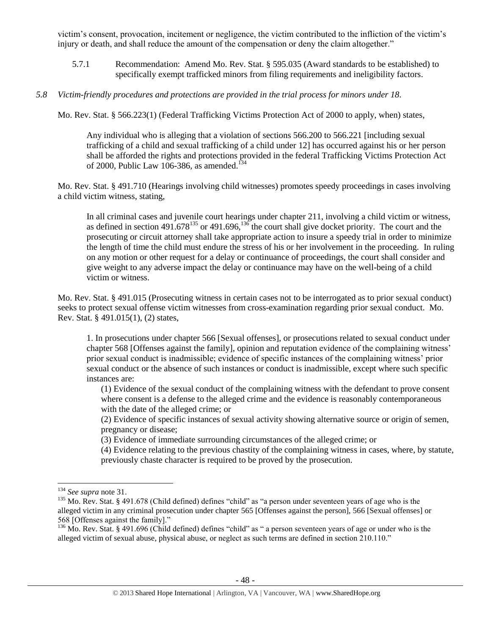victim's consent, provocation, incitement or negligence, the victim contributed to the infliction of the victim's injury or death, and shall reduce the amount of the compensation or deny the claim altogether."

- 5.7.1 Recommendation: Amend Mo. Rev. Stat. § 595.035 (Award standards to be established) to specifically exempt trafficked minors from filing requirements and ineligibility factors.
- *5.8 Victim-friendly procedures and protections are provided in the trial process for minors under 18.*

Mo. Rev. Stat. § 566.223(1) (Federal Trafficking Victims Protection Act of 2000 to apply, when) states,

Any individual who is alleging that a violation of sections 566.200 to 566.221 [including sexual trafficking of a child and sexual trafficking of a child under 12] has occurred against his or her person shall be afforded the rights and protections provided in the federal Trafficking Victims Protection Act of 2000, Public Law 106-386, as amended.<sup> $54$ </sup>

Mo. Rev. Stat. § 491.710 (Hearings involving child witnesses) promotes speedy proceedings in cases involving a child victim witness, stating,

In all criminal cases and juvenile court hearings under chapter 211, involving a child victim or witness, as defined in section 491.678<sup>135</sup> or 491.696,<sup>136</sup> the court shall give docket priority. The court and the prosecuting or circuit attorney shall take appropriate action to insure a speedy trial in order to minimize the length of time the child must endure the stress of his or her involvement in the proceeding. In ruling on any motion or other request for a delay or continuance of proceedings, the court shall consider and give weight to any adverse impact the delay or continuance may have on the well-being of a child victim or witness.

Mo. Rev. Stat. § 491.015 (Prosecuting witness in certain cases not to be interrogated as to prior sexual conduct) seeks to protect sexual offense victim witnesses from cross-examination regarding prior sexual conduct. Mo. Rev. Stat. § 491.015(1), (2) states,

1. In prosecutions under chapter 566 [Sexual offenses], or prosecutions related to sexual conduct under chapter 568 [Offenses against the family], opinion and reputation evidence of the complaining witness' prior sexual conduct is inadmissible; evidence of specific instances of the complaining witness' prior sexual conduct or the absence of such instances or conduct is inadmissible, except where such specific instances are:

(1) Evidence of the sexual conduct of the complaining witness with the defendant to prove consent where consent is a defense to the alleged crime and the evidence is reasonably contemporaneous with the date of the alleged crime; or

(2) Evidence of specific instances of sexual activity showing alternative source or origin of semen, pregnancy or disease;

(3) Evidence of immediate surrounding circumstances of the alleged crime; or

(4) Evidence relating to the previous chastity of the complaining witness in cases, where, by statute, previously chaste character is required to be proved by the prosecution.

<sup>134</sup> *See supra* not[e 31.](#page-9-0)

<sup>&</sup>lt;sup>135</sup> Mo. Rev. Stat. § 491.678 (Child defined) defines "child" as "a person under seventeen years of age who is the alleged victim in any criminal prosecution under chapter 565 [Offenses against the person], 566 [Sexual offenses] or 568 [Offenses against the family]."

 $^{136}$  Mo. Rev. Stat. § 491.696 (Child defined) defines "child" as " a person seventeen years of age or under who is the alleged victim of sexual abuse, physical abuse, or neglect as such terms are defined in section 210.110."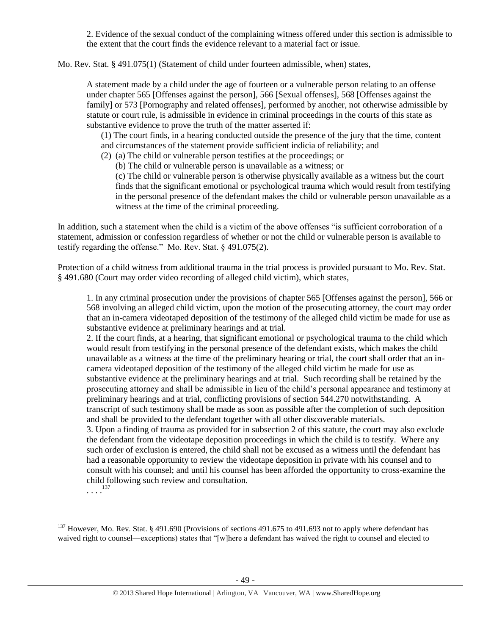2. Evidence of the sexual conduct of the complaining witness offered under this section is admissible to the extent that the court finds the evidence relevant to a material fact or issue.

Mo. Rev. Stat. § 491.075(1) (Statement of child under fourteen admissible, when) states,

A statement made by a child under the age of fourteen or a vulnerable person relating to an offense under chapter 565 [Offenses against the person], 566 [Sexual offenses], 568 [Offenses against the family] or 573 [Pornography and related offenses], performed by another, not otherwise admissible by statute or court rule, is admissible in evidence in criminal proceedings in the courts of this state as substantive evidence to prove the truth of the matter asserted if:

(1) The court finds, in a hearing conducted outside the presence of the jury that the time, content and circumstances of the statement provide sufficient indicia of reliability; and

- (2) (a) The child or vulnerable person testifies at the proceedings; or
	- (b) The child or vulnerable person is unavailable as a witness; or

(c) The child or vulnerable person is otherwise physically available as a witness but the court finds that the significant emotional or psychological trauma which would result from testifying in the personal presence of the defendant makes the child or vulnerable person unavailable as a witness at the time of the criminal proceeding.

In addition, such a statement when the child is a victim of the above offenses "is sufficient corroboration of a statement, admission or confession regardless of whether or not the child or vulnerable person is available to testify regarding the offense." Mo. Rev. Stat. § 491.075(2).

Protection of a child witness from additional trauma in the trial process is provided pursuant to Mo. Rev. Stat. § 491.680 (Court may order video recording of alleged child victim), which states,

1. In any criminal prosecution under the provisions of chapter 565 [Offenses against the person], 566 or 568 involving an alleged child victim, upon the motion of the prosecuting attorney, the court may order that an in-camera videotaped deposition of the testimony of the alleged child victim be made for use as substantive evidence at preliminary hearings and at trial.

2. If the court finds, at a hearing, that significant emotional or psychological trauma to the child which would result from testifying in the personal presence of the defendant exists, which makes the child unavailable as a witness at the time of the preliminary hearing or trial, the court shall order that an incamera videotaped deposition of the testimony of the alleged child victim be made for use as substantive evidence at the preliminary hearings and at trial. Such recording shall be retained by the prosecuting attorney and shall be admissible in lieu of the child's personal appearance and testimony at preliminary hearings and at trial, conflicting provisions of section 544.270 notwithstanding. A transcript of such testimony shall be made as soon as possible after the completion of such deposition and shall be provided to the defendant together with all other discoverable materials.

3. Upon a finding of trauma as provided for in subsection 2 of this statute, the court may also exclude the defendant from the videotape deposition proceedings in which the child is to testify. Where any such order of exclusion is entered, the child shall not be excused as a witness until the defendant has had a reasonable opportunity to review the videotape deposition in private with his counsel and to consult with his counsel; and until his counsel has been afforded the opportunity to cross-examine the child following such review and consultation.

. . . . 137

l

 $137$  However, Mo. Rev. Stat. § 491.690 (Provisions of sections 491.675 to 491.693 not to apply where defendant has waived right to counsel—exceptions) states that "[w]here a defendant has waived the right to counsel and elected to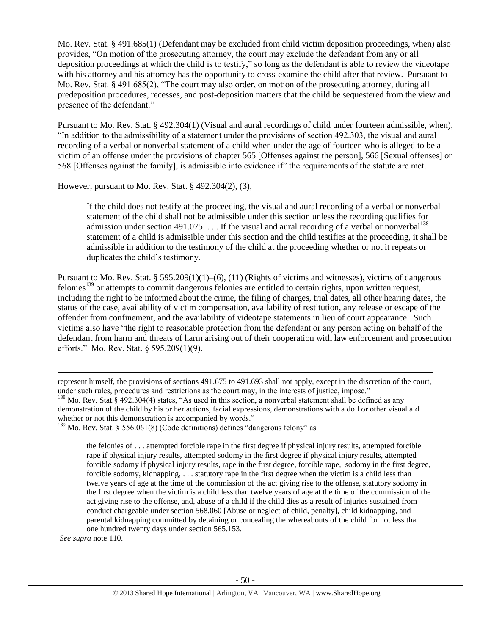Mo. Rev. Stat. § 491.685(1) (Defendant may be excluded from child victim deposition proceedings, when) also provides, "On motion of the prosecuting attorney, the court may exclude the defendant from any or all deposition proceedings at which the child is to testify," so long as the defendant is able to review the videotape with his attorney and his attorney has the opportunity to cross-examine the child after that review. Pursuant to Mo. Rev. Stat. § 491.685(2), "The court may also order, on motion of the prosecuting attorney, during all predeposition procedures, recesses, and post-deposition matters that the child be sequestered from the view and presence of the defendant."

Pursuant to Mo. Rev. Stat. § 492.304(1) (Visual and aural recordings of child under fourteen admissible, when), "In addition to the admissibility of a statement under the provisions of section 492.303, the visual and aural recording of a verbal or nonverbal statement of a child when under the age of fourteen who is alleged to be a victim of an offense under the provisions of chapter 565 [Offenses against the person], 566 [Sexual offenses] or 568 [Offenses against the family], is admissible into evidence if" the requirements of the statute are met.

However, pursuant to Mo. Rev. Stat. § 492.304(2), (3),

If the child does not testify at the proceeding, the visual and aural recording of a verbal or nonverbal statement of the child shall not be admissible under this section unless the recording qualifies for admission under section 491.075. . . . If the visual and aural recording of a verbal or nonverbal<sup>138</sup> statement of a child is admissible under this section and the child testifies at the proceeding, it shall be admissible in addition to the testimony of the child at the proceeding whether or not it repeats or duplicates the child's testimony.

Pursuant to Mo. Rev. Stat. § 595.209(1)(1)–(6), (11) (Rights of victims and witnesses), victims of dangerous felonies<sup>139</sup> or attempts to commit dangerous felonies are entitled to certain rights, upon written request, including the right to be informed about the crime, the filing of charges, trial dates, all other hearing dates, the status of the case, availability of victim compensation, availability of restitution, any release or escape of the offender from confinement, and the availability of videotape statements in lieu of court appearance. Such victims also have "the right to reasonable protection from the defendant or any person acting on behalf of the defendant from harm and threats of harm arising out of their cooperation with law enforcement and prosecution efforts." Mo. Rev. Stat. § 595.209(1)(9).

the felonies of . . . attempted forcible rape in the first degree if physical injury results, attempted forcible rape if physical injury results, attempted sodomy in the first degree if physical injury results, attempted forcible sodomy if physical injury results, rape in the first degree, forcible rape, sodomy in the first degree, forcible sodomy, kidnapping, . . . statutory rape in the first degree when the victim is a child less than twelve years of age at the time of the commission of the act giving rise to the offense, statutory sodomy in the first degree when the victim is a child less than twelve years of age at the time of the commission of the act giving rise to the offense, and, abuse of a child if the child dies as a result of injuries sustained from conduct chargeable under section 568.060 [Abuse or neglect of child, penalty], child kidnapping, and parental kidnapping committed by detaining or concealing the whereabouts of the child for not less than one hundred twenty days under section 565.153.

*See supra* note [110.](#page-30-0)

represent himself, the provisions of sections 491.675 to 491.693 shall not apply, except in the discretion of the court, under such rules, procedures and restrictions as the court may, in the interests of justice, impose." <sup>138</sup> Mo. Rev. Stat.§ 492.304(4) states, "As used in this section, a nonverbal statement shall be defined as any demonstration of the child by his or her actions, facial expressions, demonstrations with a doll or other visual aid whether or not this demonstration is accompanied by words."

<sup>&</sup>lt;sup>139</sup> Mo. Rev. Stat. § 556.061(8) (Code definitions) defines "dangerous felony" as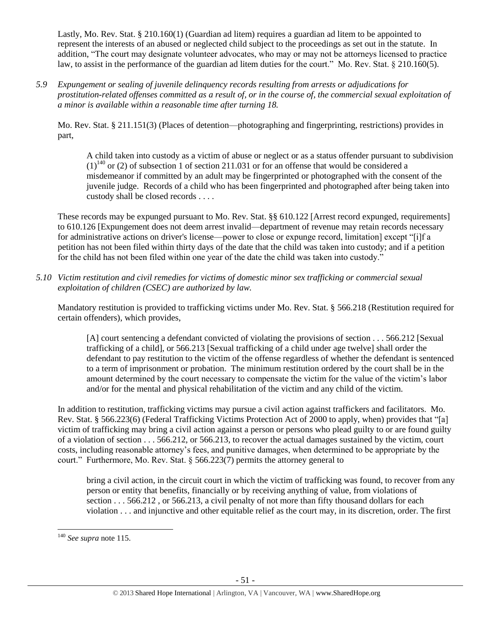Lastly, Mo. Rev. Stat. § 210.160(1) (Guardian ad litem) requires a guardian ad litem to be appointed to represent the interests of an abused or neglected child subject to the proceedings as set out in the statute. In addition, "The court may designate volunteer advocates, who may or may not be attorneys licensed to practice law, to assist in the performance of the guardian ad litem duties for the court." Mo. Rev. Stat. § 210.160(5).

*5.9 Expungement or sealing of juvenile delinquency records resulting from arrests or adjudications for prostitution-related offenses committed as a result of, or in the course of, the commercial sexual exploitation of a minor is available within a reasonable time after turning 18.*

Mo. Rev. Stat. § 211.151(3) (Places of detention—photographing and fingerprinting, restrictions) provides in part,

A child taken into custody as a victim of abuse or neglect or as a status offender pursuant to subdivision  $(1)^{140}$  or (2) of subsection 1 of section 211.031 or for an offense that would be considered a misdemeanor if committed by an adult may be fingerprinted or photographed with the consent of the juvenile judge. Records of a child who has been fingerprinted and photographed after being taken into custody shall be closed records . . . .

These records may be expunged pursuant to Mo. Rev. Stat. §§ 610.122 [Arrest record expunged, requirements] to 610.126 [Expungement does not deem arrest invalid—department of revenue may retain records necessary for administrative actions on driver's license—power to close or expunge record, limitation] except "[i]f a petition has not been filed within thirty days of the date that the child was taken into custody; and if a petition for the child has not been filed within one year of the date the child was taken into custody."

*5.10 Victim restitution and civil remedies for victims of domestic minor sex trafficking or commercial sexual exploitation of children (CSEC) are authorized by law.* 

Mandatory restitution is provided to trafficking victims under Mo. Rev. Stat. § 566.218 (Restitution required for certain offenders), which provides,

[A] court sentencing a defendant convicted of violating the provisions of section . . . 566.212 [Sexual trafficking of a child], or 566.213 [Sexual trafficking of a child under age twelve] shall order the defendant to pay restitution to the victim of the offense regardless of whether the defendant is sentenced to a term of imprisonment or probation. The minimum restitution ordered by the court shall be in the amount determined by the court necessary to compensate the victim for the value of the victim's labor and/or for the mental and physical rehabilitation of the victim and any child of the victim.

In addition to restitution, trafficking victims may pursue a civil action against traffickers and facilitators. Mo. Rev. Stat. § 566.223(6) (Federal Trafficking Victims Protection Act of 2000 to apply, when) provides that "[a] victim of trafficking may bring a civil action against a person or persons who plead guilty to or are found guilty of a violation of section . . . 566.212, or 566.213, to recover the actual damages sustained by the victim, court costs, including reasonable attorney's fees, and punitive damages, when determined to be appropriate by the court." Furthermore, Mo. Rev. Stat. § 566.223(7) permits the attorney general to

bring a civil action, in the circuit court in which the victim of trafficking was found, to recover from any person or entity that benefits, financially or by receiving anything of value, from violations of section . . . 566.212 , or 566.213, a civil penalty of not more than fifty thousand dollars for each violation . . . and injunctive and other equitable relief as the court may, in its discretion, order. The first

 $\overline{a}$ <sup>140</sup> *See supra* note [115.](#page-33-1)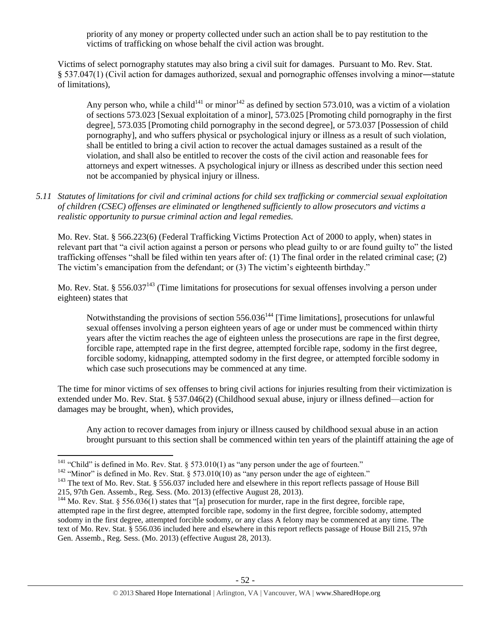priority of any money or property collected under such an action shall be to pay restitution to the victims of trafficking on whose behalf the civil action was brought.

Victims of select pornography statutes may also bring a civil suit for damages. Pursuant to Mo. Rev. Stat. § 537.047(1) (Civil action for damages authorized, sexual and pornographic offenses involving a minor―statute of limitations),

Any person who, while a child<sup>141</sup> or minor<sup>142</sup> as defined by section 573.010, was a victim of a violation of sections 573.023 [Sexual exploitation of a minor], 573.025 [Promoting child pornography in the first degree], 573.035 [Promoting child pornography in the second degree], or 573.037 [Possession of child pornography], and who suffers physical or psychological injury or illness as a result of such violation, shall be entitled to bring a civil action to recover the actual damages sustained as a result of the violation, and shall also be entitled to recover the costs of the civil action and reasonable fees for attorneys and expert witnesses. A psychological injury or illness as described under this section need not be accompanied by physical injury or illness.

*5.11 Statutes of limitations for civil and criminal actions for child sex trafficking or commercial sexual exploitation of children (CSEC) offenses are eliminated or lengthened sufficiently to allow prosecutors and victims a realistic opportunity to pursue criminal action and legal remedies.*

Mo. Rev. Stat. § 566.223(6) (Federal Trafficking Victims Protection Act of 2000 to apply, when) states in relevant part that "a civil action against a person or persons who plead guilty to or are found guilty to" the listed trafficking offenses "shall be filed within ten years after of: (1) The final order in the related criminal case; (2) The victim's emancipation from the defendant; or (3) The victim's eighteenth birthday."

Mo. Rev. Stat. § 556.037<sup>143</sup> (Time limitations for prosecutions for sexual offenses involving a person under eighteen) states that

Notwithstanding the provisions of section 556.036<sup>144</sup> [Time limitations], prosecutions for unlawful sexual offenses involving a person eighteen years of age or under must be commenced within thirty years after the victim reaches the age of eighteen unless the prosecutions are rape in the first degree, forcible rape, attempted rape in the first degree, attempted forcible rape, sodomy in the first degree, forcible sodomy, kidnapping, attempted sodomy in the first degree, or attempted forcible sodomy in which case such prosecutions may be commenced at any time.

The time for minor victims of sex offenses to bring civil actions for injuries resulting from their victimization is extended under Mo. Rev. Stat. § 537.046(2) (Childhood sexual abuse, injury or illness defined—action for damages may be brought, when), which provides,

Any action to recover damages from injury or illness caused by childhood sexual abuse in an action brought pursuant to this section shall be commenced within ten years of the plaintiff attaining the age of

<sup>&</sup>lt;sup>141</sup> "Child" is defined in Mo. Rev. Stat. § 573.010(1) as "any person under the age of fourteen."

<sup>&</sup>lt;sup>142</sup> "Minor" is defined in Mo. Rev. Stat. § 573.010(10) as "any person under the age of eighteen."

<sup>&</sup>lt;sup>143</sup> The text of Mo. Rev. Stat. § 556.037 included here and elsewhere in this report reflects passage of House Bill 215, 97th Gen. Assemb., Reg. Sess. (Mo. 2013) (effective August 28, 2013).

<sup>&</sup>lt;sup>144</sup> Mo. Rev. Stat. § 556.036(1) states that "[a] prosecution for murder, rape in the first degree, forcible rape, attempted rape in the first degree, attempted forcible rape, sodomy in the first degree, forcible sodomy, attempted sodomy in the first degree, attempted forcible sodomy, or any class A felony may be commenced at any time. The text of Mo. Rev. Stat. § 556.036 included here and elsewhere in this report reflects passage of House Bill 215, 97th Gen. Assemb., Reg. Sess. (Mo. 2013) (effective August 28, 2013).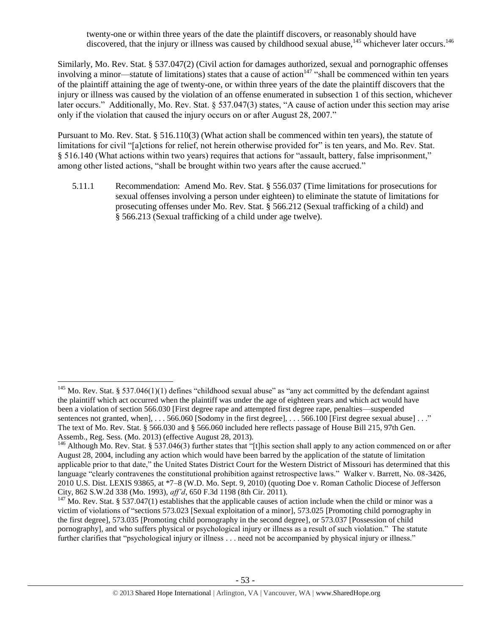twenty-one or within three years of the date the plaintiff discovers, or reasonably should have discovered, that the injury or illness was caused by childhood sexual abuse,<sup>145</sup> whichever later occurs.<sup>146</sup>

Similarly, Mo. Rev. Stat. § 537.047(2) (Civil action for damages authorized, sexual and pornographic offenses involving a minor—statute of limitations) states that a cause of action<sup>147</sup> "shall be commenced within ten years of the plaintiff attaining the age of twenty-one, or within three years of the date the plaintiff discovers that the injury or illness was caused by the violation of an offense enumerated in subsection 1 of this section, whichever later occurs." Additionally, Mo. Rev. Stat. § 537.047(3) states, "A cause of action under this section may arise only if the violation that caused the injury occurs on or after August 28, 2007."

Pursuant to Mo. Rev. Stat. § 516.110(3) (What action shall be commenced within ten years), the statute of limitations for civil "[a]ctions for relief, not herein otherwise provided for" is ten years, and Mo. Rev. Stat. § 516.140 (What actions within two years) requires that actions for "assault, battery, false imprisonment," among other listed actions, "shall be brought within two years after the cause accrued."

5.11.1 Recommendation: Amend Mo. Rev. Stat. § 556.037 (Time limitations for prosecutions for sexual offenses involving a person under eighteen) to eliminate the statute of limitations for prosecuting offenses under Mo. Rev. Stat. § 566.212 (Sexual trafficking of a child) and § 566.213 (Sexual trafficking of a child under age twelve).

l <sup>145</sup> Mo. Rev. Stat. § 537.046(1)(1) defines "childhood sexual abuse" as "any act committed by the defendant against the plaintiff which act occurred when the plaintiff was under the age of eighteen years and which act would have been a violation of section 566.030 [First degree rape and attempted first degree rape, penalties—suspended sentences not granted, when], . . . 566.060 [Sodomy in the first degree], . . . 566.100 [First degree sexual abuse] . . ." The text of Mo. Rev. Stat. § 566.030 and § 566.060 included here reflects passage of House Bill 215, 97th Gen. Assemb., Reg. Sess. (Mo. 2013) (effective August 28, 2013).

<sup>&</sup>lt;sup>146</sup> Although Mo. Rev. Stat. § 537.046(3) further states that "[t]his section shall apply to any action commenced on or after August 28, 2004, including any action which would have been barred by the application of the statute of limitation applicable prior to that date," the United States District Court for the Western District of Missouri has determined that this language "clearly contravenes the constitutional prohibition against retrospective laws." Walker v. Barrett, No. 08-3426, 2010 U.S. Dist. LEXIS 93865, at \*7–8 (W.D. Mo. Sept. 9, 2010) (quoting Doe v. Roman Catholic Diocese of Jefferson City, 862 S.W.2d 338 (Mo. 1993), *aff'd*, 650 F.3d 1198 (8th Cir. 2011).

 $147$  Mo. Rev. Stat. § 537.047(1) establishes that the applicable causes of action include when the child or minor was a victim of violations of "sections 573.023 [Sexual exploitation of a minor], 573.025 [Promoting child pornography in the first degree], 573.035 [Promoting child pornography in the second degree], or 573.037 [Possession of child pornography], and who suffers physical or psychological injury or illness as a result of such violation." The statute further clarifies that "psychological injury or illness . . . need not be accompanied by physical injury or illness."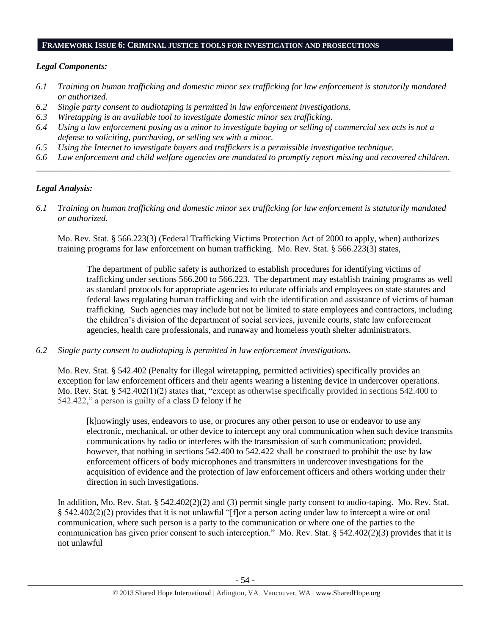#### **FRAMEWORK ISSUE 6: CRIMINAL JUSTICE TOOLS FOR INVESTIGATION AND PROSECUTIONS**

#### *Legal Components:*

- *6.1 Training on human trafficking and domestic minor sex trafficking for law enforcement is statutorily mandated or authorized.*
- *6.2 Single party consent to audiotaping is permitted in law enforcement investigations.*
- *6.3 Wiretapping is an available tool to investigate domestic minor sex trafficking.*
- *6.4 Using a law enforcement posing as a minor to investigate buying or selling of commercial sex acts is not a defense to soliciting, purchasing, or selling sex with a minor.*
- *6.5 Using the Internet to investigate buyers and traffickers is a permissible investigative technique.*
- *6.6 Law enforcement and child welfare agencies are mandated to promptly report missing and recovered children. \_\_\_\_\_\_\_\_\_\_\_\_\_\_\_\_\_\_\_\_\_\_\_\_\_\_\_\_\_\_\_\_\_\_\_\_\_\_\_\_\_\_\_\_\_\_\_\_\_\_\_\_\_\_\_\_\_\_\_\_\_\_\_\_\_\_\_\_\_\_\_\_\_\_\_\_\_\_\_\_\_\_\_\_\_\_\_\_\_\_\_\_\_\_*

#### *Legal Analysis:*

*6.1 Training on human trafficking and domestic minor sex trafficking for law enforcement is statutorily mandated or authorized.*

Mo. Rev. Stat. § 566.223(3) (Federal Trafficking Victims Protection Act of 2000 to apply, when) authorizes training programs for law enforcement on human trafficking. Mo. Rev. Stat. § 566.223(3) states,

The department of public safety is authorized to establish procedures for identifying victims of trafficking under sections 566.200 to 566.223. The department may establish training programs as well as standard protocols for appropriate agencies to educate officials and employees on state statutes and federal laws regulating human trafficking and with the identification and assistance of victims of human trafficking. Such agencies may include but not be limited to state employees and contractors, including the children's division of the department of social services, juvenile courts, state law enforcement agencies, health care professionals, and runaway and homeless youth shelter administrators.

*6.2 Single party consent to audiotaping is permitted in law enforcement investigations.*

Mo. Rev. Stat. § 542.402 (Penalty for illegal wiretapping, permitted activities) specifically provides an exception for law enforcement officers and their agents wearing a listening device in undercover operations. Mo. Rev. Stat. § 542.402(1)(2) states that, "except as otherwise specifically provided in sections 542.400 to 542.422," a person is guilty of a class D felony if he

[k]nowingly uses, endeavors to use, or procures any other person to use or endeavor to use any electronic, mechanical, or other device to intercept any oral communication when such device transmits communications by radio or interferes with the transmission of such communication; provided, however, that nothing in sections 542.400 to 542.422 shall be construed to prohibit the use by law enforcement officers of body microphones and transmitters in undercover investigations for the acquisition of evidence and the protection of law enforcement officers and others working under their direction in such investigations.

In addition, Mo. Rev. Stat. § 542.402(2)(2) and (3) permit single party consent to audio-taping. Mo. Rev. Stat. § 542.402(2)(2) provides that it is not unlawful "[f]or a person acting under law to intercept a wire or oral communication, where such person is a party to the communication or where one of the parties to the communication has given prior consent to such interception." Mo. Rev. Stat. § 542.402(2)(3) provides that it is not unlawful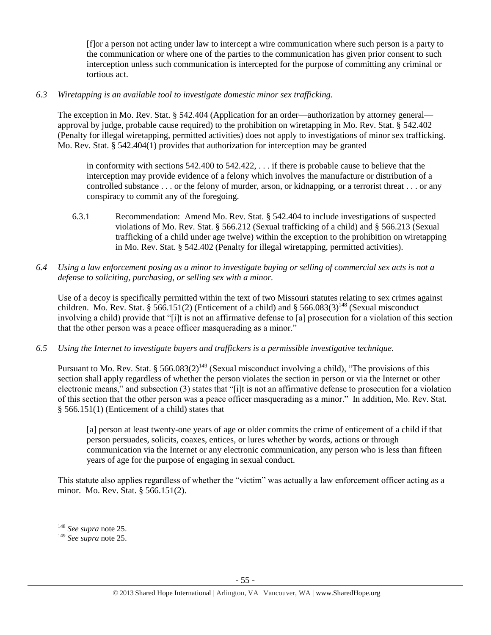[f]or a person not acting under law to intercept a wire communication where such person is a party to the communication or where one of the parties to the communication has given prior consent to such interception unless such communication is intercepted for the purpose of committing any criminal or tortious act.

# *6.3 Wiretapping is an available tool to investigate domestic minor sex trafficking.*

The exception in Mo. Rev. Stat. § 542.404 (Application for an order—authorization by attorney general approval by judge, probable cause required) to the prohibition on wiretapping in Mo. Rev. Stat. § 542.402 (Penalty for illegal wiretapping, permitted activities) does not apply to investigations of minor sex trafficking. Mo. Rev. Stat. § 542.404(1) provides that authorization for interception may be granted

in conformity with sections 542.400 to 542.422, . . . if there is probable cause to believe that the interception may provide evidence of a felony which involves the manufacture or distribution of a controlled substance . . . or the felony of murder, arson, or kidnapping, or a terrorist threat . . . or any conspiracy to commit any of the foregoing.

- 6.3.1 Recommendation: Amend Mo. Rev. Stat. § 542.404 to include investigations of suspected violations of Mo. Rev. Stat. § 566.212 (Sexual trafficking of a child) and § 566.213 (Sexual trafficking of a child under age twelve) within the exception to the prohibition on wiretapping in Mo. Rev. Stat. § 542.402 (Penalty for illegal wiretapping, permitted activities).
- *6.4 Using a law enforcement posing as a minor to investigate buying or selling of commercial sex acts is not a defense to soliciting, purchasing, or selling sex with a minor.*

Use of a decoy is specifically permitted within the text of two Missouri statutes relating to sex crimes against children. Mo. Rev. Stat. § 566.151(2) (Enticement of a child) and § 566.083(3)<sup>148</sup> (Sexual misconduct involving a child) provide that "[i]t is not an affirmative defense to [a] prosecution for a violation of this section that the other person was a peace officer masquerading as a minor."

*6.5 Using the Internet to investigate buyers and traffickers is a permissible investigative technique.*

Pursuant to Mo. Rev. Stat. § 566.083(2)<sup>149</sup> (Sexual misconduct involving a child), "The provisions of this section shall apply regardless of whether the person violates the section in person or via the Internet or other electronic means," and subsection (3) states that "[i]t is not an affirmative defense to prosecution for a violation of this section that the other person was a peace officer masquerading as a minor." In addition, Mo. Rev. Stat. § 566.151(1) (Enticement of a child) states that

[a] person at least twenty-one years of age or older commits the crime of enticement of a child if that person persuades, solicits, coaxes, entices, or lures whether by words, actions or through communication via the Internet or any electronic communication, any person who is less than fifteen years of age for the purpose of engaging in sexual conduct.

This statute also applies regardless of whether the "victim" was actually a law enforcement officer acting as a minor. Mo. Rev. Stat. § 566.151(2).

l

<sup>148</sup> *See supra* not[e 25.](#page-6-0)

<sup>149</sup> *See supra* not[e 25.](#page-6-0)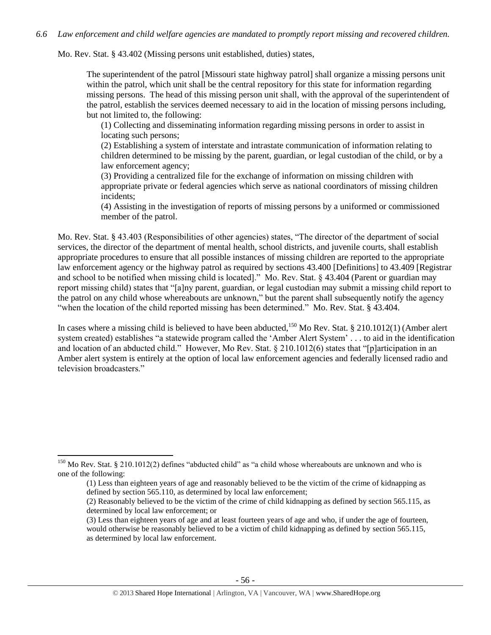#### *6.6 Law enforcement and child welfare agencies are mandated to promptly report missing and recovered children.*

Mo. Rev. Stat. § 43.402 (Missing persons unit established, duties) states,

The superintendent of the patrol [Missouri state highway patrol] shall organize a missing persons unit within the patrol, which unit shall be the central repository for this state for information regarding missing persons. The head of this missing person unit shall, with the approval of the superintendent of the patrol, establish the services deemed necessary to aid in the location of missing persons including, but not limited to, the following:

(1) Collecting and disseminating information regarding missing persons in order to assist in locating such persons;

(2) Establishing a system of interstate and intrastate communication of information relating to children determined to be missing by the parent, guardian, or legal custodian of the child, or by a law enforcement agency;

(3) Providing a centralized file for the exchange of information on missing children with appropriate private or federal agencies which serve as national coordinators of missing children incidents;

(4) Assisting in the investigation of reports of missing persons by a uniformed or commissioned member of the patrol.

Mo. Rev. Stat. § 43.403 (Responsibilities of other agencies) states, "The director of the department of social services, the director of the department of mental health, school districts, and juvenile courts, shall establish appropriate procedures to ensure that all possible instances of missing children are reported to the appropriate law enforcement agency or the highway patrol as required by sections 43.400 [Definitions] to 43.409 [Registrar and school to be notified when missing child is located]." Mo. Rev. Stat. § 43.404 (Parent or guardian may report missing child) states that "[a]ny parent, guardian, or legal custodian may submit a missing child report to the patrol on any child whose whereabouts are unknown," but the parent shall subsequently notify the agency "when the location of the child reported missing has been determined." Mo. Rev. Stat. § 43.404.

In cases where a missing child is believed to have been abducted,<sup>150</sup> Mo Rev. Stat. § 210.1012(1) (Amber alert system created) establishes "a statewide program called the 'Amber Alert System' . . . to aid in the identification and location of an abducted child." However, Mo Rev. Stat. § 210.1012(6) states that "[p]articipation in an Amber alert system is entirely at the option of local law enforcement agencies and federally licensed radio and television broadcasters."

 $150$  Mo Rev. Stat. § 210.1012(2) defines "abducted child" as "a child whose whereabouts are unknown and who is one of the following:

<sup>(1)</sup> Less than eighteen years of age and reasonably believed to be the victim of the crime of kidnapping as defined by section 565.110, as determined by local law enforcement;

<sup>(2)</sup> Reasonably believed to be the victim of the crime of child kidnapping as defined by section 565.115, as determined by local law enforcement; or

<sup>(3)</sup> Less than eighteen years of age and at least fourteen years of age and who, if under the age of fourteen, would otherwise be reasonably believed to be a victim of child kidnapping as defined by section 565.115, as determined by local law enforcement.